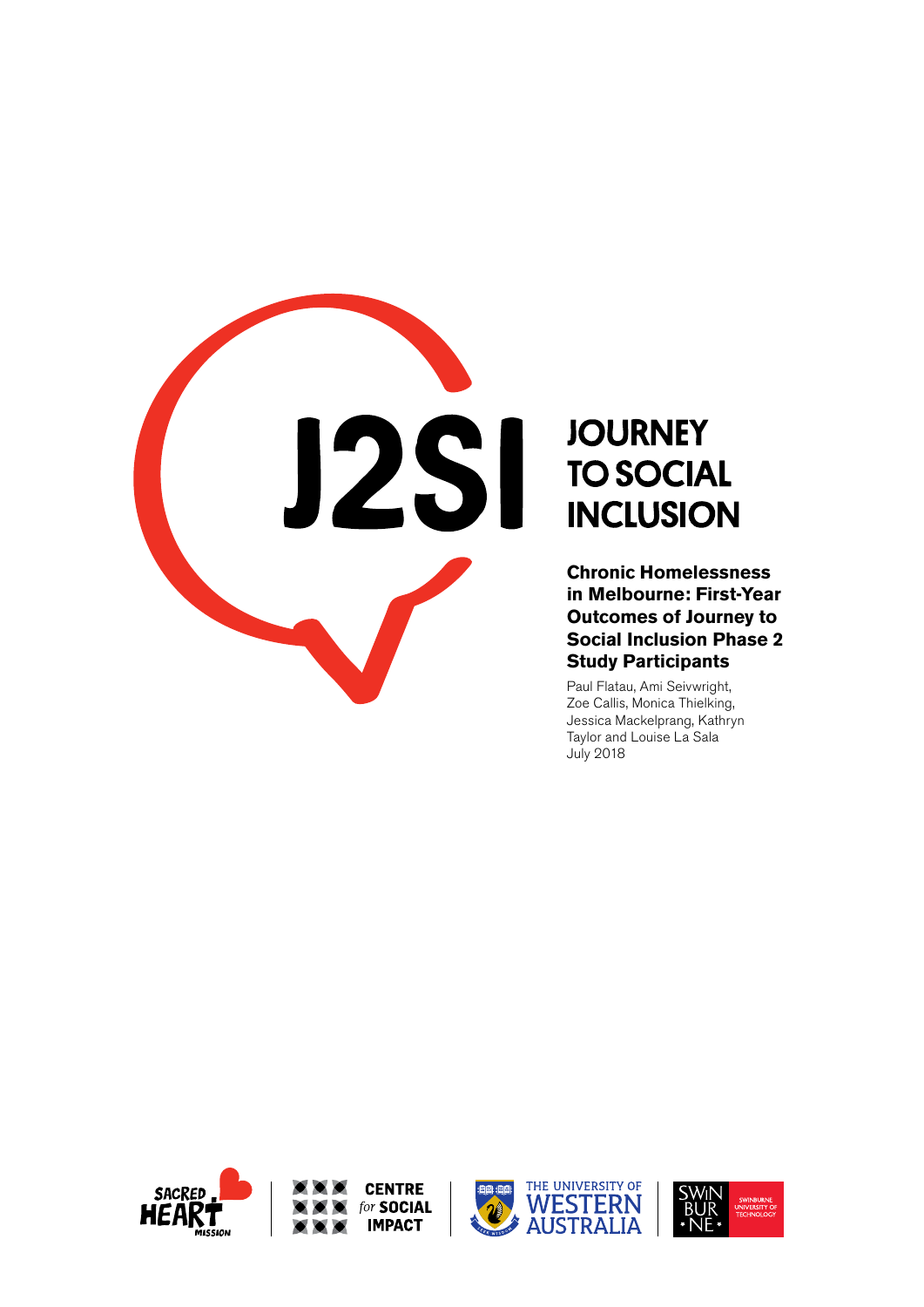

## **JOURNEY TO SOCIAL INCLUSION**

**Chronic Homelessness in Melbourne: First-Year Outcomes of Journey to Social Inclusion Phase 2 Study Participants**

Paul Flatau, Ami Seivwright, Zoe Callis, Monica Thielking, Jessica Mackelprang, Kathryn Taylor and Louise La Sala July 2018



**CENTRE** 

**IMPACT** 



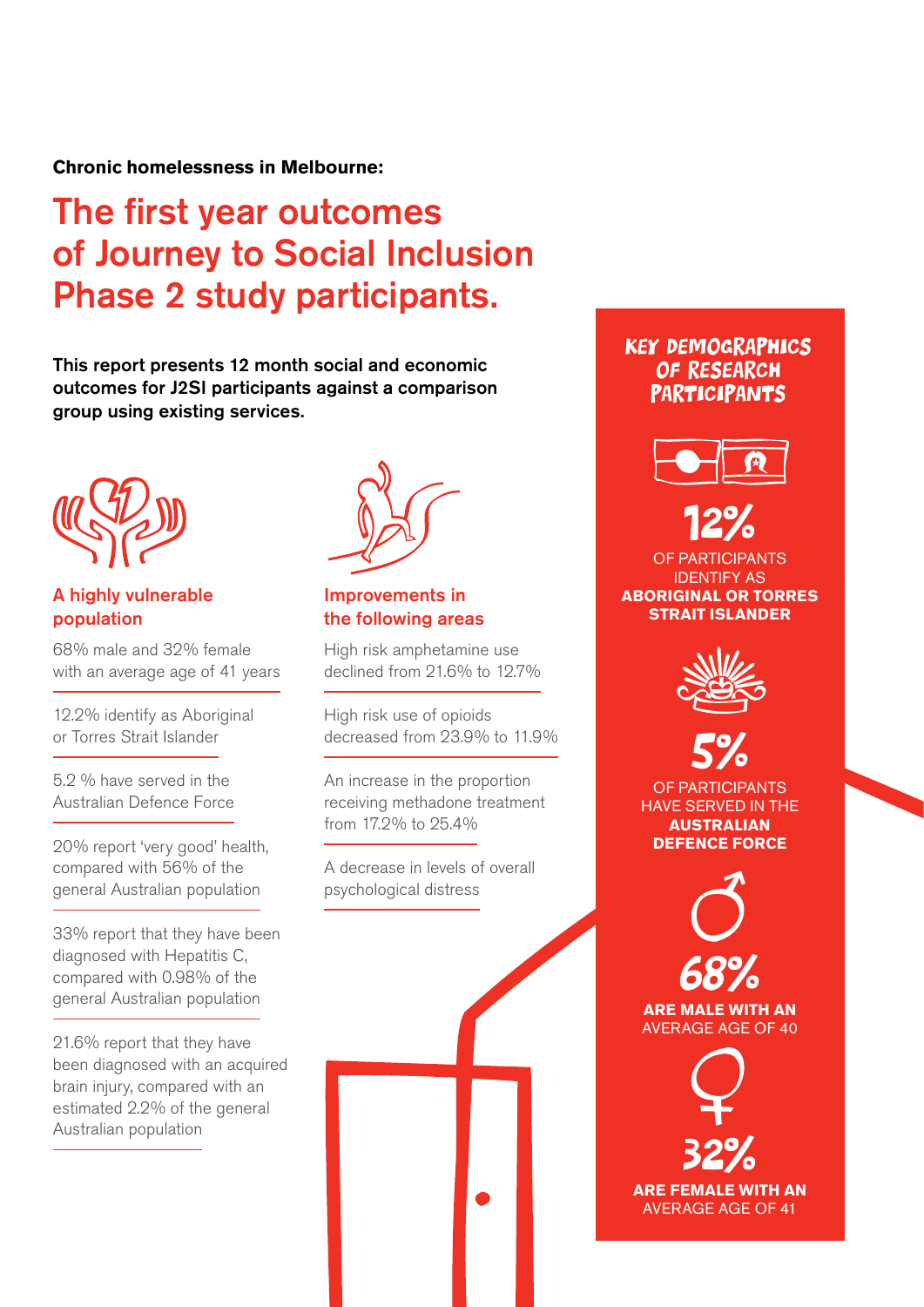**Chronic homelessness in Melbourne:**

## The first year outcomes of Journey to Social Inclusion Phase 2 study participants.

This report presents 12 month social and economic outcomes for J2SI participants against a comparison group using existing services.



#### A highly vulnerable population

68% male and 32% female with an average age of 41 years

12.2% identify as Aboriginal or Torres Strait Islander

5.2 % have served in the Australian Defence Force

20% report 'very good' health, compared with 56% of the general Australian population

33% report that they have been diagnosed with Hepatitis C, compared with 0.98% of the general Australian population

21.6% report that they have been diagnosed with an acquired brain injury, compared with an estimated 2.2% of the general Australian population



#### Improvements in the following areas

High risk amphetamine use declined from 21.6% to 12.7%

High risk use of opioids decreased from 23.9% to 11.9%

An increase in the proportion receiving methadone treatment from 17.2% to 25.4%

A decrease in levels of overall psychological distress

#### key demographics of research **PARTICIPANTS**





OF PARTICIPANTS IDENTIFY AS **ABORIGINAL OR TORRES STRAIT ISLANDER**





OF PARTICIPANTS HAVE SERVED IN THE **AUSTRALIAN DEFENCE FORCE**

# 68% **ARE MALE WITH AN**

AVERAGE AGE OF 40



AVERAGE AGE OF 41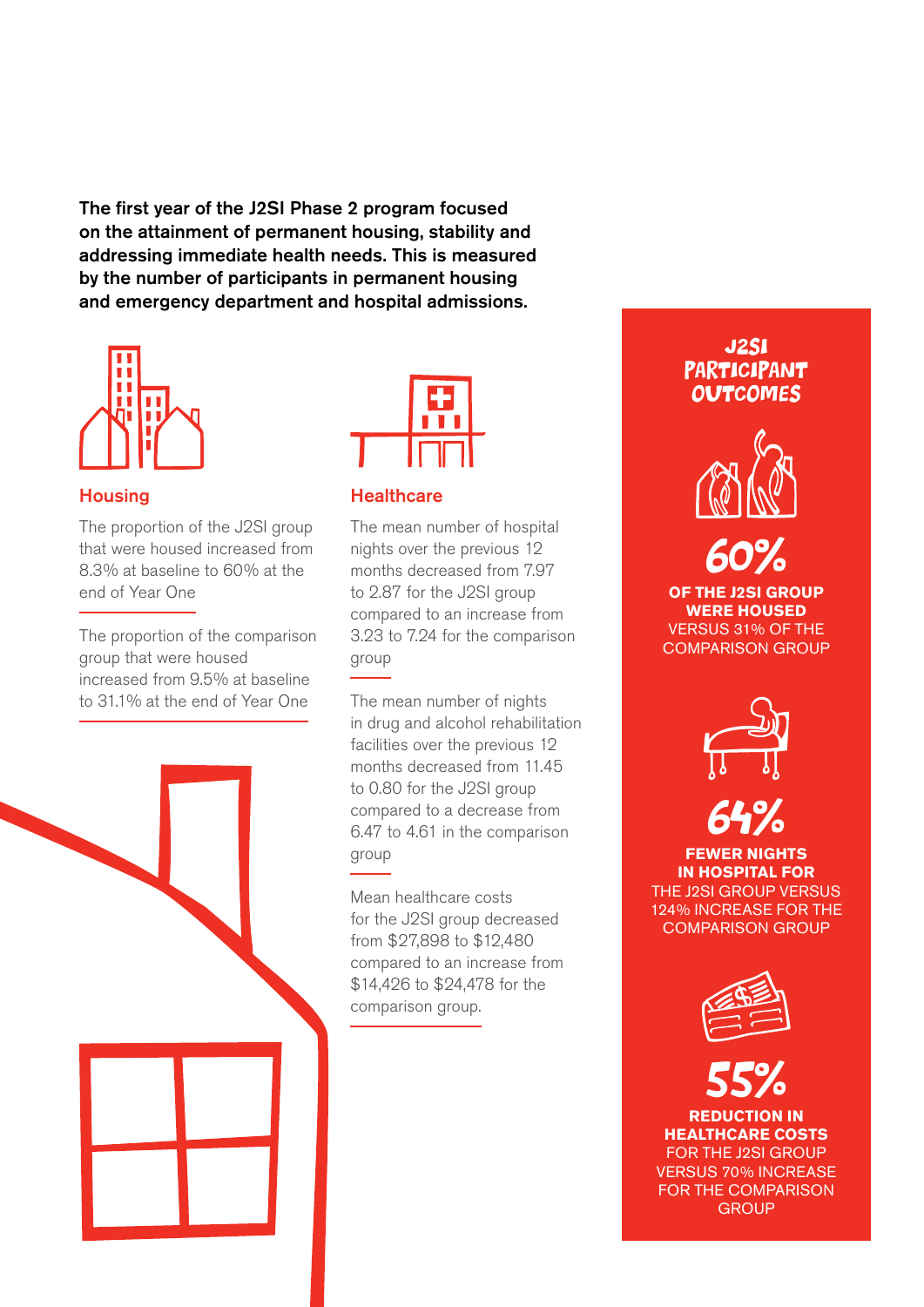The first year of the J2SI Phase 2 program focused on the attainment of permanent housing, stability and addressing immediate health needs. This is measured by the number of participants in permanent housing and emergency department and hospital admissions.



#### **Housing**

The proportion of the J2SI group that were housed increased from 8.3% at baseline to 60% at the end of Year One

The proportion of the comparison group that were housed increased from 9.5% at baseline to 31.1% at the end of Year One





#### **Healthcare**

The mean number of hospital nights over the previous 12 months decreased from 7.97 to 2.87 for the J2SI group compared to an increase from 3.23 to 7.24 for the comparison group

The mean number of nights in drug and alcohol rehabilitation facilities over the previous 12 months decreased from 11.45 to 0.80 for the J2SI group compared to a decrease from 6.47 to 4.61 in the comparison group

Mean healthcare costs for the J2SI group decreased from \$27,898 to \$12,480 compared to an increase from \$14,426 to \$24,478 for the comparison group.

#### J2SI **PARTICIPANT OUTCOMES**



60% **OF THE J2SI GROUP WERE HOUSED** VERSUS 31% OF THE COMPARISON GROUP



64% **FEWER NIGHTS IN HOSPITAL FOR** THE J2SI GROUP VERSUS 124% INCREASE FOR THE COMPARISON GROUP



## 55%

**REDUCTION IN HEALTHCARE COSTS** FOR THE J2SI GROUP VERSUS 70% INCREASE FOR THE COMPARISON **GROUP**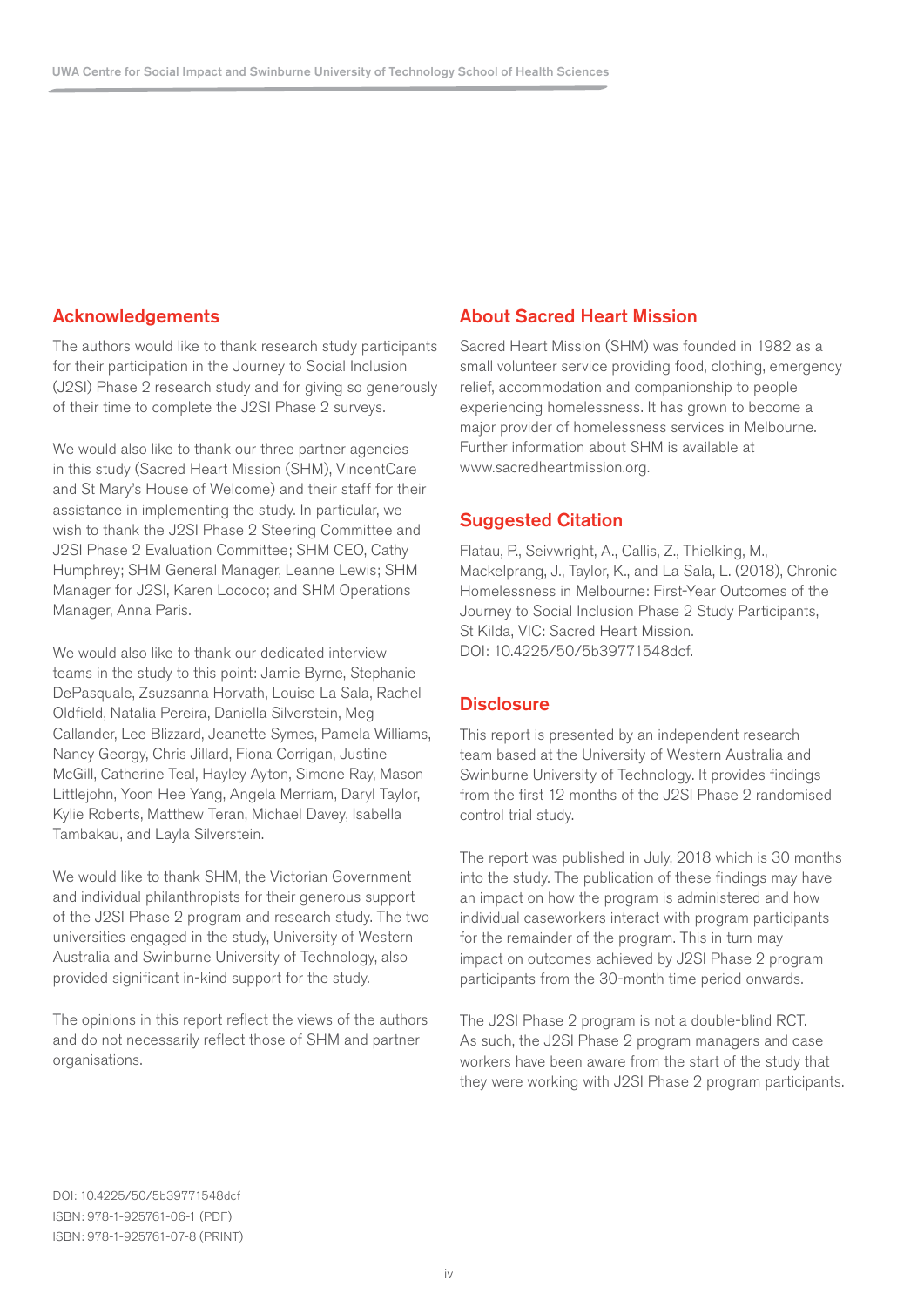#### Acknowledgements

The authors would like to thank research study participants for their participation in the Journey to Social Inclusion (J2SI) Phase 2 research study and for giving so generously of their time to complete the J2SI Phase 2 surveys.

We would also like to thank our three partner agencies in this study (Sacred Heart Mission (SHM), VincentCare and St Mary's House of Welcome) and their staff for their assistance in implementing the study. In particular, we wish to thank the J2SI Phase 2 Steering Committee and J2SI Phase 2 Evaluation Committee; SHM CEO, Cathy Humphrey; SHM General Manager, Leanne Lewis; SHM Manager for J2SI, Karen Lococo; and SHM Operations Manager, Anna Paris.

We would also like to thank our dedicated interview teams in the study to this point: Jamie Byrne, Stephanie DePasquale, Zsuzsanna Horvath, Louise La Sala, Rachel Oldfield, Natalia Pereira, Daniella Silverstein, Meg Callander, Lee Blizzard, Jeanette Symes, Pamela Williams, Nancy Georgy, Chris Jillard, Fiona Corrigan, Justine McGill, Catherine Teal, Hayley Ayton, Simone Ray, Mason Littlejohn, Yoon Hee Yang, Angela Merriam, Daryl Taylor, Kylie Roberts, Matthew Teran, Michael Davey, Isabella Tambakau, and Layla Silverstein.

We would like to thank SHM, the Victorian Government and individual philanthropists for their generous support of the J2SI Phase 2 program and research study. The two universities engaged in the study, University of Western Australia and Swinburne University of Technology, also provided significant in-kind support for the study.

The opinions in this report reflect the views of the authors and do not necessarily reflect those of SHM and partner organisations.

#### About Sacred Heart Mission

Sacred Heart Mission (SHM) was founded in 1982 as a small volunteer service providing food, clothing, emergency relief, accommodation and companionship to people experiencing homelessness. It has grown to become a major provider of homelessness services in Melbourne. Further information about SHM is available at [www.sacredheartmission.org](http://www.sacredheartmission.org).

#### Suggested Citation

Flatau, P., Seivwright, A., Callis, Z., Thielking, M., Mackelprang, J., Taylor, K., and La Sala, L. (2018), Chronic Homelessness in Melbourne: First-Year Outcomes of the Journey to Social Inclusion Phase 2 Study Participants, St Kilda, VIC: Sacred Heart Mission. DOI: 10.4225/50/5b39771548dcf.

#### **Disclosure**

This report is presented by an independent research team based at the University of Western Australia and Swinburne University of Technology. It provides findings from the first 12 months of the J2SI Phase 2 randomised control trial study.

The report was published in July, 2018 which is 30 months into the study. The publication of these findings may have an impact on how the program is administered and how individual caseworkers interact with program participants for the remainder of the program. This in turn may impact on outcomes achieved by J2SI Phase 2 program participants from the 30-month time period onwards.

The J2SI Phase 2 program is not a double-blind RCT. As such, the J2SI Phase 2 program managers and case workers have been aware from the start of the study that they were working with J2SI Phase 2 program participants.

DOI: 10.4225/50/5b39771548dcf ISBN: 978-1-925761-06-1 (PDF) ISBN: 978-1-925761-07-8 (PRINT)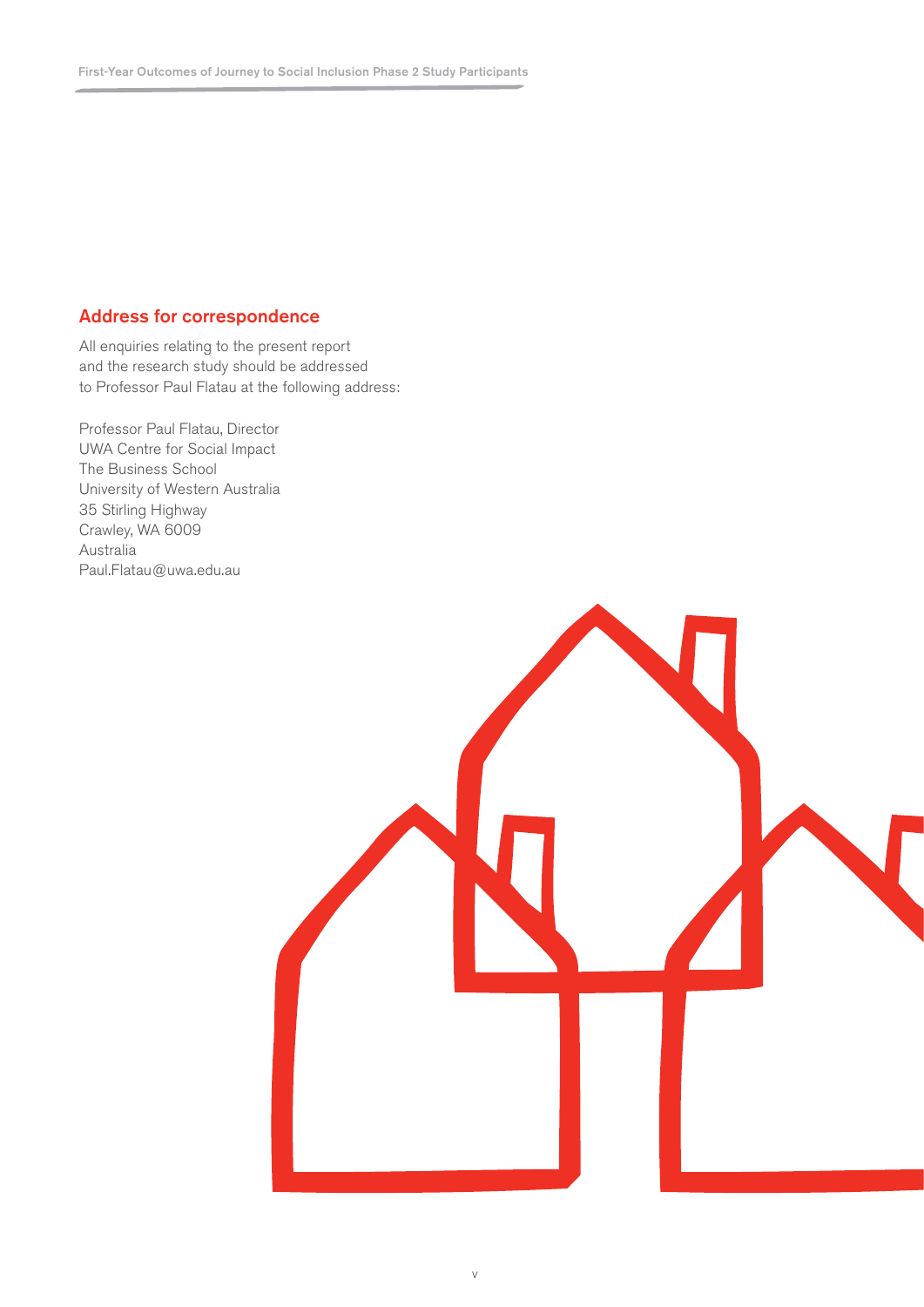#### Address for correspondence

All enquiries relating to the present report and the research study should be addressed to Professor Paul Flatau at the following address:

Professor Paul Flatau, Director UWA Centre for Social Impact The Business School University of Western Australia 35 Stirling Highway Crawley, WA 6009 Australia [Paul.Flatau@uwa.edu.au](mailto:Paul.Flatau@uwa.edu.au)

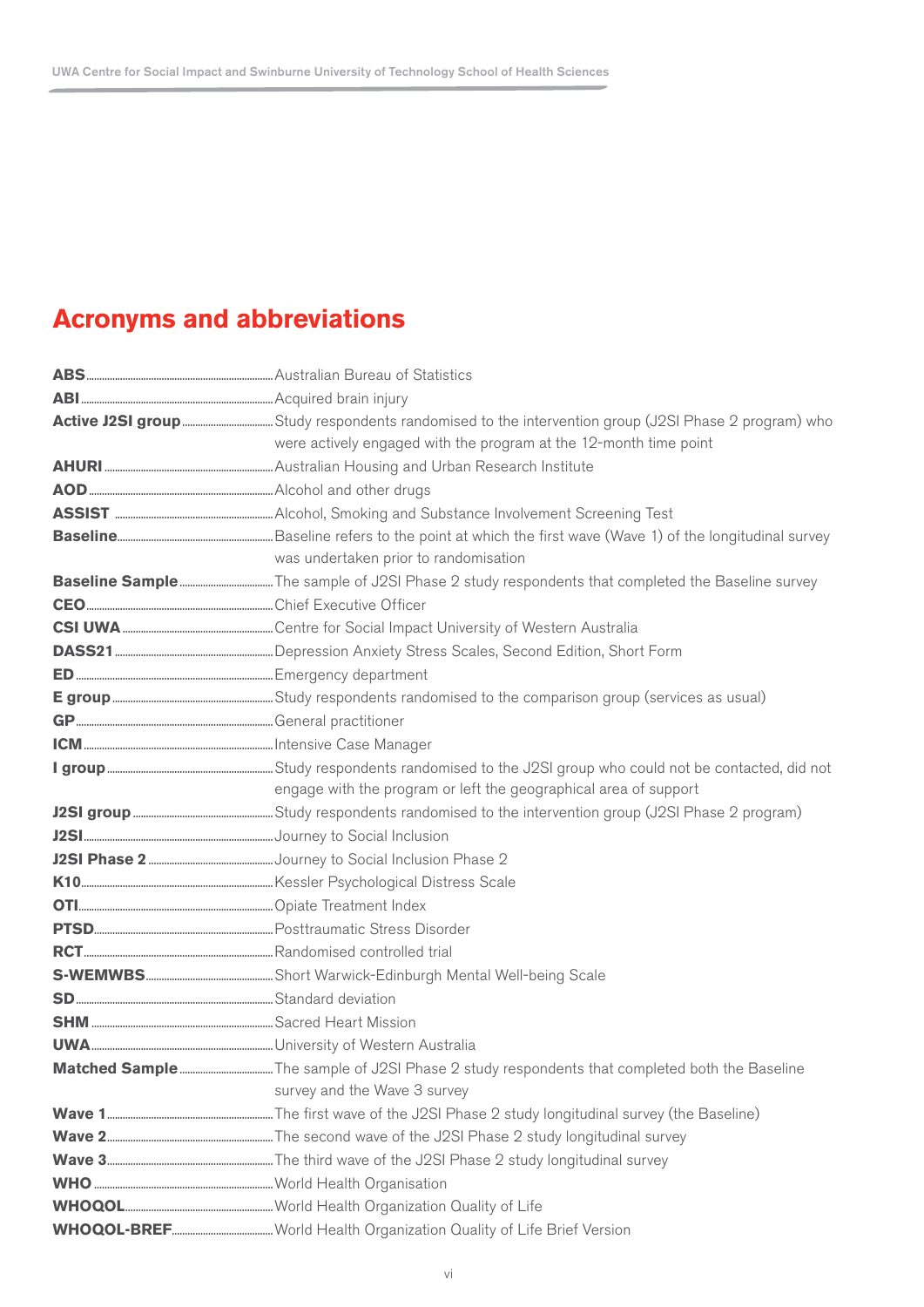## **Acronyms and abbreviations**

| were actively engaged with the program at the 12-month time point |
|-------------------------------------------------------------------|
|                                                                   |
|                                                                   |
|                                                                   |
|                                                                   |
| was undertaken prior to randomisation                             |
|                                                                   |
|                                                                   |
|                                                                   |
|                                                                   |
|                                                                   |
|                                                                   |
|                                                                   |
|                                                                   |
|                                                                   |
| engage with the program or left the geographical area of support  |
|                                                                   |
|                                                                   |
|                                                                   |
|                                                                   |
|                                                                   |
|                                                                   |
|                                                                   |
|                                                                   |
|                                                                   |
|                                                                   |
|                                                                   |
|                                                                   |
| survey and the Wave 3 survey                                      |
|                                                                   |
|                                                                   |
|                                                                   |
|                                                                   |
|                                                                   |
|                                                                   |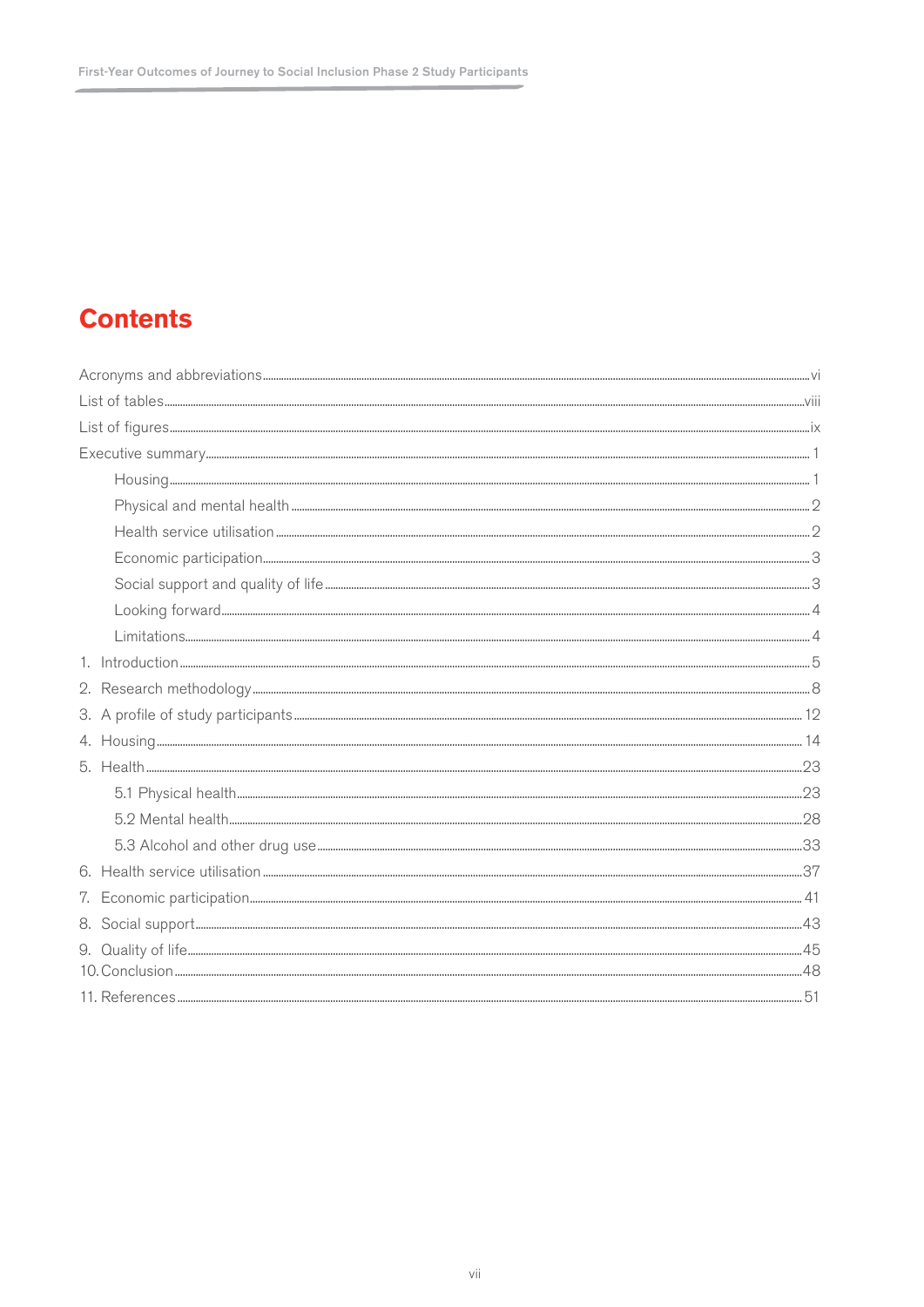## **Contents**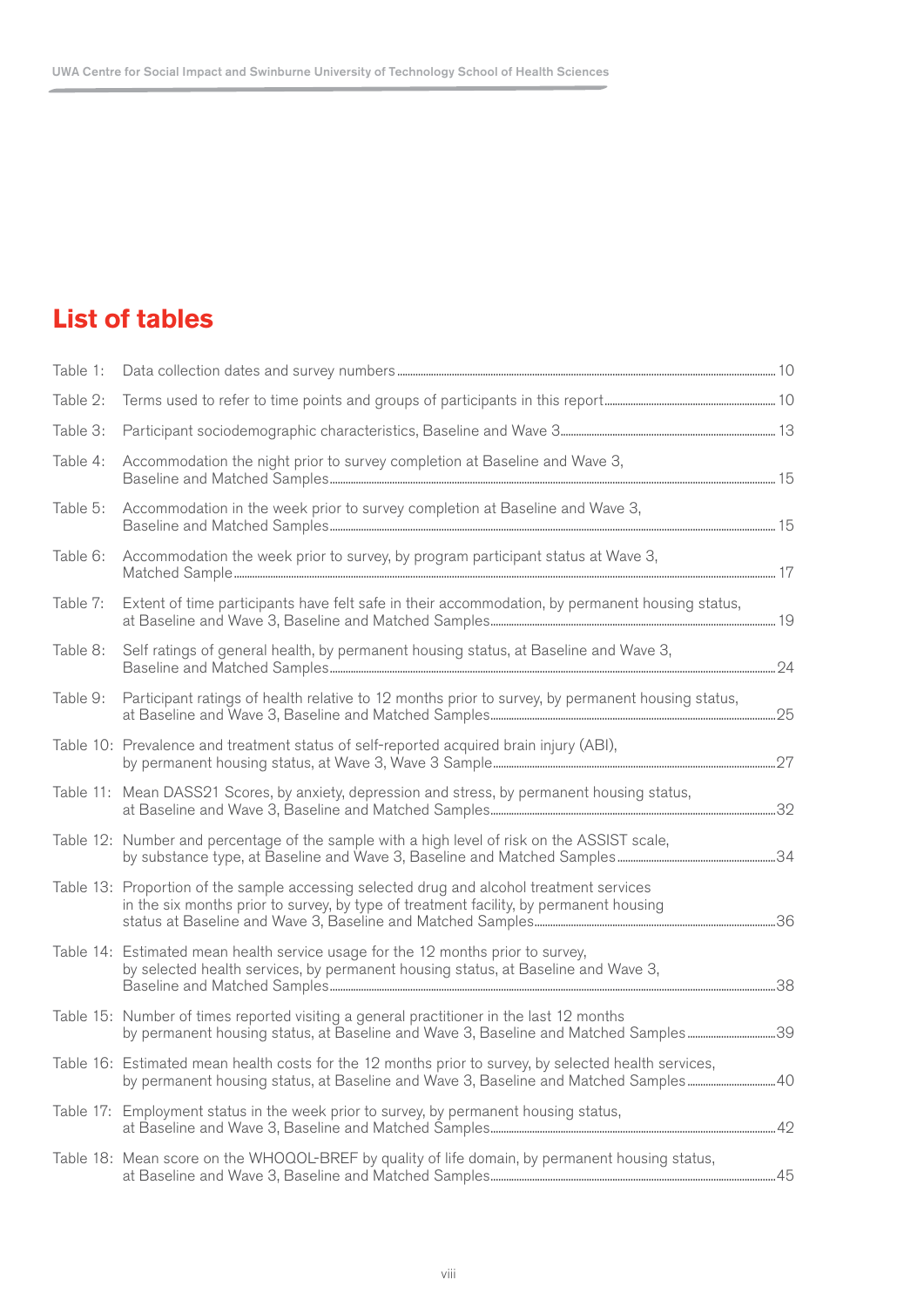## **List of tables**

| Table 1: |                                                                                                                                                                                     |  |
|----------|-------------------------------------------------------------------------------------------------------------------------------------------------------------------------------------|--|
| Table 2: |                                                                                                                                                                                     |  |
| Table 3: |                                                                                                                                                                                     |  |
| Table 4: | Accommodation the night prior to survey completion at Baseline and Wave 3,                                                                                                          |  |
| Table 5: | Accommodation in the week prior to survey completion at Baseline and Wave 3,                                                                                                        |  |
| Table 6: | Accommodation the week prior to survey, by program participant status at Wave 3,                                                                                                    |  |
| Table 7: | Extent of time participants have felt safe in their accommodation, by permanent housing status,                                                                                     |  |
| Table 8: | Self ratings of general health, by permanent housing status, at Baseline and Wave 3,                                                                                                |  |
| Table 9: | Participant ratings of health relative to 12 months prior to survey, by permanent housing status,                                                                                   |  |
|          | Table 10: Prevalence and treatment status of self-reported acquired brain injury (ABI),                                                                                             |  |
|          | Table 11: Mean DASS21 Scores, by anxiety, depression and stress, by permanent housing status,                                                                                       |  |
|          | Table 12: Number and percentage of the sample with a high level of risk on the ASSIST scale,                                                                                        |  |
|          | Table 13: Proportion of the sample accessing selected drug and alcohol treatment services<br>in the six months prior to survey, by type of treatment facility, by permanent housing |  |
|          | Table 14: Estimated mean health service usage for the 12 months prior to survey,<br>by selected health services, by permanent housing status, at Baseline and Wave 3,               |  |
|          | Table 15: Number of times reported visiting a general practitioner in the last 12 months<br>by permanent housing status, at Baseline and Wave 3, Baseline and Matched Samples39     |  |
|          | Table 16: Estimated mean health costs for the 12 months prior to survey, by selected health services,                                                                               |  |
|          | Table 17: Employment status in the week prior to survey, by permanent housing status,                                                                                               |  |
|          | Table 18: Mean score on the WHOQOL-BREF by quality of life domain, by permanent housing status,                                                                                     |  |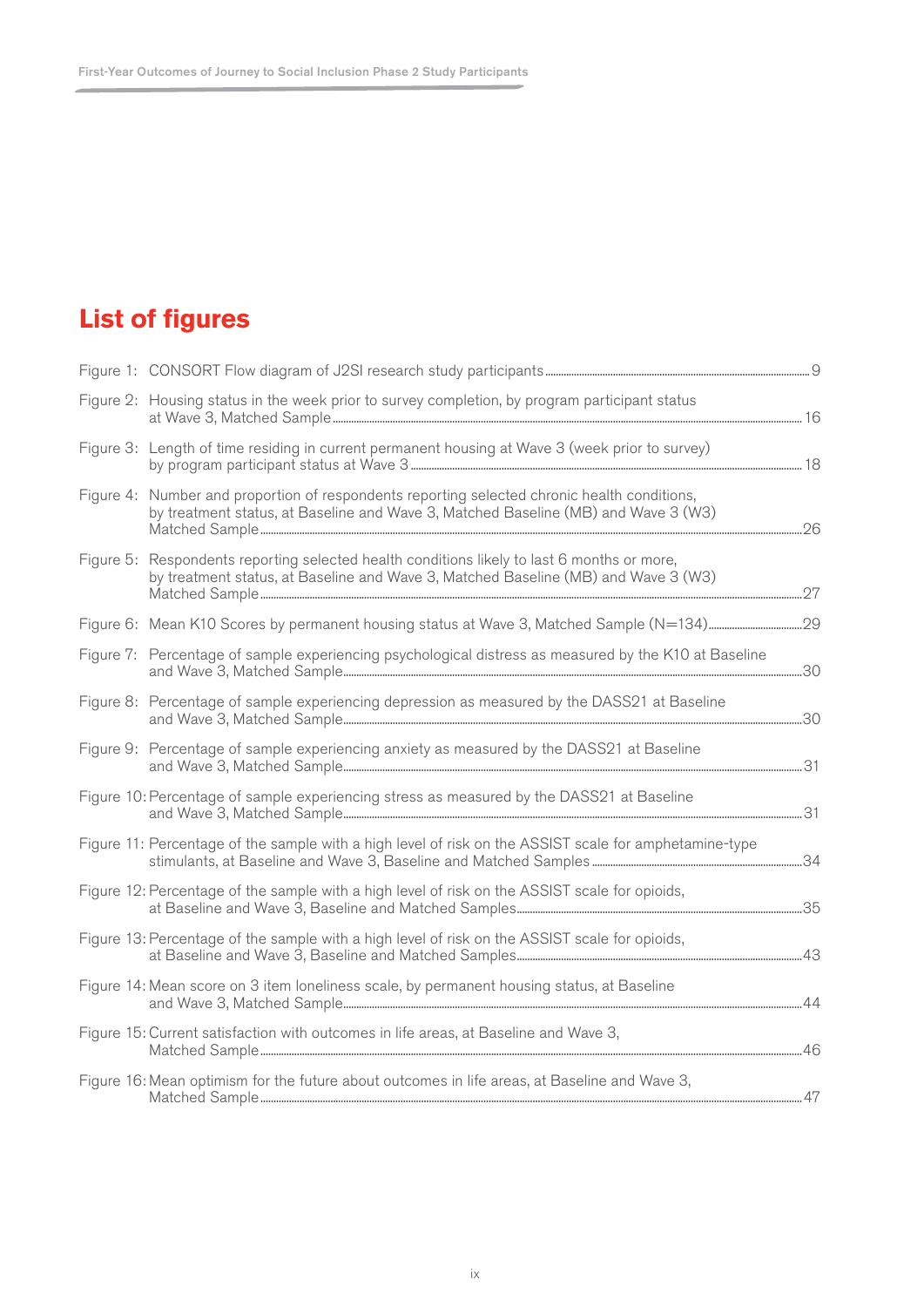## **List of figures**

| Figure 2: Housing status in the week prior to survey completion, by program participant status                                                                                     |  |
|------------------------------------------------------------------------------------------------------------------------------------------------------------------------------------|--|
| Figure 3: Length of time residing in current permanent housing at Wave 3 (week prior to survey)                                                                                    |  |
| Figure 4: Number and proportion of respondents reporting selected chronic health conditions,<br>by treatment status, at Baseline and Wave 3, Matched Baseline (MB) and Wave 3 (W3) |  |
| Figure 5: Respondents reporting selected health conditions likely to last 6 months or more,<br>by treatment status, at Baseline and Wave 3, Matched Baseline (MB) and Wave 3 (W3)  |  |
|                                                                                                                                                                                    |  |
| Figure 7: Percentage of sample experiencing psychological distress as measured by the K10 at Baseline                                                                              |  |
| Figure 8: Percentage of sample experiencing depression as measured by the DASS21 at Baseline                                                                                       |  |
| Figure 9: Percentage of sample experiencing anxiety as measured by the DASS21 at Baseline                                                                                          |  |
| Figure 10: Percentage of sample experiencing stress as measured by the DASS21 at Baseline                                                                                          |  |
| Figure 11: Percentage of the sample with a high level of risk on the ASSIST scale for amphetamine-type                                                                             |  |
| Figure 12: Percentage of the sample with a high level of risk on the ASSIST scale for opioids,                                                                                     |  |
| Figure 13: Percentage of the sample with a high level of risk on the ASSIST scale for opioids,                                                                                     |  |
| Figure 14: Mean score on 3 item loneliness scale, by permanent housing status, at Baseline                                                                                         |  |
| Figure 15: Current satisfaction with outcomes in life areas, at Baseline and Wave 3,                                                                                               |  |
| Figure 16: Mean optimism for the future about outcomes in life areas, at Baseline and Wave 3,                                                                                      |  |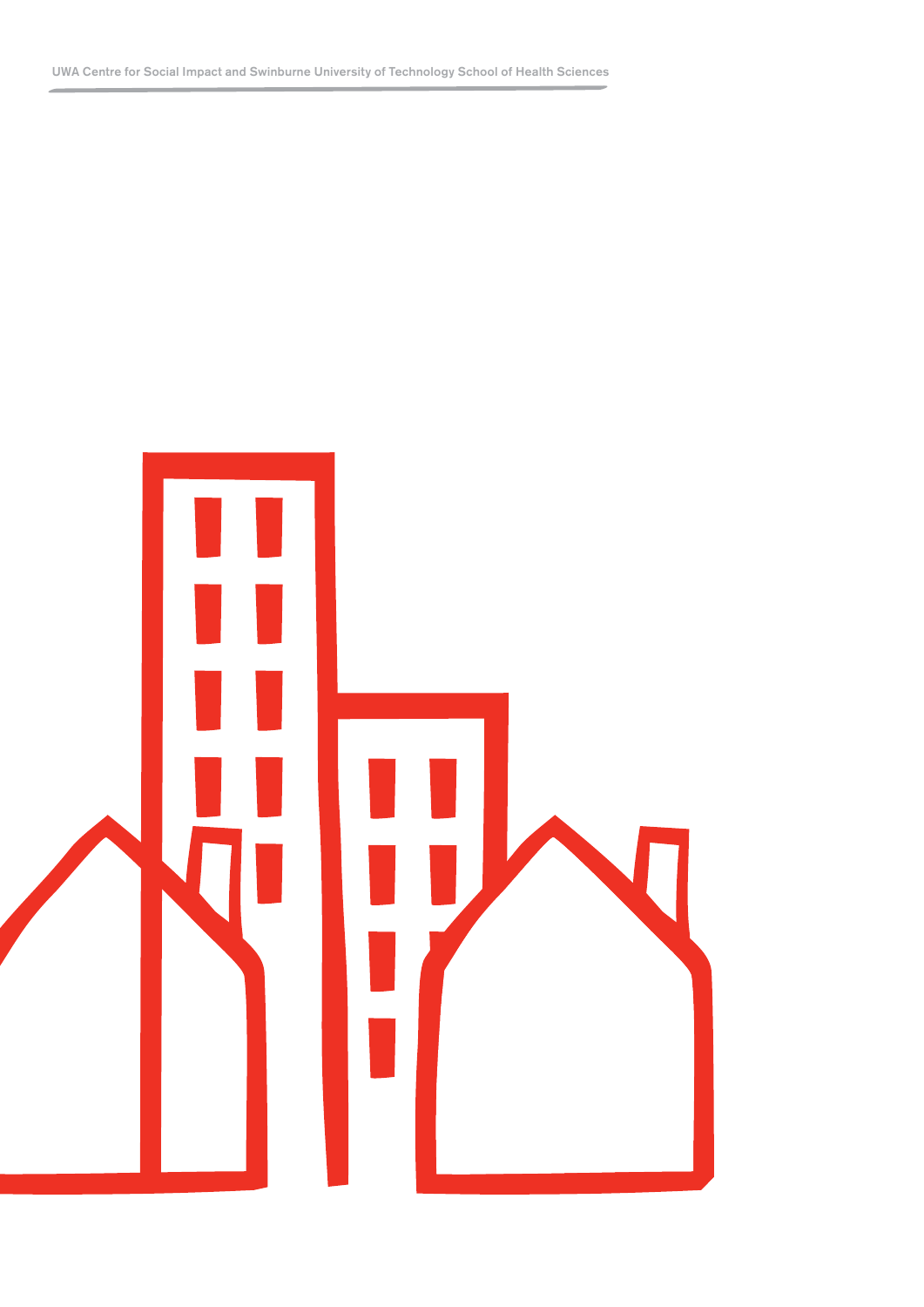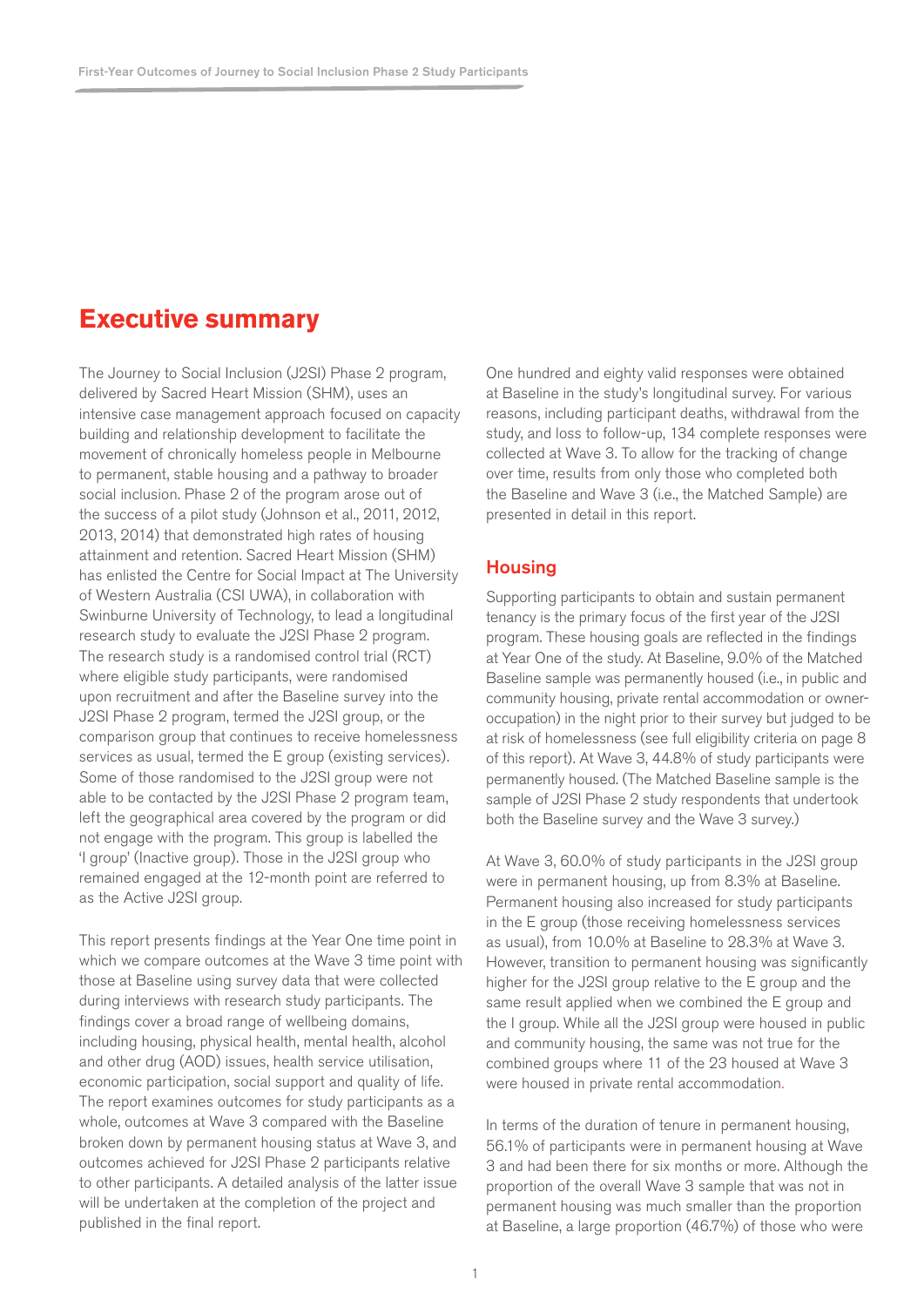### **Executive summary**

The Journey to Social Inclusion (J2SI) Phase 2 program, delivered by Sacred Heart Mission (SHM), uses an intensive case management approach focused on capacity building and relationship development to facilitate the movement of chronically homeless people in Melbourne to permanent, stable housing and a pathway to broader social inclusion. Phase 2 of the program arose out of the success of a pilot study (Johnson et al., 2011, 2012, 2013, 2014) that demonstrated high rates of housing attainment and retention. Sacred Heart Mission (SHM) has enlisted the Centre for Social Impact at The University of Western Australia (CSI UWA), in collaboration with Swinburne University of Technology, to lead a longitudinal research study to evaluate the J2SI Phase 2 program. The research study is a randomised control trial (RCT) where eligible study participants, were randomised upon recruitment and after the Baseline survey into the J2SI Phase 2 program, termed the J2SI group, or the comparison group that continues to receive homelessness services as usual, termed the E group (existing services). Some of those randomised to the J2SI group were not able to be contacted by the J2SI Phase 2 program team, left the geographical area covered by the program or did not engage with the program. This group is labelled the 'I group' (Inactive group). Those in the J2SI group who remained engaged at the 12-month point are referred to as the Active J2SI group.

This report presents findings at the Year One time point in which we compare outcomes at the Wave 3 time point with those at Baseline using survey data that were collected during interviews with research study participants. The findings cover a broad range of wellbeing domains, including housing, physical health, mental health, alcohol and other drug (AOD) issues, health service utilisation, economic participation, social support and quality of life. The report examines outcomes for study participants as a whole, outcomes at Wave 3 compared with the Baseline broken down by permanent housing status at Wave 3, and outcomes achieved for J2SI Phase 2 participants relative to other participants. A detailed analysis of the latter issue will be undertaken at the completion of the project and published in the final report.

One hundred and eighty valid responses were obtained at Baseline in the study's longitudinal survey. For various reasons, including participant deaths, withdrawal from the study, and loss to follow-up, 134 complete responses were collected at Wave 3. To allow for the tracking of change over time, results from only those who completed both the Baseline and Wave 3 (i.e., the Matched Sample) are presented in detail in this report.

#### **Housing**

Supporting participants to obtain and sustain permanent tenancy is the primary focus of the first year of the J2SI program. These housing goals are reflected in the findings at Year One of the study. At Baseline, 9.0% of the Matched Baseline sample was permanently housed (i.e., in public and community housing, private rental accommodation or owneroccupation) in the night prior to their survey but judged to be at risk of homelessness (see full eligibility criteria on page 8 of this report). At Wave 3, 44.8% of study participants were permanently housed. (The Matched Baseline sample is the sample of J2SI Phase 2 study respondents that undertook both the Baseline survey and the Wave 3 survey.)

At Wave 3, 60.0% of study participants in the J2SI group were in permanent housing, up from 8.3% at Baseline. Permanent housing also increased for study participants in the E group (those receiving homelessness services as usual), from 10.0% at Baseline to 28.3% at Wave 3. However, transition to permanent housing was significantly higher for the J2SI group relative to the E group and the same result applied when we combined the E group and the I group. While all the J2SI group were housed in public and community housing, the same was not true for the combined groups where 11 of the 23 housed at Wave 3 were housed in private rental accommodation.

In terms of the duration of tenure in permanent housing, 56.1% of participants were in permanent housing at Wave 3 and had been there for six months or more. Although the proportion of the overall Wave 3 sample that was not in permanent housing was much smaller than the proportion at Baseline, a large proportion (46.7%) of those who were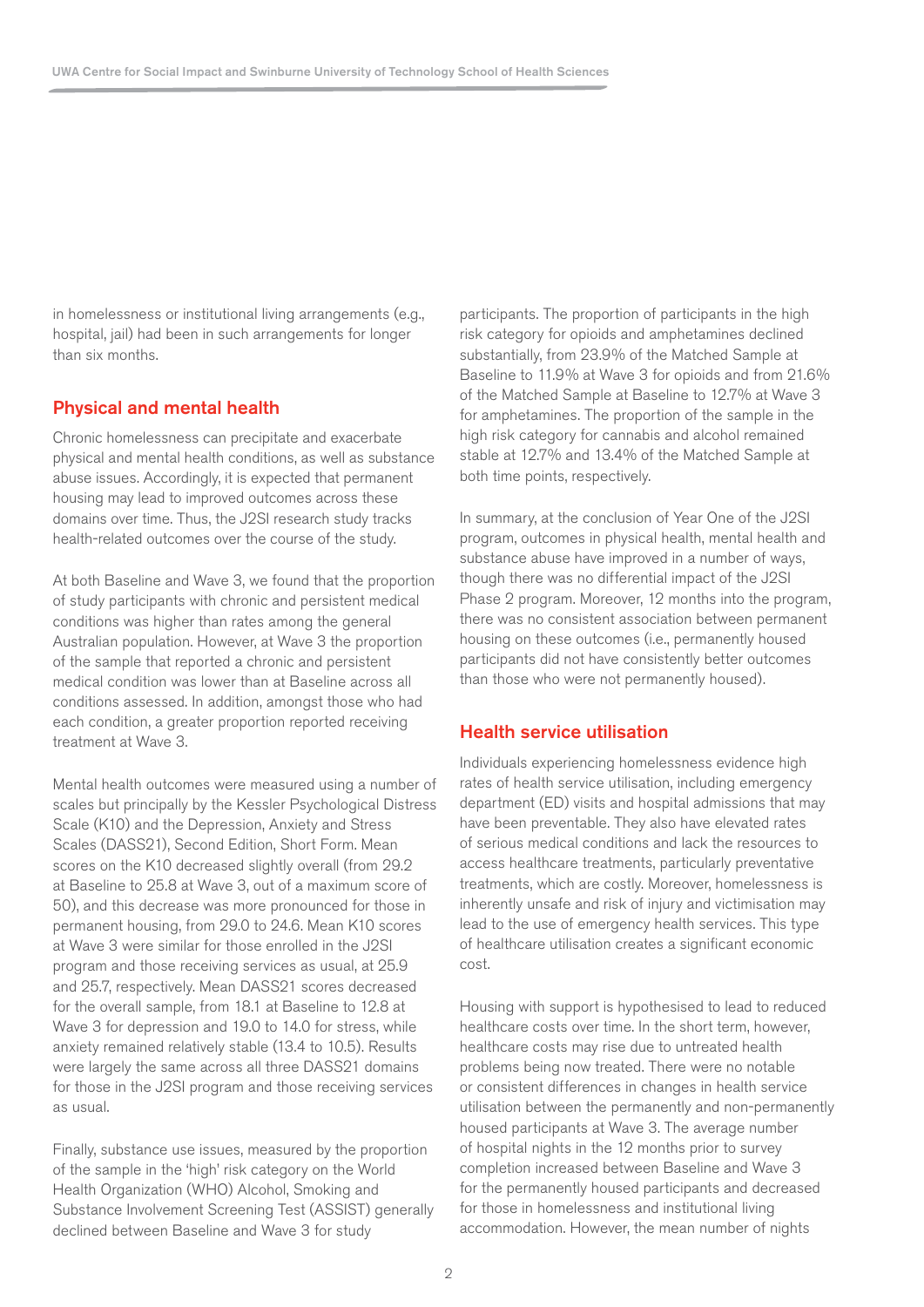in homelessness or institutional living arrangements (e.g., hospital, jail) had been in such arrangements for longer than six months.

#### Physical and mental health

Chronic homelessness can precipitate and exacerbate physical and mental health conditions, as well as substance abuse issues. Accordingly, it is expected that permanent housing may lead to improved outcomes across these domains over time. Thus, the J2SI research study tracks health-related outcomes over the course of the study.

At both Baseline and Wave 3, we found that the proportion of study participants with chronic and persistent medical conditions was higher than rates among the general Australian population. However, at Wave 3 the proportion of the sample that reported a chronic and persistent medical condition was lower than at Baseline across all conditions assessed. In addition, amongst those who had each condition, a greater proportion reported receiving treatment at Wave 3.

Mental health outcomes were measured using a number of scales but principally by the Kessler Psychological Distress Scale (K10) and the Depression, Anxiety and Stress Scales (DASS21), Second Edition, Short Form. Mean scores on the K10 decreased slightly overall (from 29.2 at Baseline to 25.8 at Wave 3, out of a maximum score of 50), and this decrease was more pronounced for those in permanent housing, from 29.0 to 24.6. Mean K10 scores at Wave 3 were similar for those enrolled in the J2SI program and those receiving services as usual, at 25.9 and 25.7, respectively. Mean DASS21 scores decreased for the overall sample, from 18.1 at Baseline to 12.8 at Wave 3 for depression and 19.0 to 14.0 for stress, while anxiety remained relatively stable (13.4 to 10.5). Results were largely the same across all three DASS21 domains for those in the J2SI program and those receiving services as usual.

Finally, substance use issues, measured by the proportion of the sample in the 'high' risk category on the World Health Organization (WHO) Alcohol, Smoking and Substance Involvement Screening Test (ASSIST) generally declined between Baseline and Wave 3 for study

participants. The proportion of participants in the high risk category for opioids and amphetamines declined substantially, from 23.9% of the Matched Sample at Baseline to 11.9% at Wave 3 for opioids and from 21.6% of the Matched Sample at Baseline to 12.7% at Wave 3 for amphetamines. The proportion of the sample in the high risk category for cannabis and alcohol remained stable at 12.7% and 13.4% of the Matched Sample at both time points, respectively.

In summary, at the conclusion of Year One of the J2SI program, outcomes in physical health, mental health and substance abuse have improved in a number of ways, though there was no differential impact of the J2SI Phase 2 program. Moreover, 12 months into the program, there was no consistent association between permanent housing on these outcomes (i.e., permanently housed participants did not have consistently better outcomes than those who were not permanently housed).

#### Health service utilisation

Individuals experiencing homelessness evidence high rates of health service utilisation, including emergency department (ED) visits and hospital admissions that may have been preventable. They also have elevated rates of serious medical conditions and lack the resources to access healthcare treatments, particularly preventative treatments, which are costly. Moreover, homelessness is inherently unsafe and risk of injury and victimisation may lead to the use of emergency health services. This type of healthcare utilisation creates a significant economic cost.

Housing with support is hypothesised to lead to reduced healthcare costs over time. In the short term, however, healthcare costs may rise due to untreated health problems being now treated. There were no notable or consistent differences in changes in health service utilisation between the permanently and non-permanently housed participants at Wave 3. The average number of hospital nights in the 12 months prior to survey completion increased between Baseline and Wave 3 for the permanently housed participants and decreased for those in homelessness and institutional living accommodation. However, the mean number of nights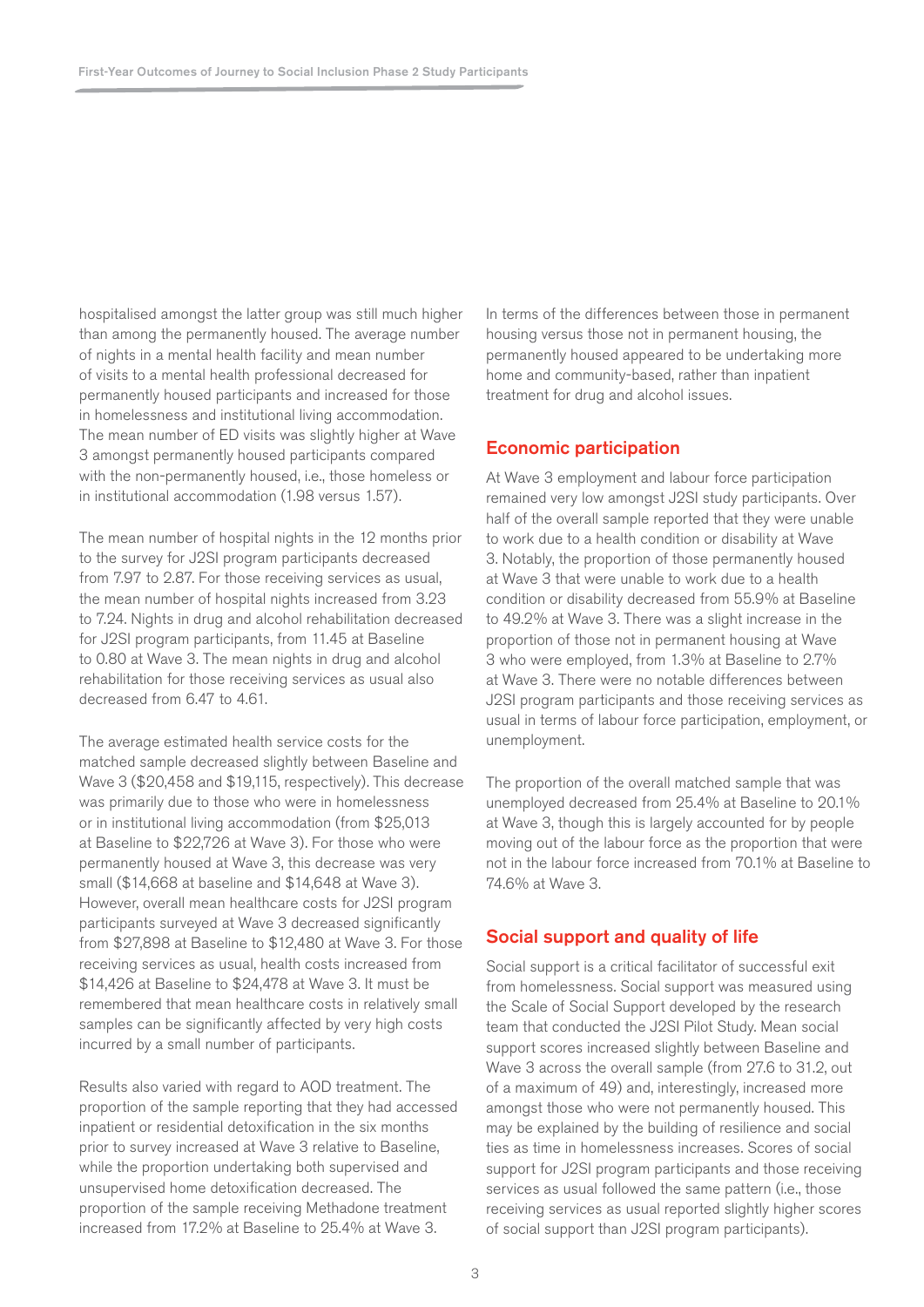hospitalised amongst the latter group was still much higher than among the permanently housed. The average number of nights in a mental health facility and mean number of visits to a mental health professional decreased for permanently housed participants and increased for those in homelessness and institutional living accommodation. The mean number of ED visits was slightly higher at Wave 3 amongst permanently housed participants compared with the non-permanently housed, i.e., those homeless or in institutional accommodation (1.98 versus 1.57).

The mean number of hospital nights in the 12 months prior to the survey for J2SI program participants decreased from 7.97 to 2.87. For those receiving services as usual, the mean number of hospital nights increased from 3.23 to 7.24. Nights in drug and alcohol rehabilitation decreased for J2SI program participants, from 11.45 at Baseline to 0.80 at Wave 3. The mean nights in drug and alcohol rehabilitation for those receiving services as usual also decreased from 6.47 to 4.61.

The average estimated health service costs for the matched sample decreased slightly between Baseline and Wave 3 (\$20,458 and \$19,115, respectively). This decrease was primarily due to those who were in homelessness or in institutional living accommodation (from \$25,013 at Baseline to \$22,726 at Wave 3). For those who were permanently housed at Wave 3, this decrease was very small (\$14,668 at baseline and \$14,648 at Wave 3). However, overall mean healthcare costs for J2SI program participants surveyed at Wave 3 decreased significantly from \$27,898 at Baseline to \$12,480 at Wave 3. For those receiving services as usual, health costs increased from \$14,426 at Baseline to \$24,478 at Wave 3. It must be remembered that mean healthcare costs in relatively small samples can be significantly affected by very high costs incurred by a small number of participants.

Results also varied with regard to AOD treatment. The proportion of the sample reporting that they had accessed inpatient or residential detoxification in the six months prior to survey increased at Wave 3 relative to Baseline, while the proportion undertaking both supervised and unsupervised home detoxification decreased. The proportion of the sample receiving Methadone treatment increased from 17.2% at Baseline to 25.4% at Wave 3.

In terms of the differences between those in permanent housing versus those not in permanent housing, the permanently housed appeared to be undertaking more home and community-based, rather than inpatient treatment for drug and alcohol issues.

#### Economic participation

At Wave 3 employment and labour force participation remained very low amongst J2SI study participants. Over half of the overall sample reported that they were unable to work due to a health condition or disability at Wave 3. Notably, the proportion of those permanently housed at Wave 3 that were unable to work due to a health condition or disability decreased from 55.9% at Baseline to 49.2% at Wave 3. There was a slight increase in the proportion of those not in permanent housing at Wave 3 who were employed, from 1.3% at Baseline to 2.7% at Wave 3. There were no notable differences between J2SI program participants and those receiving services as usual in terms of labour force participation, employment, or unemployment.

The proportion of the overall matched sample that was unemployed decreased from 25.4% at Baseline to 20.1% at Wave 3, though this is largely accounted for by people moving out of the labour force as the proportion that were not in the labour force increased from 70.1% at Baseline to 74.6% at Wave 3.

#### Social support and quality of life

Social support is a critical facilitator of successful exit from homelessness. Social support was measured using the Scale of Social Support developed by the research team that conducted the J2SI Pilot Study. Mean social support scores increased slightly between Baseline and Wave 3 across the overall sample (from 27.6 to 31.2, out of a maximum of 49) and, interestingly, increased more amongst those who were not permanently housed. This may be explained by the building of resilience and social ties as time in homelessness increases. Scores of social support for J2SI program participants and those receiving services as usual followed the same pattern (i.e., those receiving services as usual reported slightly higher scores of social support than J2SI program participants).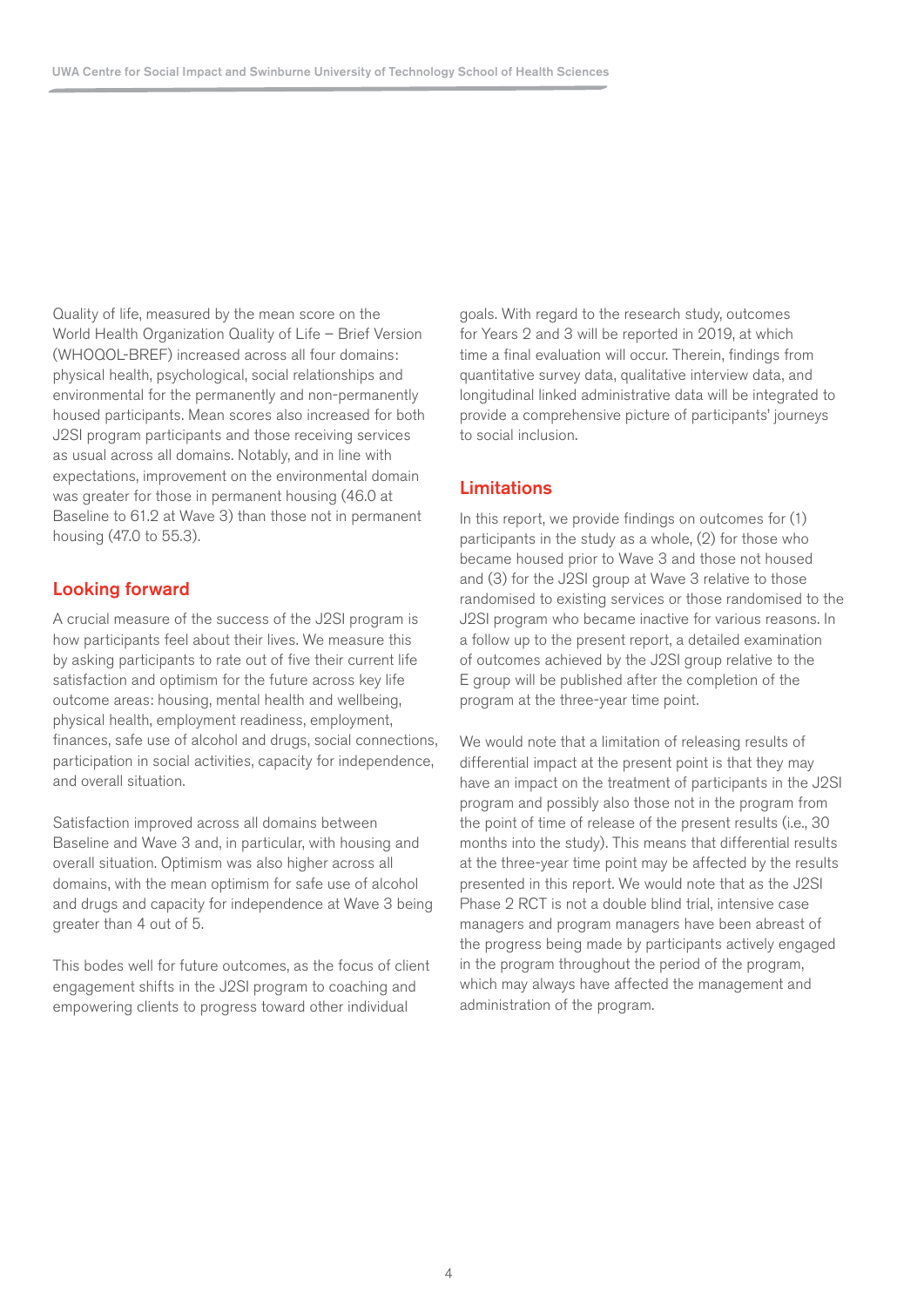Quality of life, measured by the mean score on the World Health Organization Quality of Life – Brief Version (WHOQOL-BREF) increased across all four domains: physical health, psychological, social relationships and environmental for the permanently and non-permanently housed participants. Mean scores also increased for both J2SI program participants and those receiving services as usual across all domains. Notably, and in line with expectations, improvement on the environmental domain was greater for those in permanent housing (46.0 at Baseline to 61.2 at Wave 3) than those not in permanent housing (47.0 to 55.3).

#### Looking forward

A crucial measure of the success of the J2SI program is how participants feel about their lives. We measure this by asking participants to rate out of five their current life satisfaction and optimism for the future across key life outcome areas: housing, mental health and wellbeing, physical health, employment readiness, employment, finances, safe use of alcohol and drugs, social connections, participation in social activities, capacity for independence, and overall situation.

Satisfaction improved across all domains between Baseline and Wave 3 and, in particular, with housing and overall situation. Optimism was also higher across all domains, with the mean optimism for safe use of alcohol and drugs and capacity for independence at Wave 3 being greater than 4 out of 5.

This bodes well for future outcomes, as the focus of client engagement shifts in the J2SI program to coaching and empowering clients to progress toward other individual

goals. With regard to the research study, outcomes for Years 2 and 3 will be reported in 2019, at which time a final evaluation will occur. Therein, findings from quantitative survey data, qualitative interview data, and longitudinal linked administrative data will be integrated to provide a comprehensive picture of participants' journeys to social inclusion.

#### Limitations

In this report, we provide findings on outcomes for (1) participants in the study as a whole, (2) for those who became housed prior to Wave 3 and those not housed and (3) for the J2SI group at Wave 3 relative to those randomised to existing services or those randomised to the J2SI program who became inactive for various reasons. In a follow up to the present report, a detailed examination of outcomes achieved by the J2SI group relative to the E group will be published after the completion of the program at the three-year time point.

We would note that a limitation of releasing results of differential impact at the present point is that they may have an impact on the treatment of participants in the J2SI program and possibly also those not in the program from the point of time of release of the present results (i.e., 30 months into the study). This means that differential results at the three-year time point may be affected by the results presented in this report. We would note that as the J2SI Phase 2 RCT is not a double blind trial, intensive case managers and program managers have been abreast of the progress being made by participants actively engaged in the program throughout the period of the program, which may always have affected the management and administration of the program.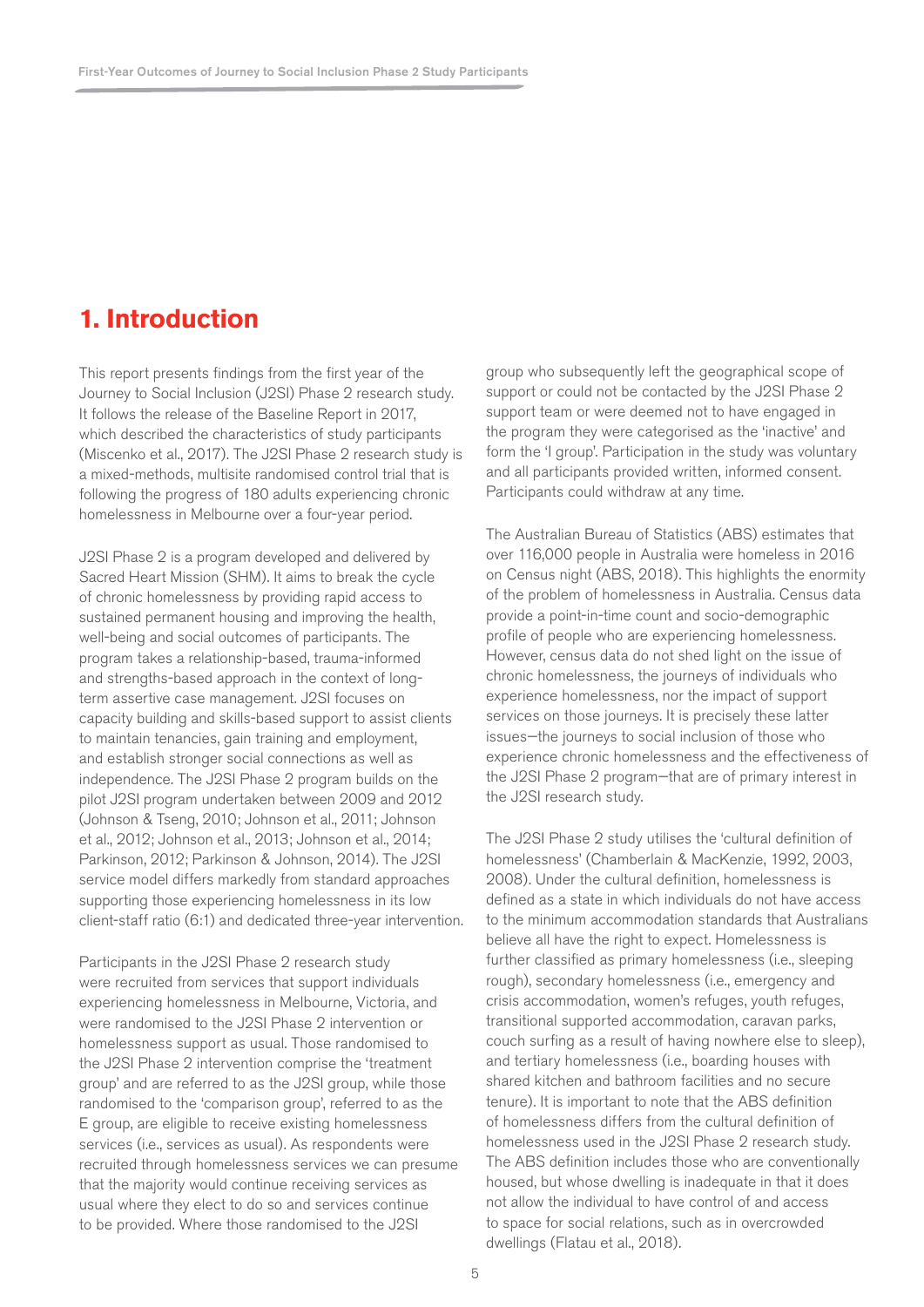## **1. Introduction**

This report presents findings from the first year of the Journey to Social Inclusion (J2SI) Phase 2 research study. It follows the release of the Baseline Report in 2017, which described the characteristics of study participants (Miscenko et al., 2017). The J2SI Phase 2 research study is a mixed-methods, multisite randomised control trial that is following the progress of 180 adults experiencing chronic homelessness in Melbourne over a four-year period.

J2SI Phase 2 is a program developed and delivered by Sacred Heart Mission (SHM). It aims to break the cycle of chronic homelessness by providing rapid access to sustained permanent housing and improving the health, well-being and social outcomes of participants. The program takes a relationship-based, trauma-informed and strengths-based approach in the context of longterm assertive case management. J2SI focuses on capacity building and skills-based support to assist clients to maintain tenancies, gain training and employment, and establish stronger social connections as well as independence. The J2SI Phase 2 program builds on the pilot J2SI program undertaken between 2009 and 2012 (Johnson & Tseng, 2010; Johnson et al., 2011; Johnson et al., 2012; Johnson et al., 2013; Johnson et al., 2014; Parkinson, 2012; Parkinson & Johnson, 2014). The J2SI service model differs markedly from standard approaches supporting those experiencing homelessness in its low client-staff ratio (6:1) and dedicated three-year intervention.

Participants in the J2SI Phase 2 research study were recruited from services that support individuals experiencing homelessness in Melbourne, Victoria, and were randomised to the J2SI Phase 2 intervention or homelessness support as usual. Those randomised to the J2SI Phase 2 intervention comprise the 'treatment group' and are referred to as the J2SI group, while those randomised to the 'comparison group', referred to as the E group, are eligible to receive existing homelessness services (i.e., services as usual). As respondents were recruited through homelessness services we can presume that the majority would continue receiving services as usual where they elect to do so and services continue to be provided. Where those randomised to the J2SI

group who subsequently left the geographical scope of support or could not be contacted by the J2SI Phase 2 support team or were deemed not to have engaged in the program they were categorised as the 'inactive' and form the 'I group'. Participation in the study was voluntary and all participants provided written, informed consent. Participants could withdraw at any time.

The Australian Bureau of Statistics (ABS) estimates that over 116,000 people in Australia were homeless in 2016 on Census night (ABS, 2018). This highlights the enormity of the problem of homelessness in Australia. Census data provide a point-in-time count and socio-demographic profile of people who are experiencing homelessness. However, census data do not shed light on the issue of chronic homelessness, the journeys of individuals who experience homelessness, nor the impact of support services on those journeys. It is precisely these latter issues—the journeys to social inclusion of those who experience chronic homelessness and the effectiveness of the J2SI Phase 2 program—that are of primary interest in the J2SI research study.

The J2SI Phase 2 study utilises the 'cultural definition of homelessness' (Chamberlain & MacKenzie, 1992, 2003, 2008). Under the cultural definition, homelessness is defined as a state in which individuals do not have access to the minimum accommodation standards that Australians believe all have the right to expect. Homelessness is further classified as primary homelessness (i.e., sleeping rough), secondary homelessness (i.e., emergency and crisis accommodation, women's refuges, youth refuges, transitional supported accommodation, caravan parks, couch surfing as a result of having nowhere else to sleep), and tertiary homelessness (i.e., boarding houses with shared kitchen and bathroom facilities and no secure tenure). It is important to note that the ABS definition of homelessness differs from the cultural definition of homelessness used in the J2SI Phase 2 research study. The ABS definition includes those who are conventionally housed, but whose dwelling is inadequate in that it does not allow the individual to have control of and access to space for social relations, such as in overcrowded dwellings (Flatau et al., 2018).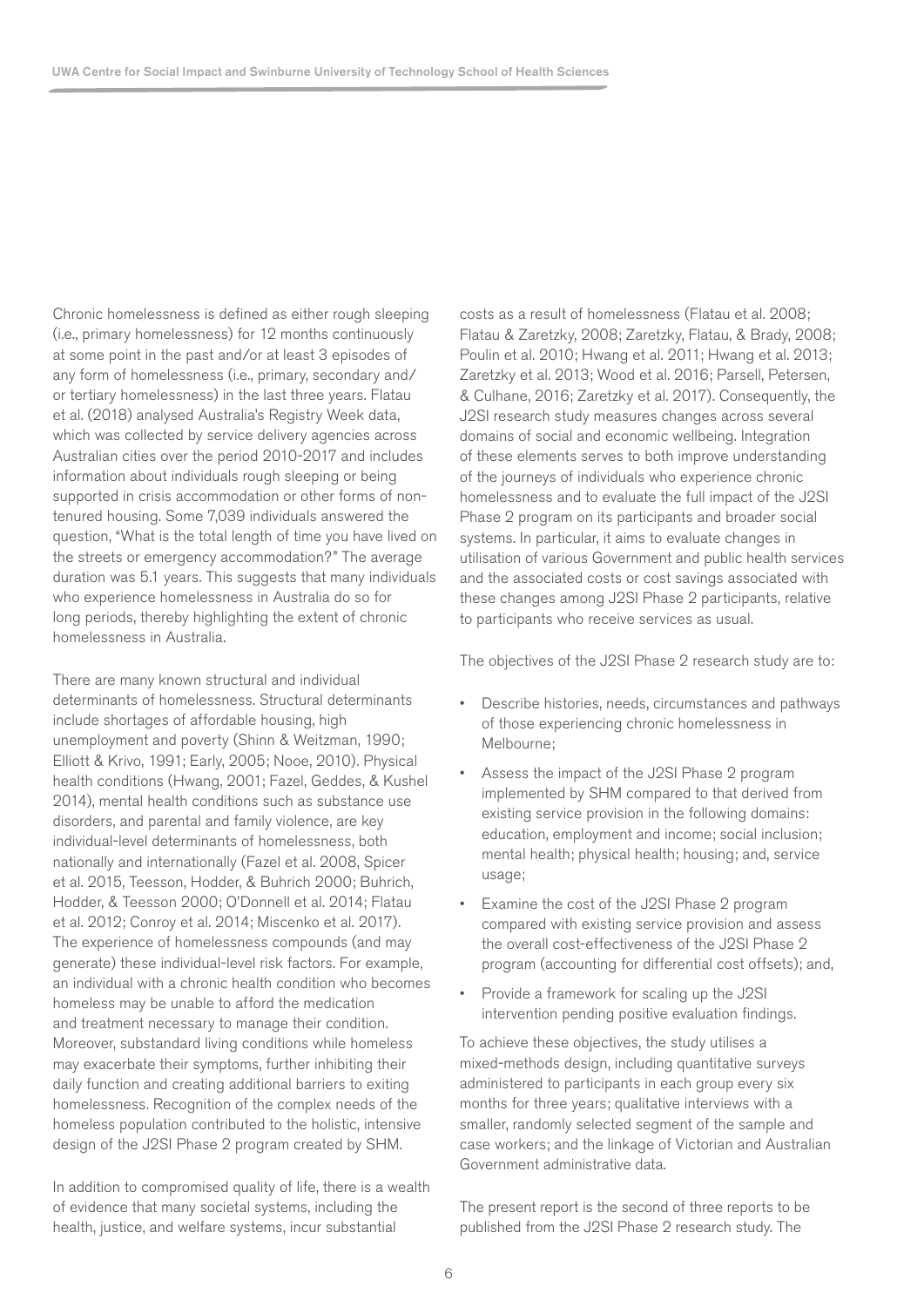Chronic homelessness is defined as either rough sleeping (i.e., primary homelessness) for 12 months continuously at some point in the past and/or at least 3 episodes of any form of homelessness (i.e., primary, secondary and/ or tertiary homelessness) in the last three years. Flatau et al. (2018) analysed Australia's Registry Week data, which was collected by service delivery agencies across Australian cities over the period 2010-2017 and includes information about individuals rough sleeping or being supported in crisis accommodation or other forms of nontenured housing. Some 7,039 individuals answered the question, "What is the total length of time you have lived on the streets or emergency accommodation?" The average duration was 5.1 years. This suggests that many individuals who experience homelessness in Australia do so for long periods, thereby highlighting the extent of chronic homelessness in Australia.

There are many known structural and individual determinants of homelessness. Structural determinants include shortages of affordable housing, high unemployment and poverty (Shinn & Weitzman, 1990; Elliott & Krivo, 1991; Early, 2005; Nooe, 2010). Physical health conditions (Hwang, 2001; Fazel, Geddes, & Kushel 2014), mental health conditions such as substance use disorders, and parental and family violence, are key individual-level determinants of homelessness, both nationally and internationally (Fazel et al. 2008, Spicer et al. 2015, Teesson, Hodder, & Buhrich 2000; Buhrich, Hodder, & Teesson 2000; O'Donnell et al. 2014; Flatau et al. 2012; Conroy et al. 2014; Miscenko et al. 2017). The experience of homelessness compounds (and may generate) these individual-level risk factors. For example, an individual with a chronic health condition who becomes homeless may be unable to afford the medication and treatment necessary to manage their condition. Moreover, substandard living conditions while homeless may exacerbate their symptoms, further inhibiting their daily function and creating additional barriers to exiting homelessness. Recognition of the complex needs of the homeless population contributed to the holistic, intensive design of the J2SI Phase 2 program created by SHM.

In addition to compromised quality of life, there is a wealth of evidence that many societal systems, including the health, justice, and welfare systems, incur substantial

costs as a result of homelessness (Flatau et al. 2008; Flatau & Zaretzky, 2008; Zaretzky, Flatau, & Brady, 2008; Poulin et al. 2010; Hwang et al. 2011; Hwang et al. 2013; Zaretzky et al. 2013; Wood et al. 2016; Parsell, Petersen, & Culhane, 2016; Zaretzky et al. 2017). Consequently, the J2SI research study measures changes across several domains of social and economic wellbeing. Integration of these elements serves to both improve understanding of the journeys of individuals who experience chronic homelessness and to evaluate the full impact of the J2SI Phase 2 program on its participants and broader social systems. In particular, it aims to evaluate changes in utilisation of various Government and public health services and the associated costs or cost savings associated with these changes among J2SI Phase 2 participants, relative to participants who receive services as usual.

The objectives of the J2SI Phase 2 research study are to:

- Describe histories, needs, circumstances and pathways of those experiencing chronic homelessness in Melbourne;
- Assess the impact of the J2SI Phase 2 program implemented by SHM compared to that derived from existing service provision in the following domains: education, employment and income; social inclusion; mental health; physical health; housing; and, service usage;
- Examine the cost of the J2SI Phase 2 program compared with existing service provision and assess the overall cost-effectiveness of the J2SI Phase 2 program (accounting for differential cost offsets); and,
- Provide a framework for scaling up the J2SI intervention pending positive evaluation findings.

To achieve these objectives, the study utilises a mixed-methods design, including quantitative surveys administered to participants in each group every six months for three years; qualitative interviews with a smaller, randomly selected segment of the sample and case workers; and the linkage of Victorian and Australian Government administrative data.

The present report is the second of three reports to be published from the J2SI Phase 2 research study. The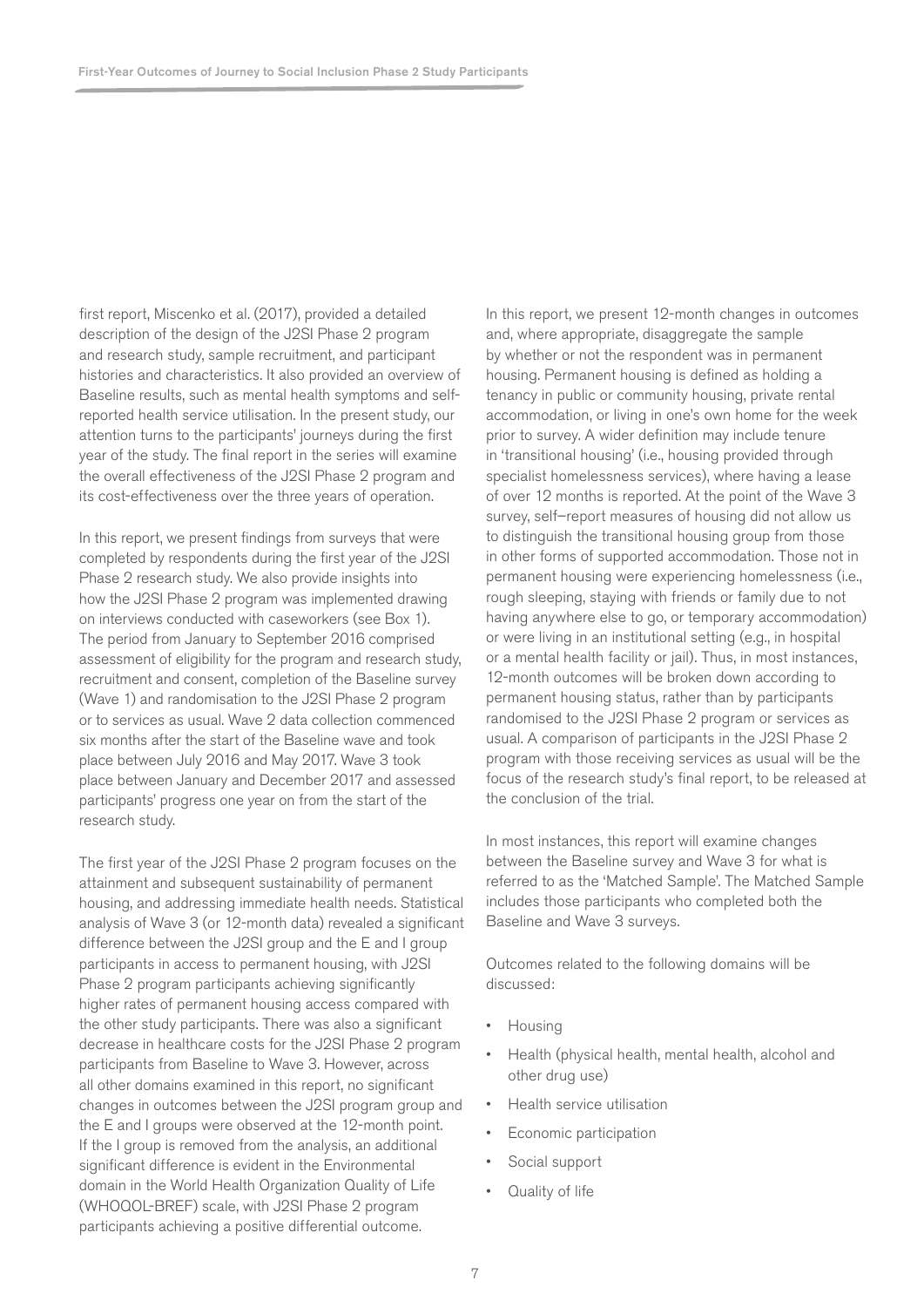first report, Miscenko et al. (2017), provided a detailed description of the design of the J2SI Phase 2 program and research study, sample recruitment, and participant histories and characteristics. It also provided an overview of Baseline results, such as mental health symptoms and selfreported health service utilisation. In the present study, our attention turns to the participants' journeys during the first year of the study. The final report in the series will examine the overall effectiveness of the J2SI Phase 2 program and its cost-effectiveness over the three years of operation.

In this report, we present findings from surveys that were completed by respondents during the first year of the J2SI Phase 2 research study. We also provide insights into how the J2SI Phase 2 program was implemented drawing on interviews conducted with caseworkers (see Box 1). The period from January to September 2016 comprised assessment of eligibility for the program and research study, recruitment and consent, completion of the Baseline survey (Wave 1) and randomisation to the J2SI Phase 2 program or to services as usual. Wave 2 data collection commenced six months after the start of the Baseline wave and took place between July 2016 and May 2017. Wave 3 took place between January and December 2017 and assessed participants' progress one year on from the start of the research study.

The first year of the J2SI Phase 2 program focuses on the attainment and subsequent sustainability of permanent housing, and addressing immediate health needs. Statistical analysis of Wave 3 (or 12-month data) revealed a significant difference between the J2SI group and the E and I group participants in access to permanent housing, with J2SI Phase 2 program participants achieving significantly higher rates of permanent housing access compared with the other study participants. There was also a significant decrease in healthcare costs for the J2SI Phase 2 program participants from Baseline to Wave 3. However, across all other domains examined in this report, no significant changes in outcomes between the J2SI program group and the E and I groups were observed at the 12-month point. If the I group is removed from the analysis, an additional significant difference is evident in the Environmental domain in the World Health Organization Quality of Life (WHOQOL-BREF) scale, with J2SI Phase 2 program participants achieving a positive differential outcome.

In this report, we present 12-month changes in outcomes and, where appropriate, disaggregate the sample by whether or not the respondent was in permanent housing. Permanent housing is defined as holding a tenancy in public or community housing, private rental accommodation, or living in one's own home for the week prior to survey. A wider definition may include tenure in 'transitional housing' (i.e., housing provided through specialist homelessness services), where having a lease of over 12 months is reported. At the point of the Wave 3 survey, self–report measures of housing did not allow us to distinguish the transitional housing group from those in other forms of supported accommodation. Those not in permanent housing were experiencing homelessness (i.e., rough sleeping, staying with friends or family due to not having anywhere else to go, or temporary accommodation) or were living in an institutional setting (e.g., in hospital or a mental health facility or jail). Thus, in most instances, 12-month outcomes will be broken down according to permanent housing status, rather than by participants randomised to the J2SI Phase 2 program or services as usual. A comparison of participants in the J2SI Phase 2 program with those receiving services as usual will be the focus of the research study's final report, to be released at the conclusion of the trial.

In most instances, this report will examine changes between the Baseline survey and Wave 3 for what is referred to as the 'Matched Sample'. The Matched Sample includes those participants who completed both the Baseline and Wave 3 surveys.

Outcomes related to the following domains will be discussed:

- Housing
- Health (physical health, mental health, alcohol and other drug use)
- Health service utilisation
- Economic participation
- Social support
- Quality of life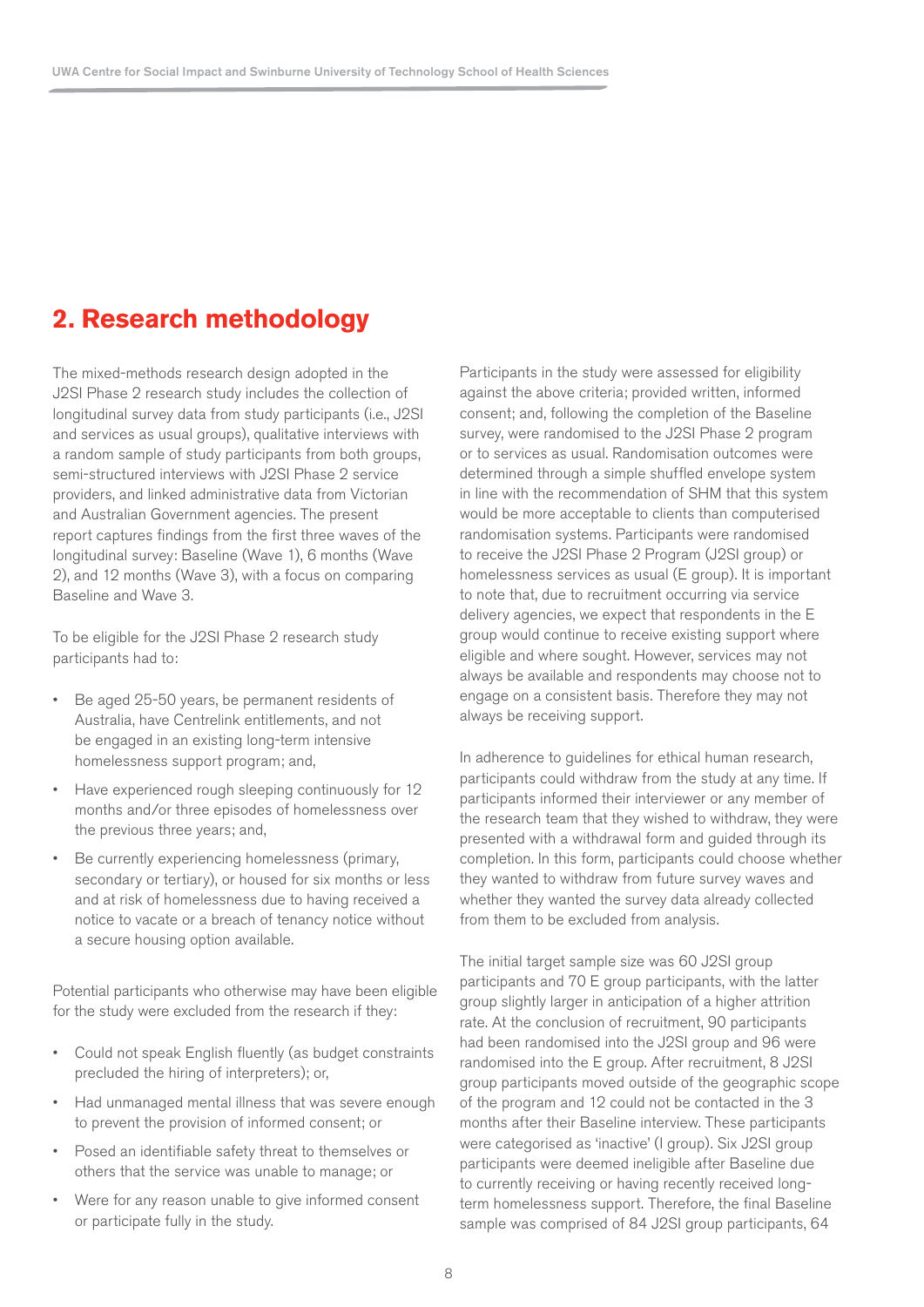## **2. Research methodology**

The mixed-methods research design adopted in the J2SI Phase 2 research study includes the collection of longitudinal survey data from study participants (i.e., J2SI and services as usual groups), qualitative interviews with a random sample of study participants from both groups, semi-structured interviews with J2SI Phase 2 service providers, and linked administrative data from Victorian and Australian Government agencies. The present report captures findings from the first three waves of the longitudinal survey: Baseline (Wave 1), 6 months (Wave 2), and 12 months (Wave 3), with a focus on comparing Baseline and Wave 3.

To be eligible for the J2SI Phase 2 research study participants had to:

- Be aged 25-50 years, be permanent residents of Australia, have Centrelink entitlements, and not be engaged in an existing long-term intensive homelessness support program; and,
- Have experienced rough sleeping continuously for 12 months and/or three episodes of homelessness over the previous three years; and,
- Be currently experiencing homelessness (primary, secondary or tertiary), or housed for six months or less and at risk of homelessness due to having received a notice to vacate or a breach of tenancy notice without a secure housing option available.

Potential participants who otherwise may have been eligible for the study were excluded from the research if they:

- Could not speak English fluently (as budget constraints precluded the hiring of interpreters); or,
- Had unmanaged mental illness that was severe enough to prevent the provision of informed consent; or
- Posed an identifiable safety threat to themselves or others that the service was unable to manage; or
- Were for any reason unable to give informed consent or participate fully in the study.

Participants in the study were assessed for eligibility against the above criteria; provided written, informed consent; and, following the completion of the Baseline survey, were randomised to the J2SI Phase 2 program or to services as usual. Randomisation outcomes were determined through a simple shuffled envelope system in line with the recommendation of SHM that this system would be more acceptable to clients than computerised randomisation systems. Participants were randomised to receive the J2SI Phase 2 Program (J2SI group) or homelessness services as usual (E group). It is important to note that, due to recruitment occurring via service delivery agencies, we expect that respondents in the E group would continue to receive existing support where eligible and where sought. However, services may not always be available and respondents may choose not to engage on a consistent basis. Therefore they may not always be receiving support.

In adherence to guidelines for ethical human research, participants could withdraw from the study at any time. If participants informed their interviewer or any member of the research team that they wished to withdraw, they were presented with a withdrawal form and guided through its completion. In this form, participants could choose whether they wanted to withdraw from future survey waves and whether they wanted the survey data already collected from them to be excluded from analysis.

The initial target sample size was 60 J2SI group participants and 70 E group participants, with the latter group slightly larger in anticipation of a higher attrition rate. At the conclusion of recruitment, 90 participants had been randomised into the J2SI group and 96 were randomised into the E group. After recruitment, 8 J2SI group participants moved outside of the geographic scope of the program and 12 could not be contacted in the 3 months after their Baseline interview. These participants were categorised as 'inactive' (I group). Six J2SI group participants were deemed ineligible after Baseline due to currently receiving or having recently received longterm homelessness support. Therefore, the final Baseline sample was comprised of 84 J2SI group participants, 64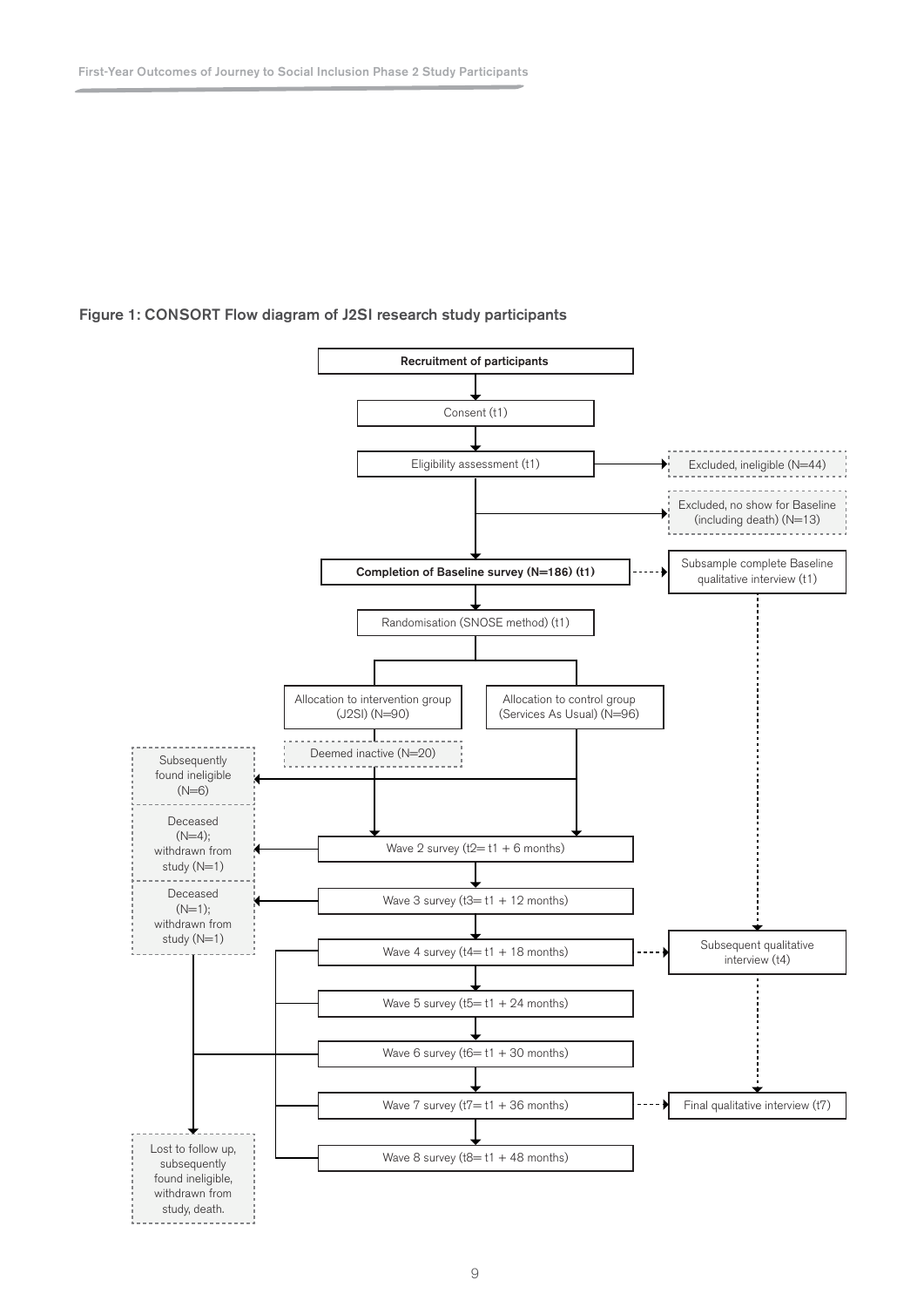#### Figure 1: CONSORT Flow diagram of J2SI research study participants

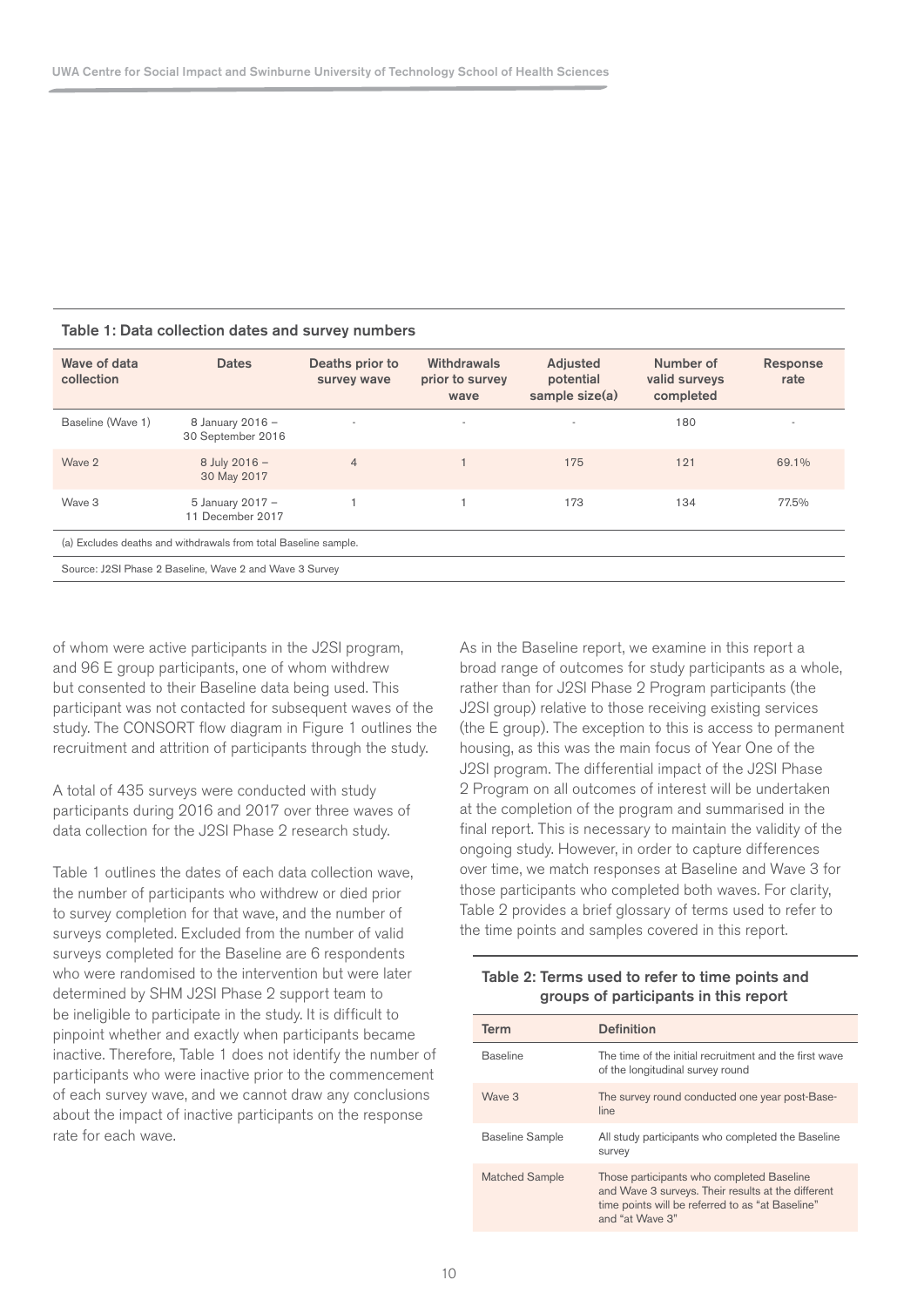#### Table 1: Data collection dates and survey numbers

| Wave of data<br>collection                              | <b>Dates</b>                                                    | Deaths prior to<br>survey wave | Withdrawals<br>prior to survey<br>wave | Adjusted<br>potential<br>sample $size(a)$ | Number of<br>valid surveys<br>completed | <b>Response</b><br>rate |
|---------------------------------------------------------|-----------------------------------------------------------------|--------------------------------|----------------------------------------|-------------------------------------------|-----------------------------------------|-------------------------|
| Baseline (Wave 1)                                       | 8 January 2016 -<br>30 September 2016                           | ٠                              | ٠                                      |                                           | 180                                     |                         |
| Wave 2                                                  | 8 July 2016 -<br>30 May 2017                                    | $\overline{4}$                 |                                        | 175                                       | 121                                     | 69.1%                   |
| Wave 3                                                  | 5 January 2017 -<br>11 December 2017                            |                                |                                        | 173                                       | 134                                     | 77.5%                   |
|                                                         | (a) Excludes deaths and withdrawals from total Baseline sample. |                                |                                        |                                           |                                         |                         |
| Source: J2SI Phase 2 Baseline, Wave 2 and Wave 3 Survey |                                                                 |                                |                                        |                                           |                                         |                         |

of whom were active participants in the J2SI program, and 96 E group participants, one of whom withdrew but consented to their Baseline data being used. This participant was not contacted for subsequent waves of the study. The CONSORT flow diagram in Figure 1 outlines the recruitment and attrition of participants through the study.

A total of 435 surveys were conducted with study participants during 2016 and 2017 over three waves of data collection for the J2SI Phase 2 research study.

Table 1 outlines the dates of each data collection wave, the number of participants who withdrew or died prior to survey completion for that wave, and the number of surveys completed. Excluded from the number of valid surveys completed for the Baseline are 6 respondents who were randomised to the intervention but were later determined by SHM J2SI Phase 2 support team to be ineligible to participate in the study. It is difficult to pinpoint whether and exactly when participants became inactive. Therefore, Table 1 does not identify the number of participants who were inactive prior to the commencement of each survey wave, and we cannot draw any conclusions about the impact of inactive participants on the response rate for each wave.

As in the Baseline report, we examine in this report a broad range of outcomes for study participants as a whole, rather than for J2SI Phase 2 Program participants (the J2SI group) relative to those receiving existing services (the E group). The exception to this is access to permanent housing, as this was the main focus of Year One of the J2SI program. The differential impact of the J2SI Phase 2 Program on all outcomes of interest will be undertaken at the completion of the program and summarised in the final report. This is necessary to maintain the validity of the ongoing study. However, in order to capture differences over time, we match responses at Baseline and Wave 3 for those participants who completed both waves. For clarity, Table 2 provides a brief glossary of terms used to refer to the time points and samples covered in this report.

#### Table 2: Terms used to refer to time points and groups of participants in this report

| Term                   | <b>Definition</b>                                                                                                                                                      |
|------------------------|------------------------------------------------------------------------------------------------------------------------------------------------------------------------|
| <b>Baseline</b>        | The time of the initial recruitment and the first wave<br>of the longitudinal survey round                                                                             |
| Wave 3                 | The survey round conducted one year post-Base-<br>line                                                                                                                 |
| <b>Baseline Sample</b> | All study participants who completed the Baseline<br>survey                                                                                                            |
| <b>Matched Sample</b>  | Those participants who completed Baseline<br>and Wave 3 surveys. Their results at the different<br>time points will be referred to as "at Baseline"<br>and "at Wave 3" |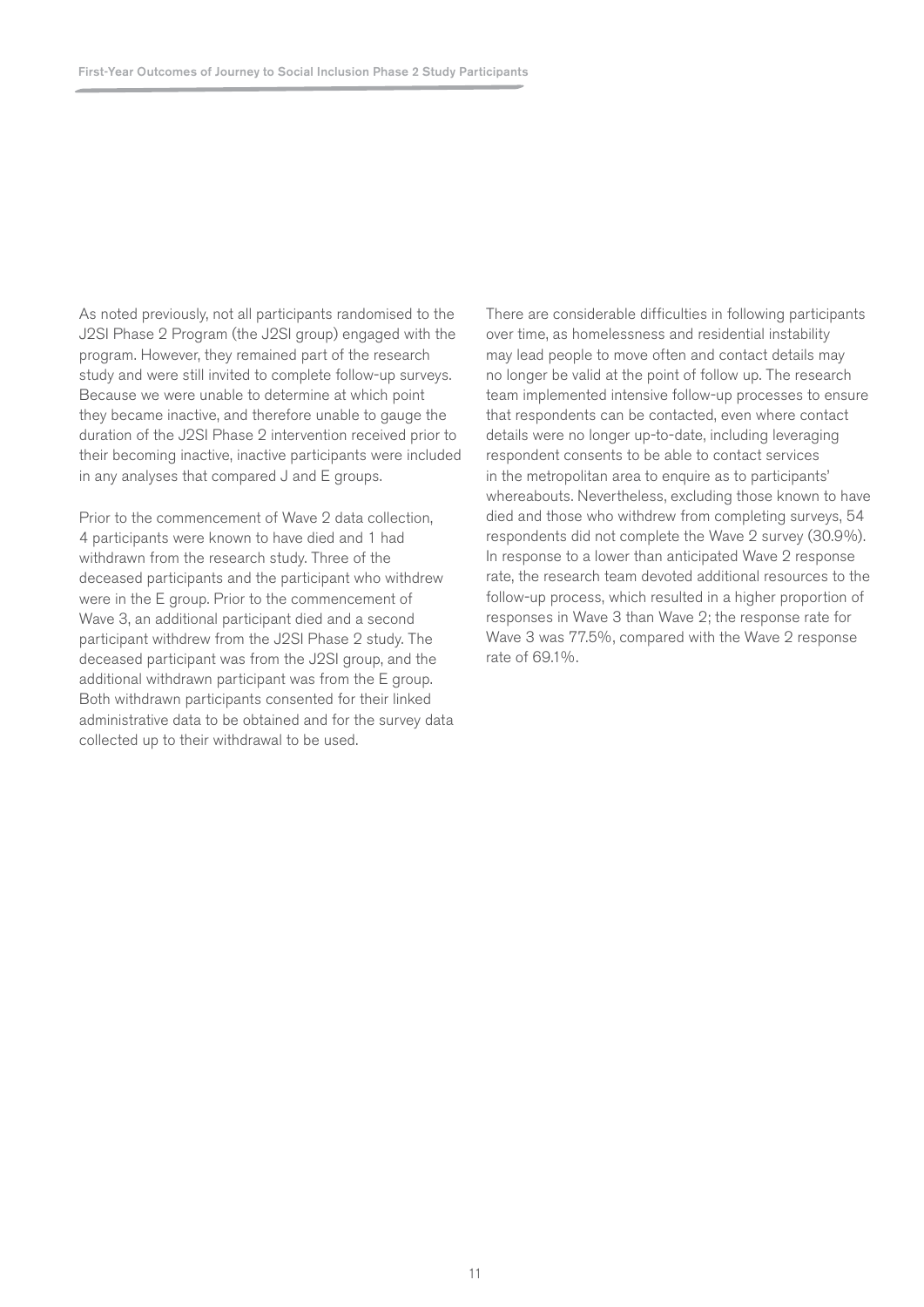As noted previously, not all participants randomised to the J2SI Phase 2 Program (the J2SI group) engaged with the program. However, they remained part of the research study and were still invited to complete follow-up surveys. Because we were unable to determine at which point they became inactive, and therefore unable to gauge the duration of the J2SI Phase 2 intervention received prior to their becoming inactive, inactive participants were included in any analyses that compared J and E groups.

Prior to the commencement of Wave 2 data collection, 4 participants were known to have died and 1 had withdrawn from the research study. Three of the deceased participants and the participant who withdrew were in the E group. Prior to the commencement of Wave 3, an additional participant died and a second participant withdrew from the J2SI Phase 2 study. The deceased participant was from the J2SI group, and the additional withdrawn participant was from the E group. Both withdrawn participants consented for their linked administrative data to be obtained and for the survey data collected up to their withdrawal to be used.

There are considerable difficulties in following participants over time, as homelessness and residential instability may lead people to move often and contact details may no longer be valid at the point of follow up. The research team implemented intensive follow-up processes to ensure that respondents can be contacted, even where contact details were no longer up-to-date, including leveraging respondent consents to be able to contact services in the metropolitan area to enquire as to participants' whereabouts. Nevertheless, excluding those known to have died and those who withdrew from completing surveys, 54 respondents did not complete the Wave 2 survey (30.9%). In response to a lower than anticipated Wave 2 response rate, the research team devoted additional resources to the follow-up process, which resulted in a higher proportion of responses in Wave 3 than Wave 2; the response rate for Wave 3 was 77.5%, compared with the Wave 2 response rate of 69.1%.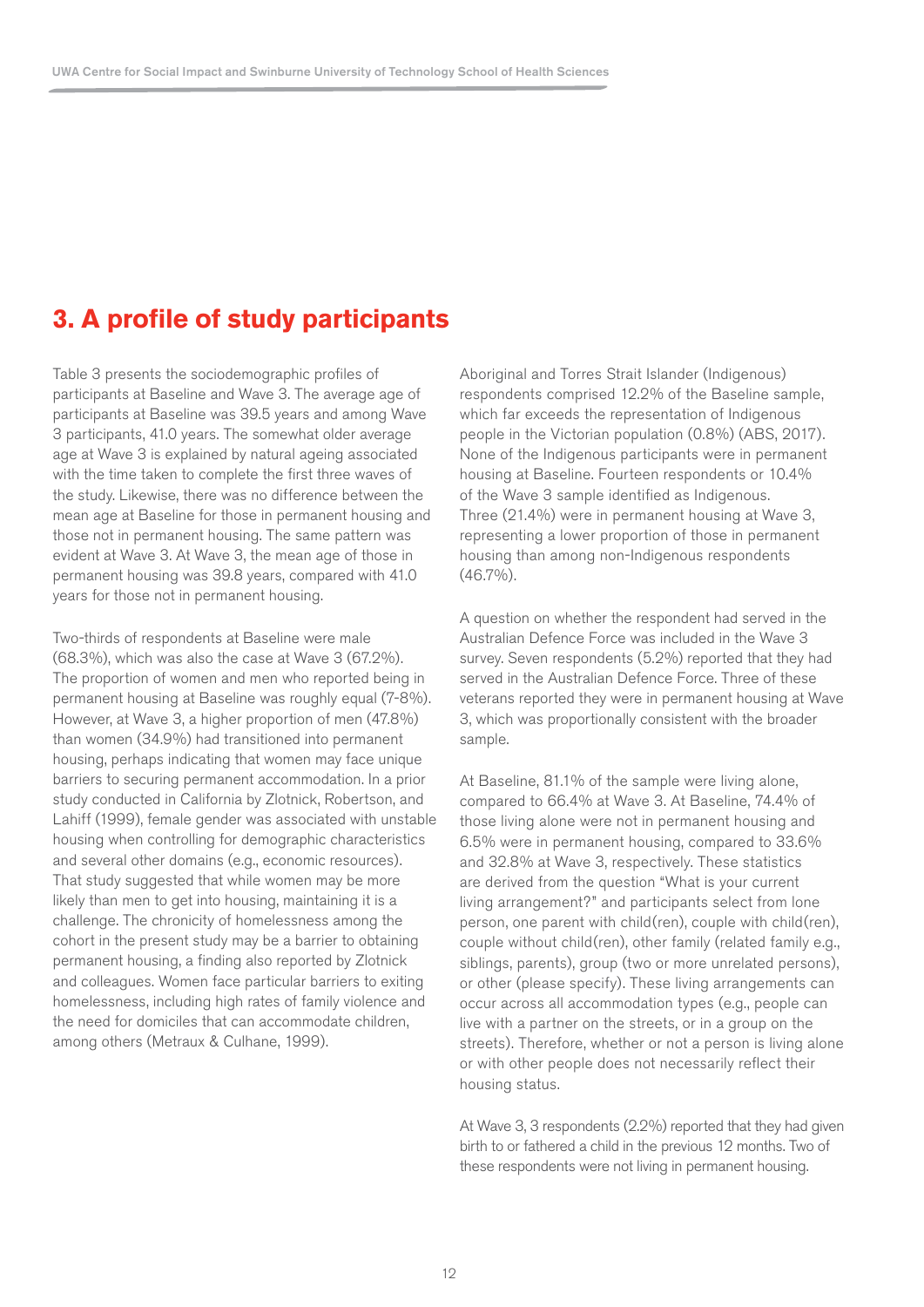## **3. A profile of study participants**

Table 3 presents the sociodemographic profiles of participants at Baseline and Wave 3. The average age of participants at Baseline was 39.5 years and among Wave 3 participants, 41.0 years. The somewhat older average age at Wave 3 is explained by natural ageing associated with the time taken to complete the first three waves of the study. Likewise, there was no difference between the mean age at Baseline for those in permanent housing and those not in permanent housing. The same pattern was evident at Wave 3. At Wave 3, the mean age of those in permanent housing was 39.8 years, compared with 41.0 years for those not in permanent housing.

Two-thirds of respondents at Baseline were male (68.3%), which was also the case at Wave 3 (67.2%). The proportion of women and men who reported being in permanent housing at Baseline was roughly equal (7-8%). However, at Wave 3, a higher proportion of men (47.8%) than women (34.9%) had transitioned into permanent housing, perhaps indicating that women may face unique barriers to securing permanent accommodation. In a prior study conducted in California by Zlotnick, Robertson, and Lahiff (1999), female gender was associated with unstable housing when controlling for demographic characteristics and several other domains (e.g., economic resources). That study suggested that while women may be more likely than men to get into housing, maintaining it is a challenge. The chronicity of homelessness among the cohort in the present study may be a barrier to obtaining permanent housing, a finding also reported by Zlotnick and colleagues. Women face particular barriers to exiting homelessness, including high rates of family violence and the need for domiciles that can accommodate children, among others (Metraux & Culhane, 1999).

Aboriginal and Torres Strait Islander (Indigenous) respondents comprised 12.2% of the Baseline sample, which far exceeds the representation of Indigenous people in the Victorian population (0.8%) (ABS, 2017). None of the Indigenous participants were in permanent housing at Baseline. Fourteen respondents or 10.4% of the Wave 3 sample identified as Indigenous. Three (21.4%) were in permanent housing at Wave 3, representing a lower proportion of those in permanent housing than among non-Indigenous respondents  $(46.7\%)$ .

A question on whether the respondent had served in the Australian Defence Force was included in the Wave 3 survey. Seven respondents (5.2%) reported that they had served in the Australian Defence Force. Three of these veterans reported they were in permanent housing at Wave 3, which was proportionally consistent with the broader sample.

At Baseline, 81.1% of the sample were living alone, compared to 66.4% at Wave 3. At Baseline, 74.4% of those living alone were not in permanent housing and 6.5% were in permanent housing, compared to 33.6% and 32.8% at Wave 3, respectively. These statistics are derived from the question "What is your current living arrangement?" and participants select from lone person, one parent with child(ren), couple with child(ren), couple without child(ren), other family (related family e.g., siblings, parents), group (two or more unrelated persons), or other (please specify). These living arrangements can occur across all accommodation types (e.g., people can live with a partner on the streets, or in a group on the streets). Therefore, whether or not a person is living alone or with other people does not necessarily reflect their housing status.

At Wave 3, 3 respondents (2.2%) reported that they had given birth to or fathered a child in the previous 12 months. Two of these respondents were not living in permanent housing.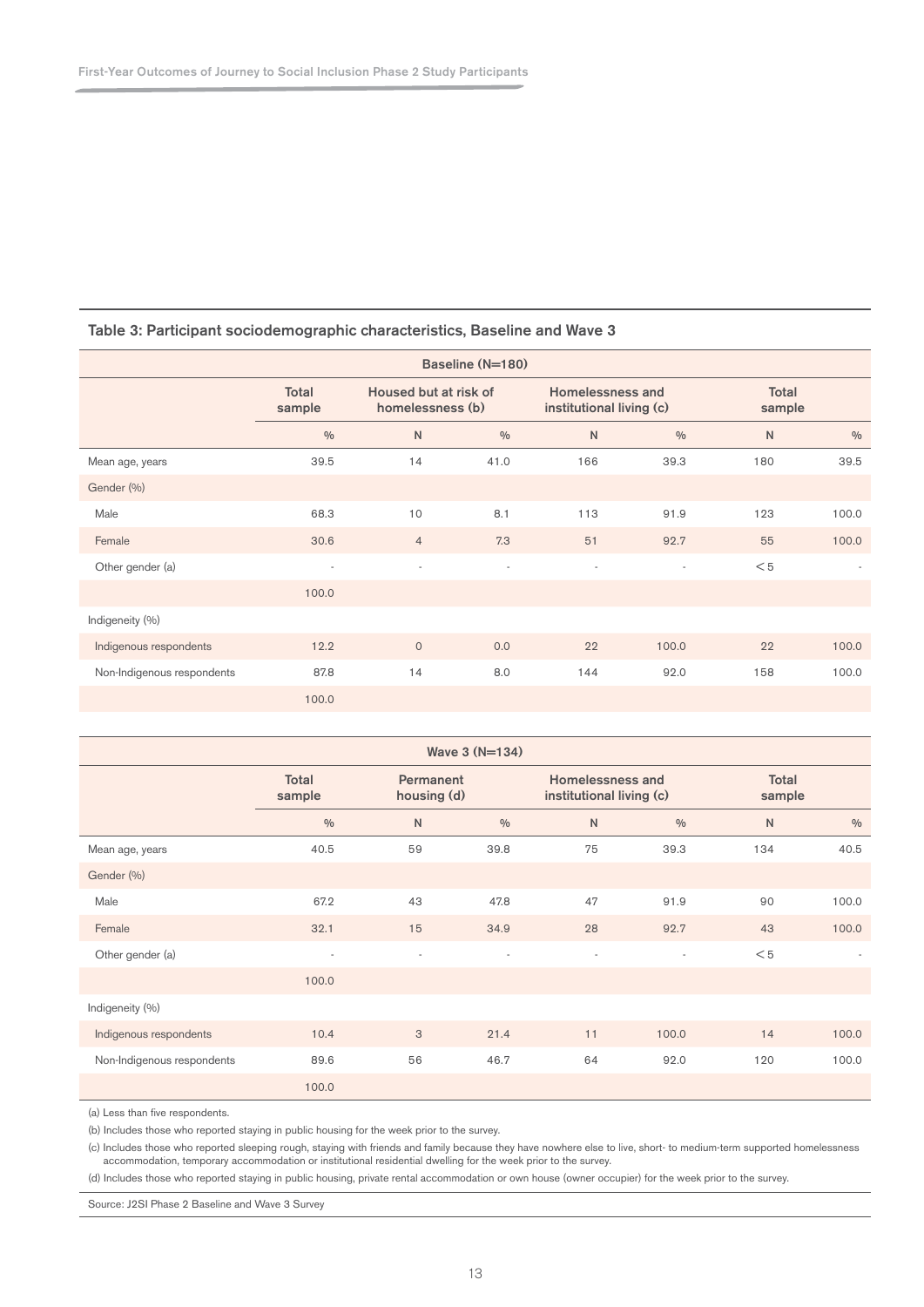| Baseline (N=180)           |                          |                                           |               |                                              |       |                        |        |  |
|----------------------------|--------------------------|-------------------------------------------|---------------|----------------------------------------------|-------|------------------------|--------|--|
|                            | Total<br>sample          | Housed but at risk of<br>homelessness (b) |               | Homelessness and<br>institutional living (c) |       | <b>Total</b><br>sample |        |  |
|                            | 0/0                      | $\mathsf{N}$                              | $\frac{0}{0}$ | N                                            | 0/0   | $\mathsf{N}$           | 0/0    |  |
| Mean age, years            | 39.5                     | 14                                        | 41.0          | 166                                          | 39.3  | 180                    | 39.5   |  |
| Gender (%)                 |                          |                                           |               |                                              |       |                        |        |  |
| Male                       | 68.3                     | 10                                        | 8.1           | 113                                          | 91.9  | 123                    | 100.0  |  |
| Female                     | 30.6                     | $\overline{4}$                            | 7.3           | 51                                           | 92.7  | 55                     | 100.0  |  |
| Other gender (a)           | $\overline{\phantom{a}}$ | $\sim$                                    | $\sim$        | $\overline{\phantom{a}}$                     | ÷,    | < 5                    | $\sim$ |  |
|                            | 100.0                    |                                           |               |                                              |       |                        |        |  |
| Indigeneity (%)            |                          |                                           |               |                                              |       |                        |        |  |
| Indigenous respondents     | 12.2                     | $\mathsf{O}$                              | 0.0           | 22                                           | 100.0 | 22                     | 100.0  |  |
| Non-Indigenous respondents | 87.8                     | 14                                        | 8.0           | 144                                          | 92.0  | 158                    | 100.0  |  |
|                            | 100.0                    |                                           |               |                                              |       |                        |        |  |

#### Table 3: Participant sociodemographic characteristics, Baseline and Wave 3

| Wave 3 (N=134)             |                 |                          |                          |                                              |               |                        |        |
|----------------------------|-----------------|--------------------------|--------------------------|----------------------------------------------|---------------|------------------------|--------|
|                            | Total<br>sample | Permanent<br>housing (d) |                          | Homelessness and<br>institutional living (c) |               | <b>Total</b><br>sample |        |
|                            | 0/0             | $\mathsf{N}$             | $\frac{0}{0}$            | $\mathsf{N}$                                 | $\frac{0}{0}$ | ${\sf N}$              | 0/0    |
| Mean age, years            | 40.5            | 59                       | 39.8                     | 75                                           | 39.3          | 134                    | 40.5   |
| Gender (%)                 |                 |                          |                          |                                              |               |                        |        |
| Male                       | 67.2            | 43                       | 47.8                     | 47                                           | 91.9          | 90                     | 100.0  |
| Female                     | 32.1            | 15                       | 34.9                     | 28                                           | 92.7          | 43                     | 100.0  |
| Other gender (a)           | $\sim$          | $\overline{\phantom{a}}$ | $\overline{\phantom{a}}$ | $\overline{\phantom{a}}$                     | $\sim$        | $< 5\,$                | $\sim$ |
|                            | 100.0           |                          |                          |                                              |               |                        |        |
| Indigeneity (%)            |                 |                          |                          |                                              |               |                        |        |
| Indigenous respondents     | 10.4            | 3                        | 21.4                     | 11                                           | 100.0         | 14                     | 100.0  |
| Non-Indigenous respondents | 89.6            | 56                       | 46.7                     | 64                                           | 92.0          | 120                    | 100.0  |
|                            | 100.0           |                          |                          |                                              |               |                        |        |

(a) Less than five respondents.

(b) Includes those who reported staying in public housing for the week prior to the survey.

(c) Includes those who reported sleeping rough, staying with friends and family because they have nowhere else to live, short- to medium-term supported homelessness accommodation, temporary accommodation or institutional residential dwelling for the week prior to the survey.

(d) Includes those who reported staying in public housing, private rental accommodation or own house (owner occupier) for the week prior to the survey.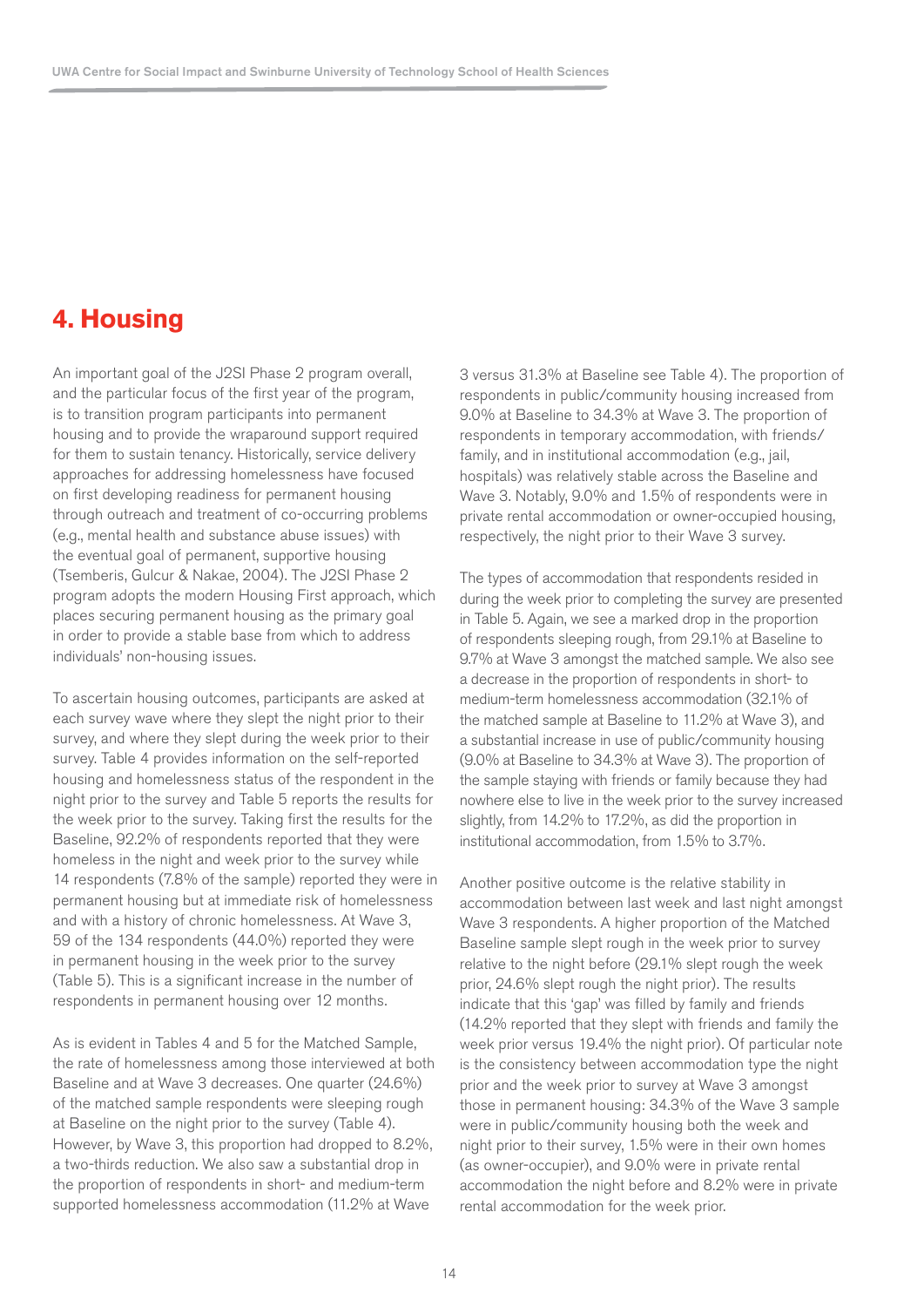### **4. Housing**

An important goal of the J2SI Phase 2 program overall, and the particular focus of the first year of the program, is to transition program participants into permanent housing and to provide the wraparound support required for them to sustain tenancy. Historically, service delivery approaches for addressing homelessness have focused on first developing readiness for permanent housing through outreach and treatment of co-occurring problems (e.g., mental health and substance abuse issues) with the eventual goal of permanent, supportive housing (Tsemberis, Gulcur & Nakae, 2004). The J2SI Phase 2 program adopts the modern Housing First approach, which places securing permanent housing as the primary goal in order to provide a stable base from which to address individuals' non-housing issues.

To ascertain housing outcomes, participants are asked at each survey wave where they slept the night prior to their survey, and where they slept during the week prior to their survey. Table 4 provides information on the self-reported housing and homelessness status of the respondent in the night prior to the survey and Table 5 reports the results for the week prior to the survey. Taking first the results for the Baseline, 92.2% of respondents reported that they were homeless in the night and week prior to the survey while 14 respondents (7.8% of the sample) reported they were in permanent housing but at immediate risk of homelessness and with a history of chronic homelessness. At Wave 3, 59 of the 134 respondents (44.0%) reported they were in permanent housing in the week prior to the survey (Table 5). This is a significant increase in the number of respondents in permanent housing over 12 months.

As is evident in Tables 4 and 5 for the Matched Sample, the rate of homelessness among those interviewed at both Baseline and at Wave 3 decreases. One quarter (24.6%) of the matched sample respondents were sleeping rough at Baseline on the night prior to the survey (Table 4). However, by Wave 3, this proportion had dropped to 8.2%, a two-thirds reduction. We also saw a substantial drop in the proportion of respondents in short- and medium-term supported homelessness accommodation (11.2% at Wave

3 versus 31.3% at Baseline see Table 4). The proportion of respondents in public/community housing increased from 9.0% at Baseline to 34.3% at Wave 3. The proportion of respondents in temporary accommodation, with friends/ family, and in institutional accommodation (e.g., jail, hospitals) was relatively stable across the Baseline and Wave 3. Notably, 9.0% and 1.5% of respondents were in private rental accommodation or owner-occupied housing, respectively, the night prior to their Wave 3 survey.

The types of accommodation that respondents resided in during the week prior to completing the survey are presented in Table 5. Again, we see a marked drop in the proportion of respondents sleeping rough, from 29.1% at Baseline to 9.7% at Wave 3 amongst the matched sample. We also see a decrease in the proportion of respondents in short- to medium-term homelessness accommodation (32.1% of the matched sample at Baseline to 11.2% at Wave 3), and a substantial increase in use of public/community housing (9.0% at Baseline to 34.3% at Wave 3). The proportion of the sample staying with friends or family because they had nowhere else to live in the week prior to the survey increased slightly, from 14.2% to 17.2%, as did the proportion in institutional accommodation, from 1.5% to 3.7%.

Another positive outcome is the relative stability in accommodation between last week and last night amongst Wave 3 respondents. A higher proportion of the Matched Baseline sample slept rough in the week prior to survey relative to the night before (29.1% slept rough the week prior, 24.6% slept rough the night prior). The results indicate that this 'gap' was filled by family and friends (14.2% reported that they slept with friends and family the week prior versus 19.4% the night prior). Of particular note is the consistency between accommodation type the night prior and the week prior to survey at Wave 3 amongst those in permanent housing: 34.3% of the Wave 3 sample were in public/community housing both the week and night prior to their survey, 1.5% were in their own homes (as owner-occupier), and 9.0% were in private rental accommodation the night before and 8.2% were in private rental accommodation for the week prior.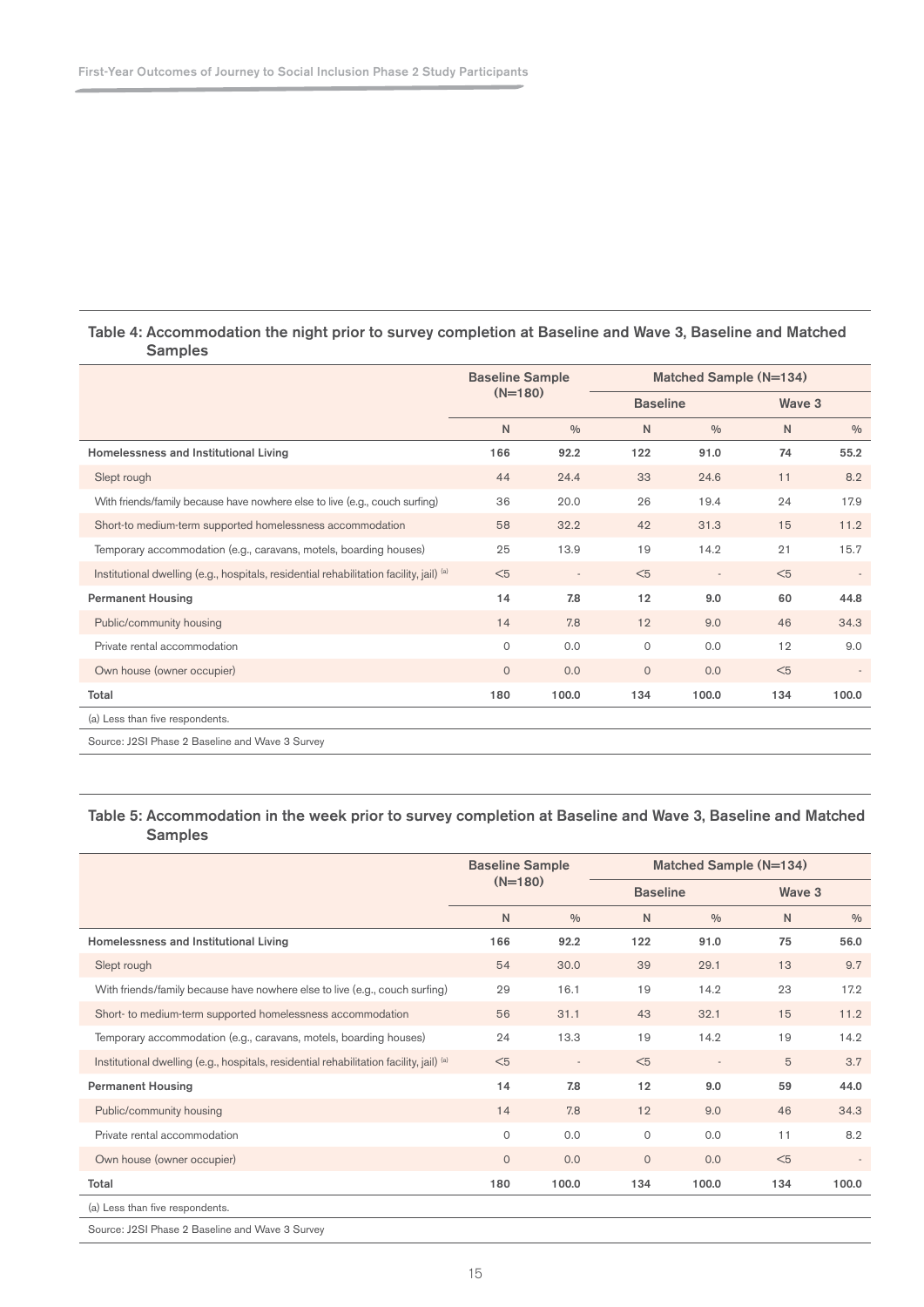#### Table 4: Accommodation the night prior to survey completion at Baseline and Wave 3, Baseline and Matched Samples

|                                                                                         | <b>Baseline Sample</b> |                          | Matched Sample (N=134) |                          |              |                          |  |
|-----------------------------------------------------------------------------------------|------------------------|--------------------------|------------------------|--------------------------|--------------|--------------------------|--|
|                                                                                         | $(N=180)$              |                          | <b>Baseline</b>        |                          | Wave 3       |                          |  |
|                                                                                         | N                      | 0/0                      | N                      | 0/0                      | $\mathsf{N}$ | 0/0                      |  |
| Homelessness and Institutional Living                                                   | 166                    | 92.2                     | 122                    | 91.0                     | 74           | 55.2                     |  |
| Slept rough                                                                             | 44                     | 24.4                     | 33                     | 24.6                     | 11           | 8.2                      |  |
| With friends/family because have nowhere else to live (e.g., couch surfing)             | 36                     | 20.0                     | 26                     | 19.4                     | 24           | 17.9                     |  |
| Short-to medium-term supported homelessness accommodation                               | 58                     | 32.2                     | 42                     | 31.3                     | 15           | 11.2                     |  |
| Temporary accommodation (e.g., caravans, motels, boarding houses)                       | 25                     | 13.9                     | 19                     | 14.2                     | 21           | 15.7                     |  |
| Institutional dwelling (e.g., hospitals, residential rehabilitation facility, jail) (a) | $<$ 5                  | $\overline{\phantom{a}}$ | $<$ 5                  | $\overline{\phantom{a}}$ | < 5          | $\sim$                   |  |
| <b>Permanent Housing</b>                                                                | 14                     | 7.8                      | 12                     | 9.0                      | 60           | 44.8                     |  |
| Public/community housing                                                                | 14                     | 7.8                      | 12                     | 9.0                      | 46           | 34.3                     |  |
| Private rental accommodation                                                            | $\circ$                | 0.0                      | $\circ$                | 0.0                      | 12           | 9.0                      |  |
| Own house (owner occupier)                                                              | $\circ$                | 0.0                      | $\circ$                | 0.0                      | < 5          | $\overline{\phantom{a}}$ |  |
| Total                                                                                   | 180                    | 100.0                    | 134                    | 100.0                    | 134          | 100.0                    |  |
| (a) Less than five respondents.                                                         |                        |                          |                        |                          |              |                          |  |
| Source: J2SI Phase 2 Baseline and Wave 3 Survey                                         |                        |                          |                        |                          |              |                          |  |

#### Table 5: Accommodation in the week prior to survey completion at Baseline and Wave 3, Baseline and Matched Samples

|                                                                                         | <b>Baseline Sample</b> |                          | Matched Sample (N=134) |                 |     |        |  |  |
|-----------------------------------------------------------------------------------------|------------------------|--------------------------|------------------------|-----------------|-----|--------|--|--|
|                                                                                         | $(N=180)$              |                          |                        | <b>Baseline</b> |     | Wave 3 |  |  |
|                                                                                         | N                      | 0/0                      | N                      | 0/0             | N   | 0/0    |  |  |
| Homelessness and Institutional Living                                                   | 166                    | 92.2                     | 122                    | 91.0            | 75  | 56.0   |  |  |
| Slept rough                                                                             | 54                     | 30.0                     | 39                     | 29.1            | 13  | 9.7    |  |  |
| With friends/family because have nowhere else to live (e.g., couch surfing)             | 29                     | 16.1                     | 19                     | 14.2            | 23  | 17.2   |  |  |
| Short- to medium-term supported homelessness accommodation                              | 56                     | 31.1                     | 43                     | 32.1            | 15  | 11.2   |  |  |
| Temporary accommodation (e.g., caravans, motels, boarding houses)                       | 24                     | 13.3                     | 19                     | 14.2            | 19  | 14.2   |  |  |
| Institutional dwelling (e.g., hospitals, residential rehabilitation facility, jail) (a) | $<$ 5                  | $\overline{\phantom{a}}$ | $<$ 5                  |                 | 5   | 3.7    |  |  |
| <b>Permanent Housing</b>                                                                | 14                     | 7.8                      | 12                     | 9.0             | 59  | 44.0   |  |  |
| Public/community housing                                                                | 14                     | 7.8                      | 12                     | 9.0             | 46  | 34.3   |  |  |
| Private rental accommodation                                                            | $\Omega$               | 0.0                      | $\Omega$               | 0.0             | 11  | 8.2    |  |  |
| Own house (owner occupier)                                                              | $\circ$                | 0.0                      | $\circ$                | 0.0             | < 5 |        |  |  |
| Total                                                                                   | 180                    | 100.0                    | 134                    | 100.0           | 134 | 100.0  |  |  |
| (a) Less than five respondents.                                                         |                        |                          |                        |                 |     |        |  |  |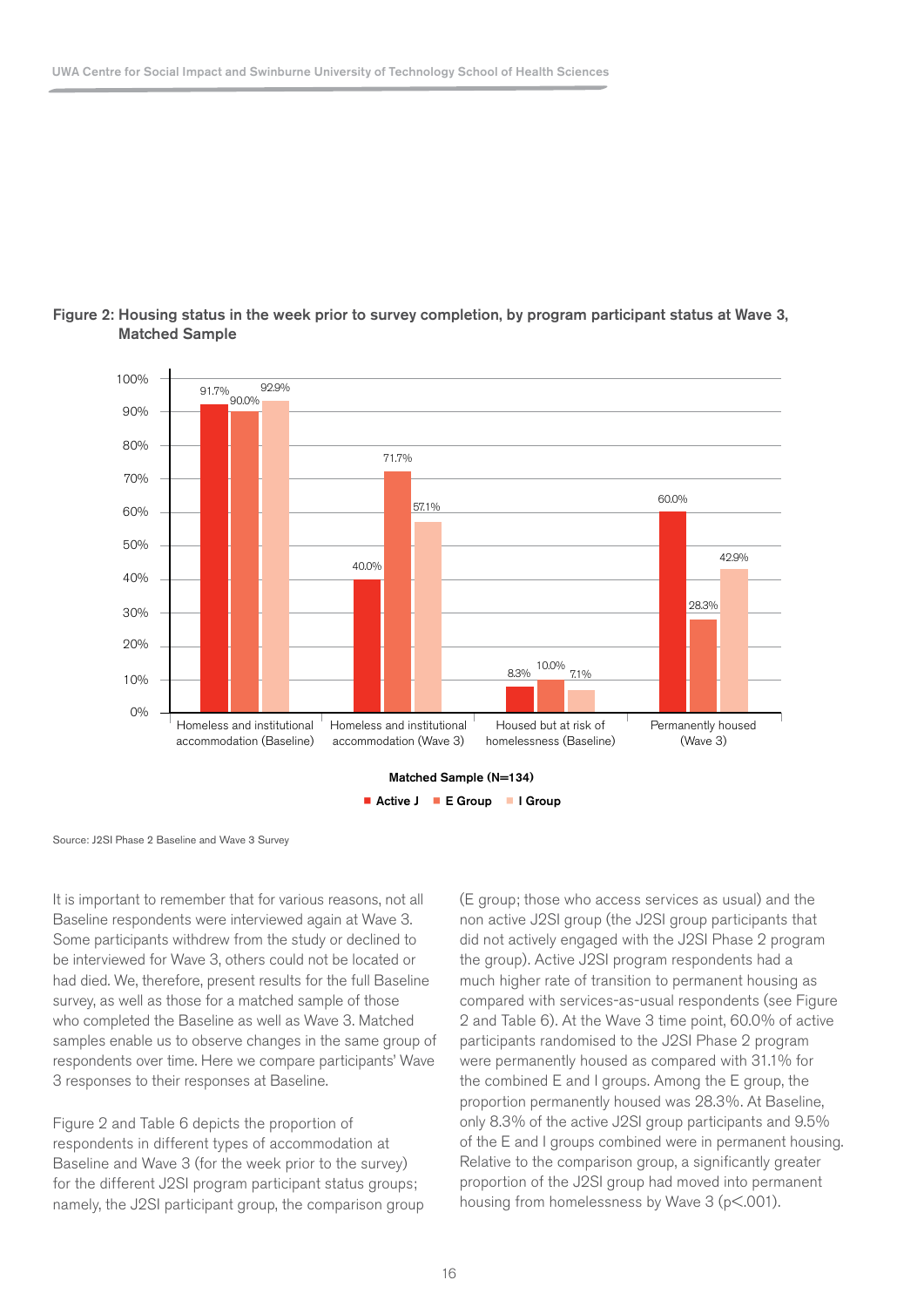

#### Figure 2: Housing status in the week prior to survey completion, by program participant status at Wave 3, Matched Sample

Source: J2SI Phase 2 Baseline and Wave 3 Survey

It is important to remember that for various reasons, not all Baseline respondents were interviewed again at Wave 3. Some participants withdrew from the study or declined to be interviewed for Wave 3, others could not be located or had died. We, therefore, present results for the full Baseline survey, as well as those for a matched sample of those who completed the Baseline as well as Wave 3. Matched samples enable us to observe changes in the same group of respondents over time. Here we compare participants' Wave 3 responses to their responses at Baseline.

Figure 2 and Table 6 depicts the proportion of respondents in different types of accommodation at Baseline and Wave 3 (for the week prior to the survey) for the different J2SI program participant status groups; namely, the J2SI participant group, the comparison group (E group; those who access services as usual) and the non active J2SI group (the J2SI group participants that did not actively engaged with the J2SI Phase 2 program the group). Active J2SI program respondents had a much higher rate of transition to permanent housing as compared with services-as-usual respondents (see Figure 2 and Table 6). At the Wave 3 time point, 60.0% of active participants randomised to the J2SI Phase 2 program were permanently housed as compared with 31.1% for the combined E and I groups. Among the E group, the proportion permanently housed was 28.3%. At Baseline, only 8.3% of the active J2SI group participants and 9.5% of the E and I groups combined were in permanent housing. Relative to the comparison group, a significantly greater proportion of the J2SI group had moved into permanent housing from homelessness by Wave 3 (p<.001).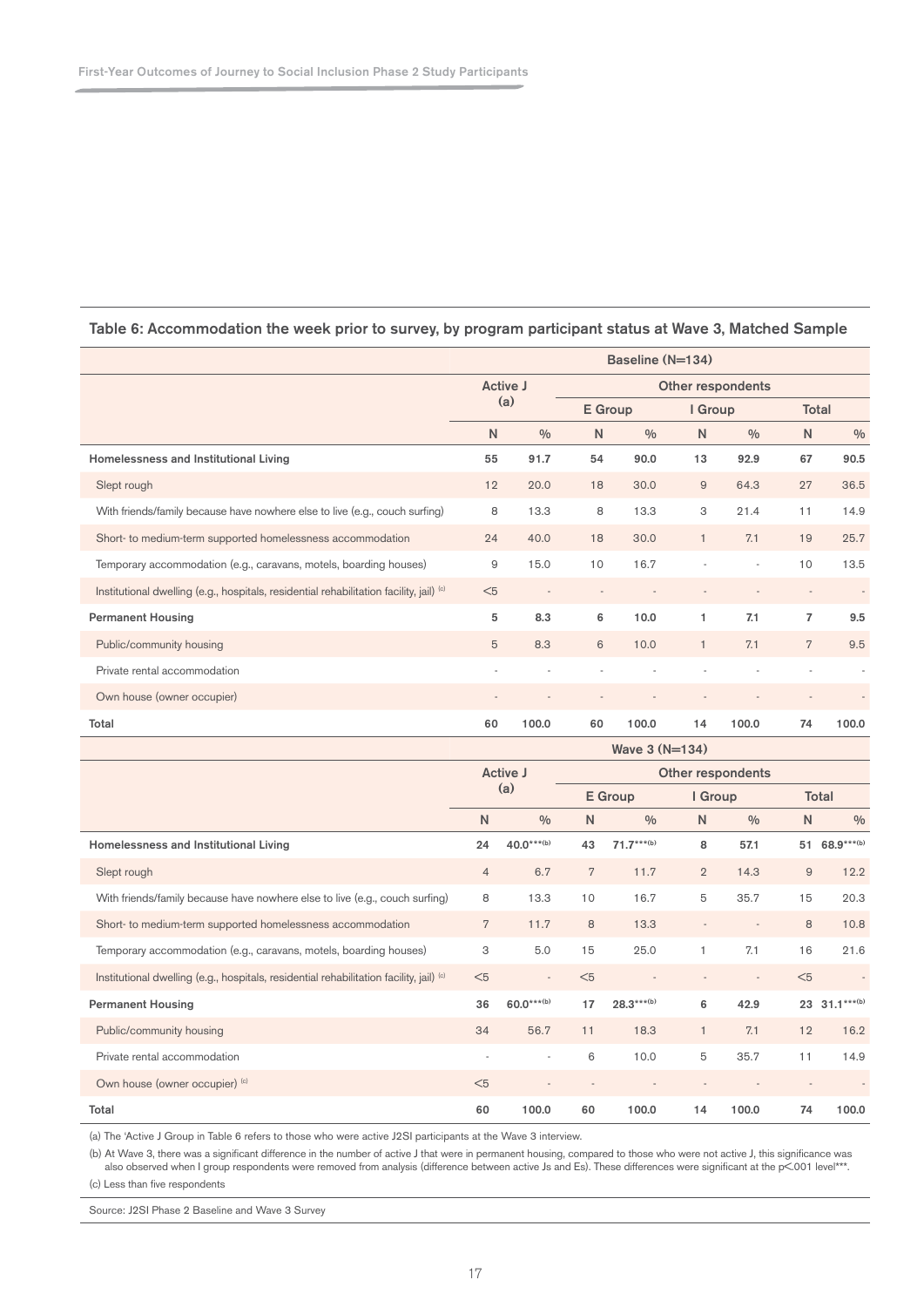|                                                                                         | Baseline (N=134) |                          |              |                          |                          |                          |                           |                          |  |
|-----------------------------------------------------------------------------------------|------------------|--------------------------|--------------|--------------------------|--------------------------|--------------------------|---------------------------|--------------------------|--|
|                                                                                         | <b>Active J</b>  |                          |              |                          | <b>Other respondents</b> |                          |                           |                          |  |
|                                                                                         |                  | (a)                      |              | <b>E</b> Group           | I Group                  |                          |                           | <b>Total</b>             |  |
|                                                                                         | N                | $\frac{0}{0}$            | $\mathsf{N}$ | 0/0                      | N                        | $\frac{0}{0}$            | $\mathsf{N}$              | $\frac{0}{0}$            |  |
| Homelessness and Institutional Living                                                   | 55               | 91.7                     | 54           | 90.0                     | 13                       | 92.9                     | 67                        | 90.5                     |  |
| Slept rough                                                                             | 12               | 20.0                     | 18           | 30.0                     | $\overline{9}$           | 64.3                     | 27                        | 36.5                     |  |
| With friends/family because have nowhere else to live (e.g., couch surfing)             | 8                | 13.3                     | 8            | 13.3                     | 3                        | 21.4                     | 11                        | 14.9                     |  |
| Short- to medium-term supported homelessness accommodation                              | 24               | 40.0                     | 18           | 30.0                     | $\mathbf{1}$             | 7.1                      | 19                        | 25.7                     |  |
| Temporary accommodation (e.g., caravans, motels, boarding houses)                       | 9                | 15.0                     | 10           | 16.7                     |                          |                          | 10                        | 13.5                     |  |
| Institutional dwelling (e.g., hospitals, residential rehabilitation facility, jail) (c) | < 5              | ÷,                       |              |                          |                          | ÷,                       |                           |                          |  |
| <b>Permanent Housing</b>                                                                | 5                | 8.3                      | 6            | 10.0                     | 1                        | 7.1                      | $\overline{\mathfrak{c}}$ | 9.5                      |  |
| Public/community housing                                                                | 5                | 8.3                      | $\,$ 6 $\,$  | 10.0                     | $\mathbf{1}$             | 7.1                      | $\overline{7}$            | 9.5                      |  |
| Private rental accommodation                                                            |                  |                          |              |                          |                          |                          |                           |                          |  |
| Own house (owner occupier)                                                              |                  |                          |              |                          |                          |                          |                           |                          |  |
| Total                                                                                   | 60               | 100.0                    | 60           | 100.0                    | 14                       | 100.0                    | 74                        | 100.0                    |  |
|                                                                                         |                  |                          |              | Wave 3 (N=134)           |                          |                          |                           |                          |  |
|                                                                                         |                  | <b>Active J</b>          |              |                          | <b>Other respondents</b> |                          |                           |                          |  |
|                                                                                         |                  | (a)                      |              | E Group                  | I Group                  |                          | <b>Total</b>              |                          |  |
|                                                                                         | $\mathsf{N}$     | $\frac{0}{0}$            | N            | $\frac{0}{0}$            | N                        | $\frac{0}{0}$            | $\mathsf{N}$              | $\frac{0}{0}$            |  |
| Homelessness and Institutional Living                                                   | 24               | $40.0***$ <sup>(b)</sup> | 43           | $71.7***$ <sup>(b)</sup> | 8                        | 57.1                     |                           | 51 68.9***(b)            |  |
| Slept rough                                                                             | $\overline{4}$   | 6.7                      | $\sqrt{7}$   | 11.7                     | $\overline{2}$           | 14.3                     | $\hbox{9}$                | 12.2                     |  |
| With friends/family because have nowhere else to live (e.g., couch surfing)             | 8                | 13.3                     | 10           | 16.7                     | 5                        | 35.7                     | 15                        | 20.3                     |  |
| Short- to medium-term supported homelessness accommodation                              | $\sqrt{7}$       | 11.7                     | $\,$ 8 $\,$  | 13.3                     |                          | $\overline{\phantom{a}}$ | $\,8\,$                   | 10.8                     |  |
| Temporary accommodation (e.g., caravans, motels, boarding houses)                       | 3                | 5.0                      | 15           | 25.0                     | $\mathbf{1}$             | 7.1                      | 16                        | 21.6                     |  |
| Institutional dwelling (e.g., hospitals, residential rehabilitation facility, jail) (c) | $5$              |                          | $5$          |                          |                          | ÷,                       | $<$ 5                     |                          |  |
| <b>Permanent Housing</b>                                                                | 36               | $60.0***$ (b)            | 17           | $28.3***$                | 6                        | 42.9                     | 23                        | $31.1***$ <sup>(b)</sup> |  |
| Public/community housing                                                                | 34               | 56.7                     | 11           | 18.3                     | $\mathbf{1}$             | 7.1                      | 12                        | 16.2                     |  |
| Private rental accommodation                                                            |                  |                          | 6            | 10.0                     | 5                        | 35.7                     | 11                        | 14.9                     |  |
| Own house (owner occupier) (c)                                                          | $5$              |                          |              |                          |                          |                          |                           |                          |  |
| Total                                                                                   | 60               | 100.0                    | 60           | 100.0                    | 14                       | 100.0                    | 74                        | 100.0                    |  |

#### Table 6: Accommodation the week prior to survey, by program participant status at Wave 3, Matched Sample

(a) The 'Active J Group in Table 6 refers to those who were active J2SI participants at the Wave 3 interview.

(b) At Wave 3, there was a significant difference in the number of active J that were in permanent housing, compared to those who were not active J, this significance was also observed when I group respondents were removed from analysis (difference between active Js and Es). These differences were significant at the p<.001 level\*\*\*. (c) Less than five respondents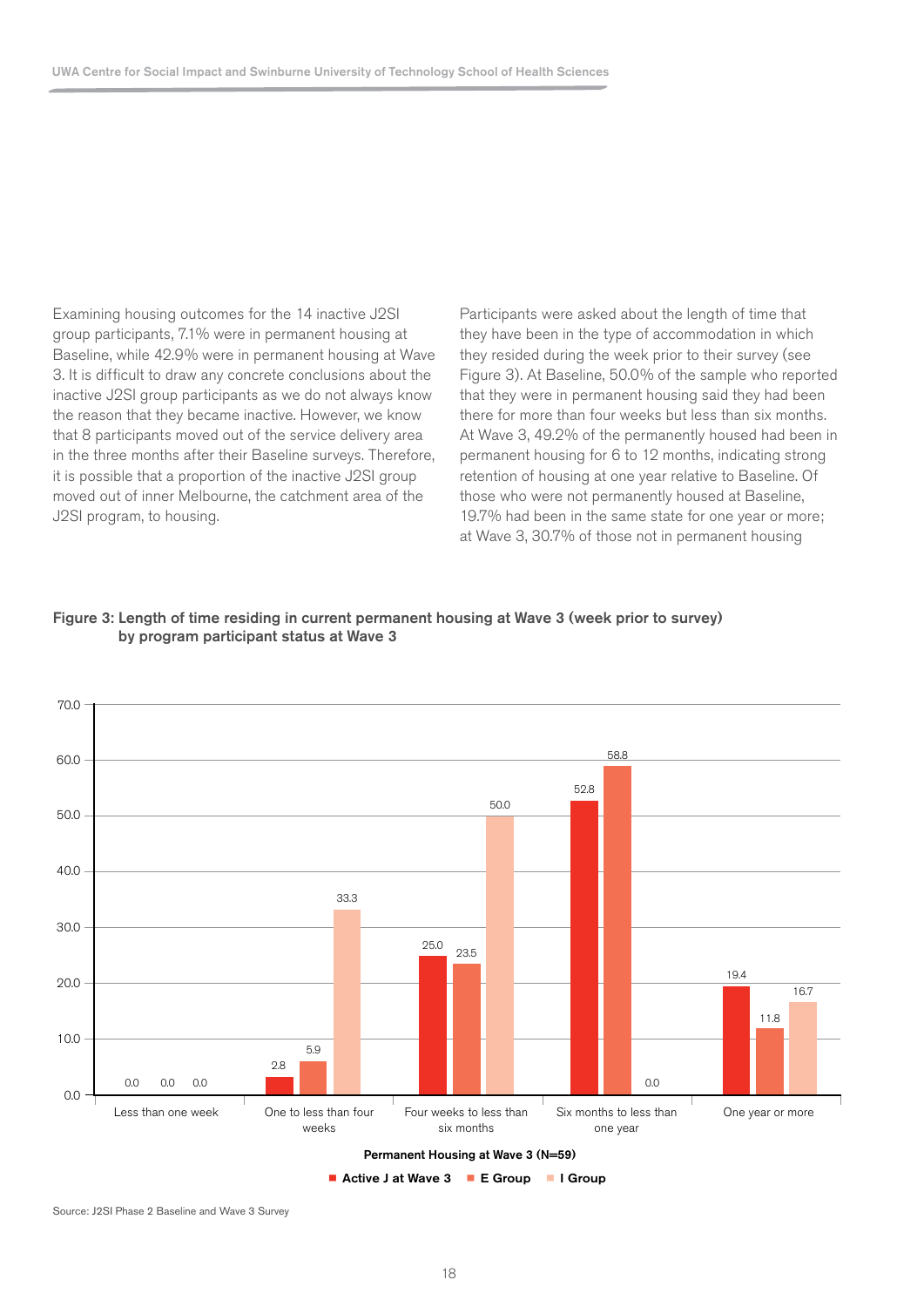Examining housing outcomes for the 14 inactive J2SI group participants, 7.1% were in permanent housing at Baseline, while 42.9% were in permanent housing at Wave 3. It is difficult to draw any concrete conclusions about the inactive J2SI group participants as we do not always know the reason that they became inactive. However, we know that 8 participants moved out of the service delivery area in the three months after their Baseline surveys. Therefore, it is possible that a proportion of the inactive J2SI group moved out of inner Melbourne, the catchment area of the J2SI program, to housing.

Participants were asked about the length of time that they have been in the type of accommodation in which they resided during the week prior to their survey (see Figure 3). At Baseline, 50.0% of the sample who reported that they were in permanent housing said they had been there for more than four weeks but less than six months. At Wave 3, 49.2% of the permanently housed had been in permanent housing for 6 to 12 months, indicating strong retention of housing at one year relative to Baseline. Of those who were not permanently housed at Baseline, 19.7% had been in the same state for one year or more; at Wave 3, 30.7% of those not in permanent housing



#### Figure 3: Length of time residing in current permanent housing at Wave 3 (week prior to survey) by program participant status at Wave 3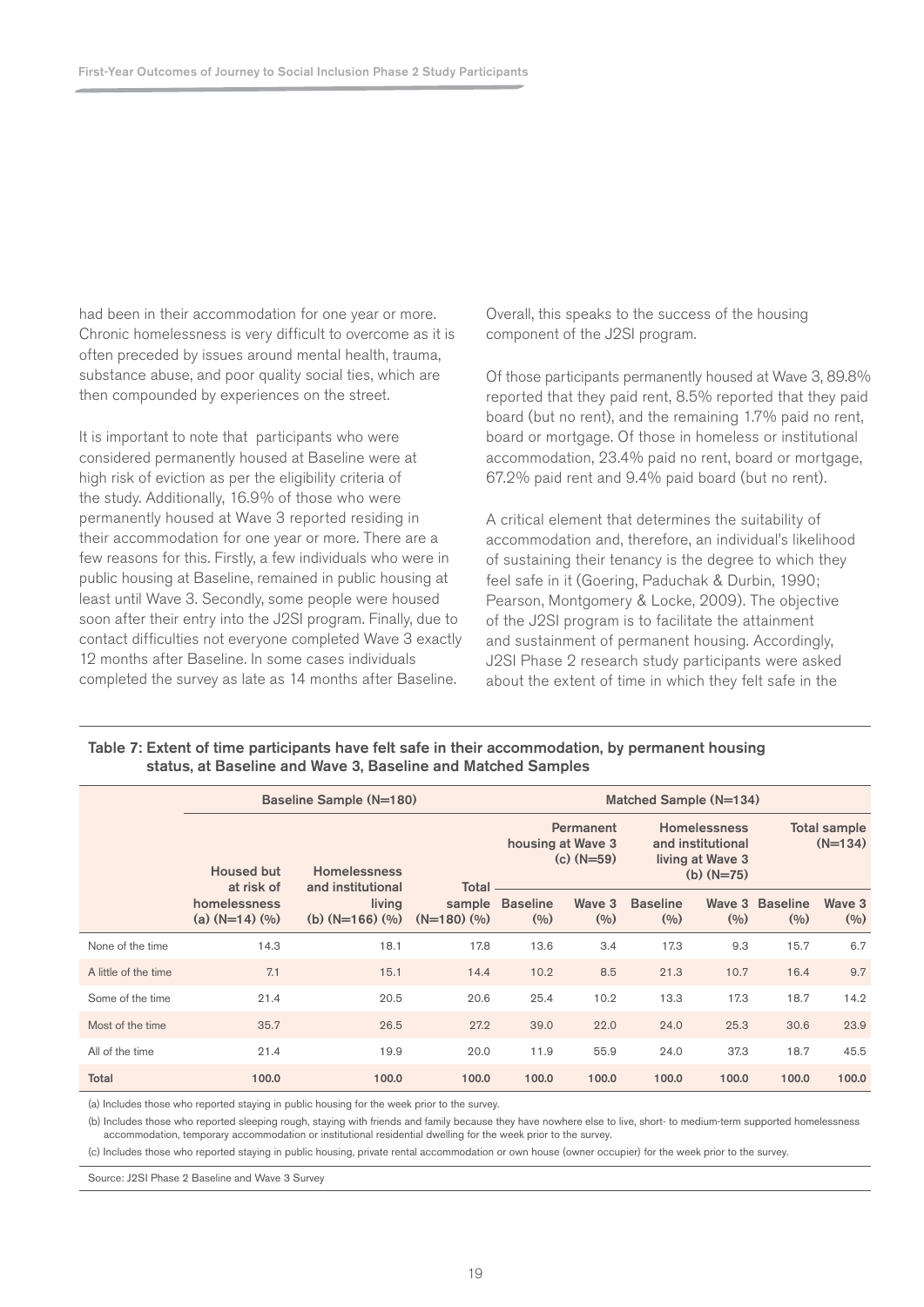had been in their accommodation for one year or more. Chronic homelessness is very difficult to overcome as it is often preceded by issues around mental health, trauma, substance abuse, and poor quality social ties, which are then compounded by experiences on the street.

It is important to note that participants who were considered permanently housed at Baseline were at high risk of eviction as per the eligibility criteria of the study. Additionally, 16.9% of those who were permanently housed at Wave 3 reported residing in their accommodation for one year or more. There are a few reasons for this. Firstly, a few individuals who were in public housing at Baseline, remained in public housing at least until Wave 3. Secondly, some people were housed soon after their entry into the J2SI program. Finally, due to contact difficulties not everyone completed Wave 3 exactly 12 months after Baseline. In some cases individuals completed the survey as late as 14 months after Baseline.

Overall, this speaks to the success of the housing component of the J2SI program.

Of those participants permanently housed at Wave 3, 89.8% reported that they paid rent, 8.5% reported that they paid board (but no rent), and the remaining 1.7% paid no rent, board or mortgage. Of those in homeless or institutional accommodation, 23.4% paid no rent, board or mortgage, 67.2% paid rent and 9.4% paid board (but no rent).

A critical element that determines the suitability of accommodation and, therefore, an individual's likelihood of sustaining their tenancy is the degree to which they feel safe in it (Goering, Paduchak & Durbin, 1990; Pearson, Montgomery & Locke, 2009). The objective of the J2SI program is to facilitate the attainment and sustainment of permanent housing. Accordingly, J2SI Phase 2 research study participants were asked about the extent of time in which they felt safe in the

| Table 7: Extent of time participants have felt safe in their accommodation, by permanent housing |
|--------------------------------------------------------------------------------------------------|
| status, at Baseline and Wave 3. Baseline and Matched Samples                                     |

|                      |                                                                      | Baseline Sample (N=180)        |               | Matched Sample (N=134)   |                                                |                          |                                                                              |                          |                           |  |  |
|----------------------|----------------------------------------------------------------------|--------------------------------|---------------|--------------------------|------------------------------------------------|--------------------------|------------------------------------------------------------------------------|--------------------------|---------------------------|--|--|
|                      | Housed but<br><b>Homelessness</b><br>at risk of<br>and institutional |                                | Total         |                          | Permanent<br>housing at Wave 3<br>$(c)$ (N=59) |                          | <b>Homelessness</b><br>and institutional<br>living at Wave 3<br>$(b)$ (N=75) |                          | Total sample<br>$(N=134)$ |  |  |
|                      | homelessness<br>(a) $(N=14)$ $(\%)$                                  | living<br>(b) $(N=166)$ $(\%)$ | $(N=180)(\%)$ | sample Baseline<br>(0/0) | Wave 3<br>(9/0)                                | <b>Baseline</b><br>(0/0) | (0/0)                                                                        | Wave 3 Baseline<br>(0/0) | Wave 3<br>(0/0)           |  |  |
| None of the time     | 14.3                                                                 | 18.1                           | 17.8          | 13.6                     | 3.4                                            | 17.3                     | 9.3                                                                          | 15.7                     | 6.7                       |  |  |
| A little of the time | 7.1                                                                  | 15.1                           | 14.4          | 10.2                     | 8.5                                            | 21.3                     | 10.7                                                                         | 16.4                     | 9.7                       |  |  |
| Some of the time     | 21.4                                                                 | 20.5                           | 20.6          | 25.4                     | 10.2                                           | 13.3                     | 17.3                                                                         | 18.7                     | 14.2                      |  |  |
| Most of the time     | 35.7                                                                 | 26.5                           | 27.2          | 39.0                     | 22.0                                           | 24.0                     | 25.3                                                                         | 30.6                     | 23.9                      |  |  |
| All of the time      | 21.4                                                                 | 19.9                           | 20.0          | 11.9                     | 55.9                                           | 24.0                     | 37.3                                                                         | 18.7                     | 45.5                      |  |  |
| Total                | 100.0                                                                | 100.0                          | 100.0         | 100.0                    | 100.0                                          | 100.0                    | 100.0                                                                        | 100.0                    | 100.0                     |  |  |

(a) Includes those who reported staying in public housing for the week prior to the survey.

(b) Includes those who reported sleeping rough, staying with friends and family because they have nowhere else to live, short- to medium-term supported homelessness accommodation, temporary accommodation or institutional residential dwelling for the week prior to the survey.

(c) Includes those who reported staying in public housing, private rental accommodation or own house (owner occupier) for the week prior to the survey.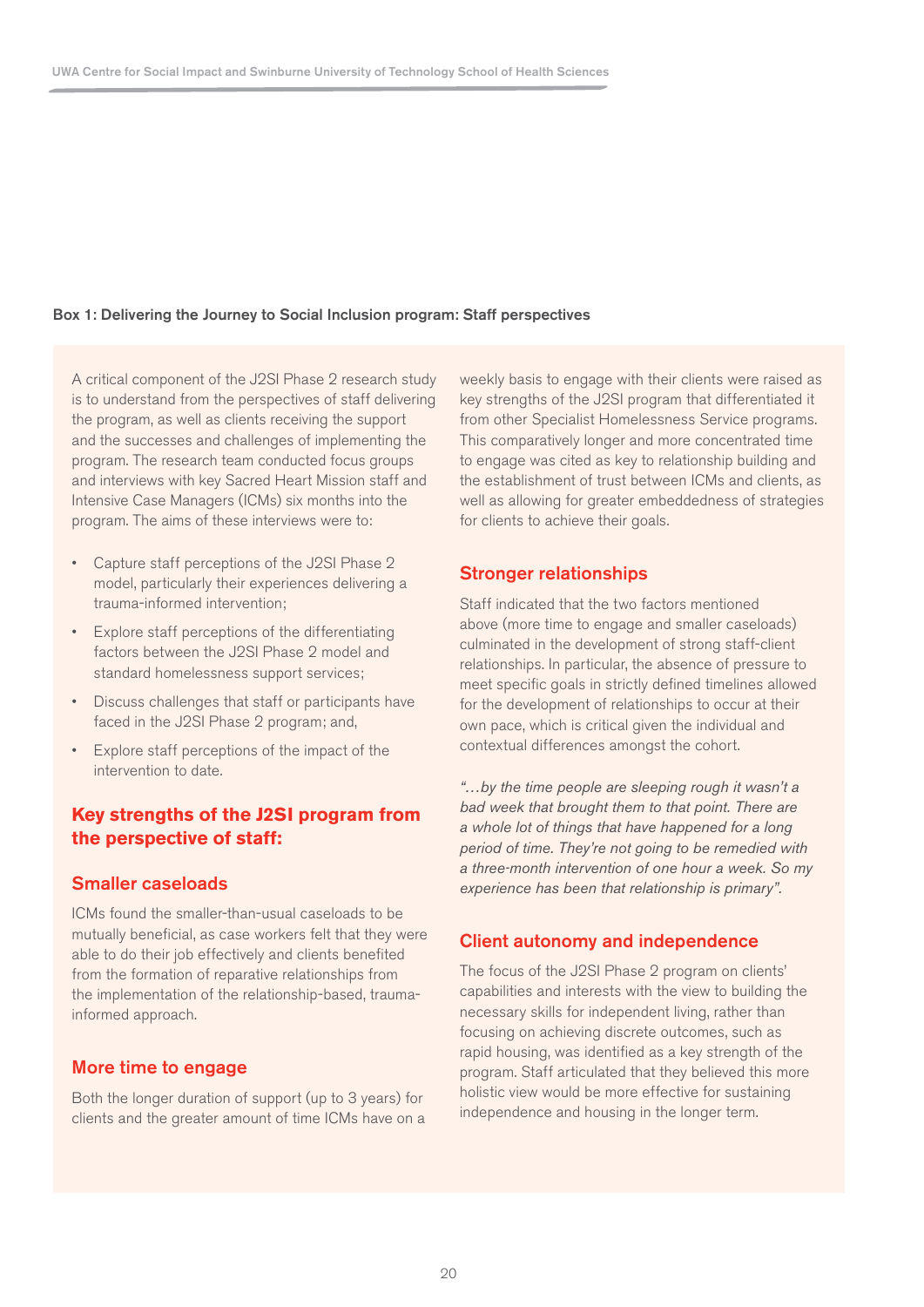#### Box 1: Delivering the Journey to Social Inclusion program: Staff perspectives

A critical component of the J2SI Phase 2 research study is to understand from the perspectives of staff delivering the program, as well as clients receiving the support and the successes and challenges of implementing the program. The research team conducted focus groups and interviews with key Sacred Heart Mission staff and Intensive Case Managers (ICMs) six months into the program. The aims of these interviews were to:

- Capture staff perceptions of the J2SI Phase 2 model, particularly their experiences delivering a trauma-informed intervention;
- Explore staff perceptions of the differentiating factors between the J2SI Phase 2 model and standard homelessness support services;
- Discuss challenges that staff or participants have faced in the J2SI Phase 2 program; and,
- Explore staff perceptions of the impact of the intervention to date.

#### **Key strengths of the J2SI program from the perspective of staff:**

#### Smaller caseloads

ICMs found the smaller-than-usual caseloads to be mutually beneficial, as case workers felt that they were able to do their job effectively and clients benefited from the formation of reparative relationships from the implementation of the relationship-based, traumainformed approach.

#### More time to engage

Both the longer duration of support (up to 3 years) for clients and the greater amount of time ICMs have on a weekly basis to engage with their clients were raised as key strengths of the J2SI program that differentiated it from other Specialist Homelessness Service programs. This comparatively longer and more concentrated time to engage was cited as key to relationship building and the establishment of trust between ICMs and clients, as well as allowing for greater embeddedness of strategies for clients to achieve their goals.

#### Stronger relationships

Staff indicated that the two factors mentioned above (more time to engage and smaller caseloads) culminated in the development of strong staff-client relationships. In particular, the absence of pressure to meet specific goals in strictly defined timelines allowed for the development of relationships to occur at their own pace, which is critical given the individual and contextual differences amongst the cohort.

*"…by the time people are sleeping rough it wasn't a bad week that brought them to that point. There are a whole lot of things that have happened for a long period of time. They're not going to be remedied with a three-month intervention of one hour a week. So my experience has been that relationship is primary".*

#### Client autonomy and independence

The focus of the J2SI Phase 2 program on clients' capabilities and interests with the view to building the necessary skills for independent living, rather than focusing on achieving discrete outcomes, such as rapid housing, was identified as a key strength of the program. Staff articulated that they believed this more holistic view would be more effective for sustaining independence and housing in the longer term.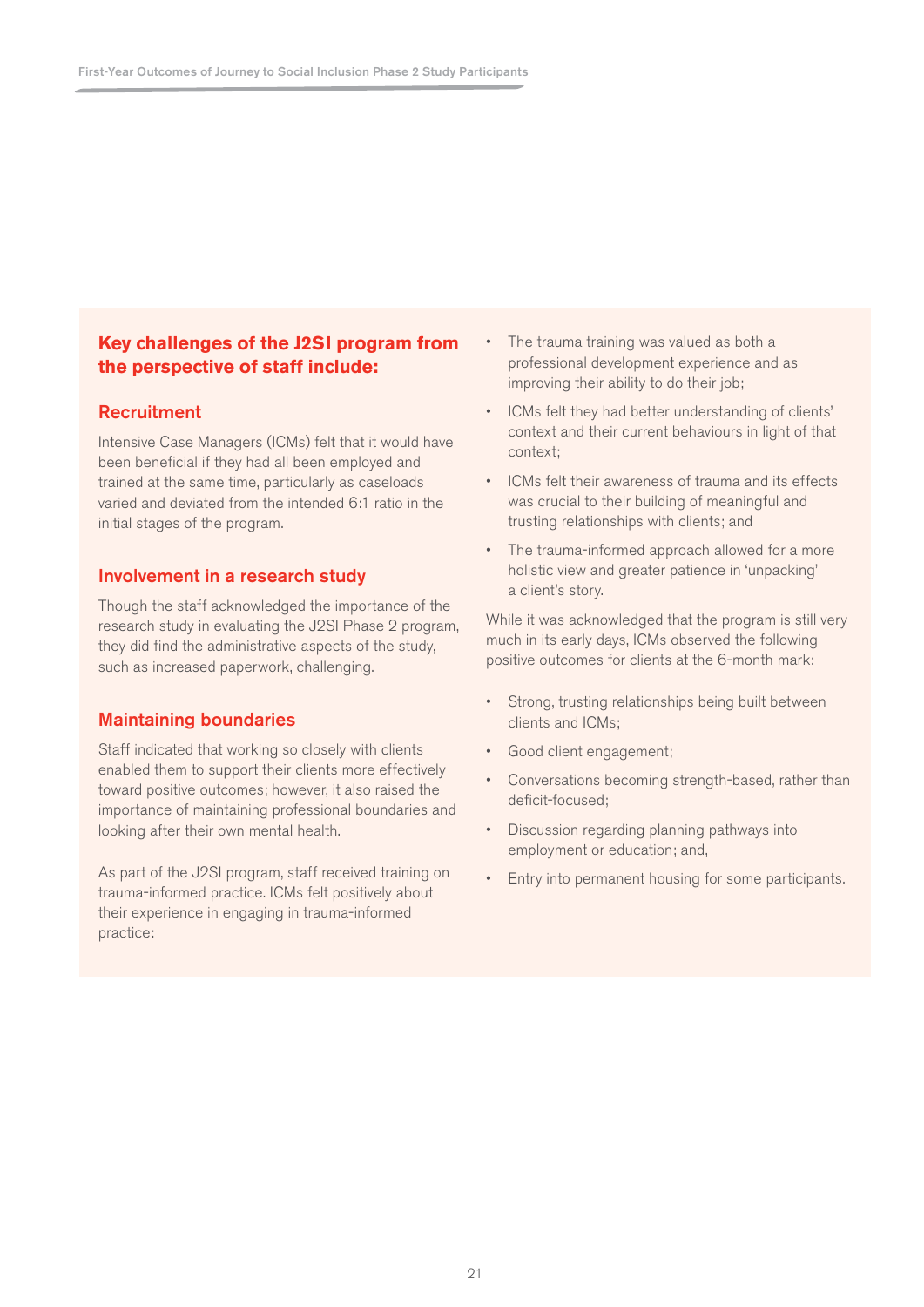#### **Key challenges of the J2SI program from the perspective of staff include:**

#### **Recruitment**

Intensive Case Managers (ICMs) felt that it would have been beneficial if they had all been employed and trained at the same time, particularly as caseloads varied and deviated from the intended 6:1 ratio in the initial stages of the program.

#### Involvement in a research study

Though the staff acknowledged the importance of the research study in evaluating the J2SI Phase 2 program, they did find the administrative aspects of the study, such as increased paperwork, challenging.

#### Maintaining boundaries

Staff indicated that working so closely with clients enabled them to support their clients more effectively toward positive outcomes; however, it also raised the importance of maintaining professional boundaries and looking after their own mental health.

As part of the J2SI program, staff received training on trauma-informed practice. ICMs felt positively about their experience in engaging in trauma-informed practice:

- The trauma training was valued as both a professional development experience and as improving their ability to do their job;
- ICMs felt they had better understanding of clients' context and their current behaviours in light of that context;
- ICMs felt their awareness of trauma and its effects was crucial to their building of meaningful and trusting relationships with clients; and
- The trauma-informed approach allowed for a more holistic view and greater patience in 'unpacking' a client's story.

While it was acknowledged that the program is still very much in its early days, ICMs observed the following positive outcomes for clients at the 6-month mark:

- Strong, trusting relationships being built between clients and ICMs;
- Good client engagement;
- Conversations becoming strength-based, rather than deficit-focused;
- Discussion regarding planning pathways into employment or education; and,
- Entry into permanent housing for some participants.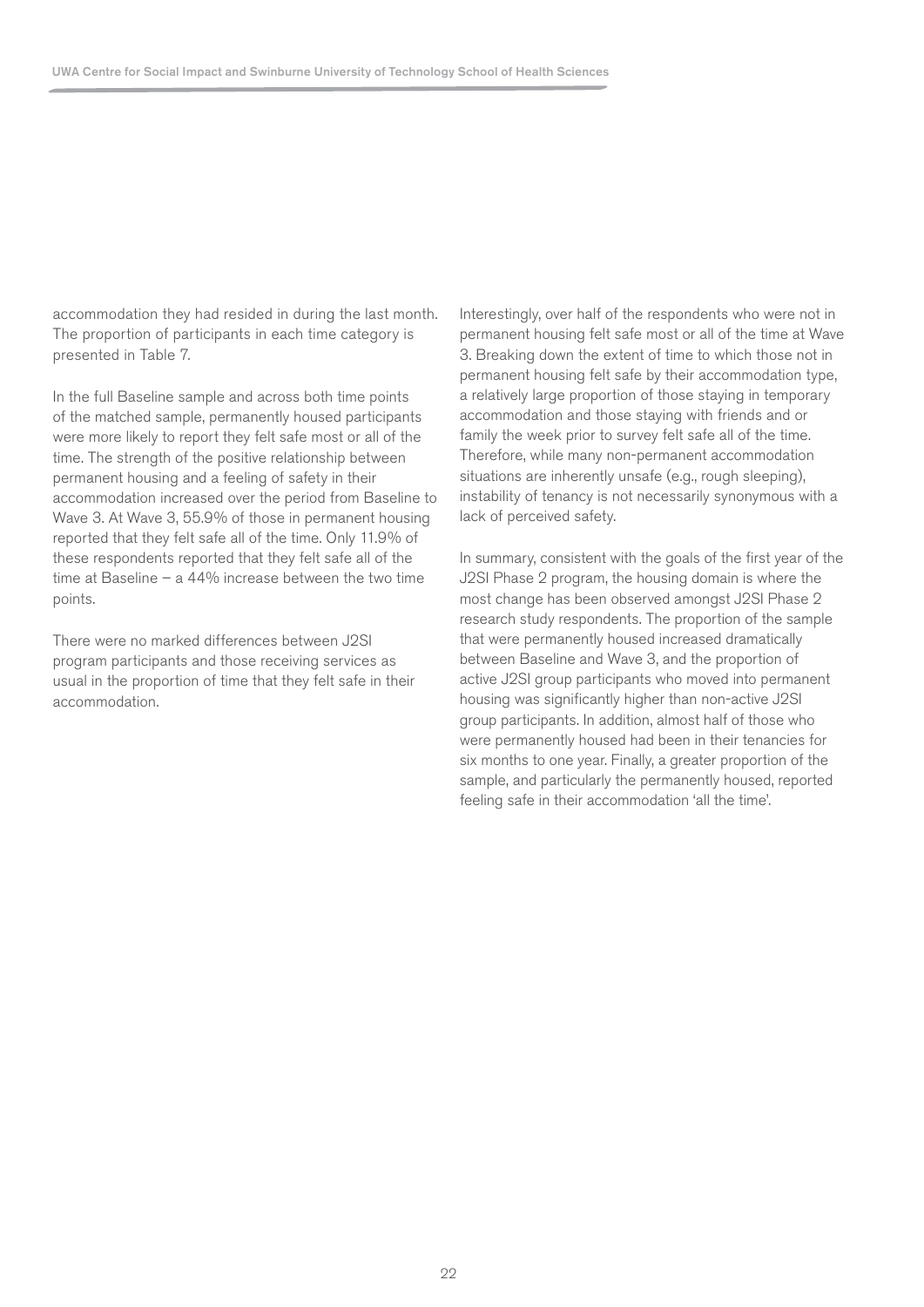accommodation they had resided in during the last month. The proportion of participants in each time category is presented in Table 7.

In the full Baseline sample and across both time points of the matched sample, permanently housed participants were more likely to report they felt safe most or all of the time. The strength of the positive relationship between permanent housing and a feeling of safety in their accommodation increased over the period from Baseline to Wave 3. At Wave 3, 55.9% of those in permanent housing reported that they felt safe all of the time. Only 11.9% of these respondents reported that they felt safe all of the time at Baseline – a 44% increase between the two time points.

There were no marked differences between J2SI program participants and those receiving services as usual in the proportion of time that they felt safe in their accommodation.

Interestingly, over half of the respondents who were not in permanent housing felt safe most or all of the time at Wave 3. Breaking down the extent of time to which those not in permanent housing felt safe by their accommodation type, a relatively large proportion of those staying in temporary accommodation and those staying with friends and or family the week prior to survey felt safe all of the time. Therefore, while many non-permanent accommodation situations are inherently unsafe (e.g., rough sleeping), instability of tenancy is not necessarily synonymous with a lack of perceived safety.

In summary, consistent with the goals of the first year of the J2SI Phase 2 program, the housing domain is where the most change has been observed amongst J2SI Phase 2 research study respondents. The proportion of the sample that were permanently housed increased dramatically between Baseline and Wave 3, and the proportion of active J2SI group participants who moved into permanent housing was significantly higher than non-active J2SI group participants. In addition, almost half of those who were permanently housed had been in their tenancies for six months to one year. Finally, a greater proportion of the sample, and particularly the permanently housed, reported feeling safe in their accommodation 'all the time'.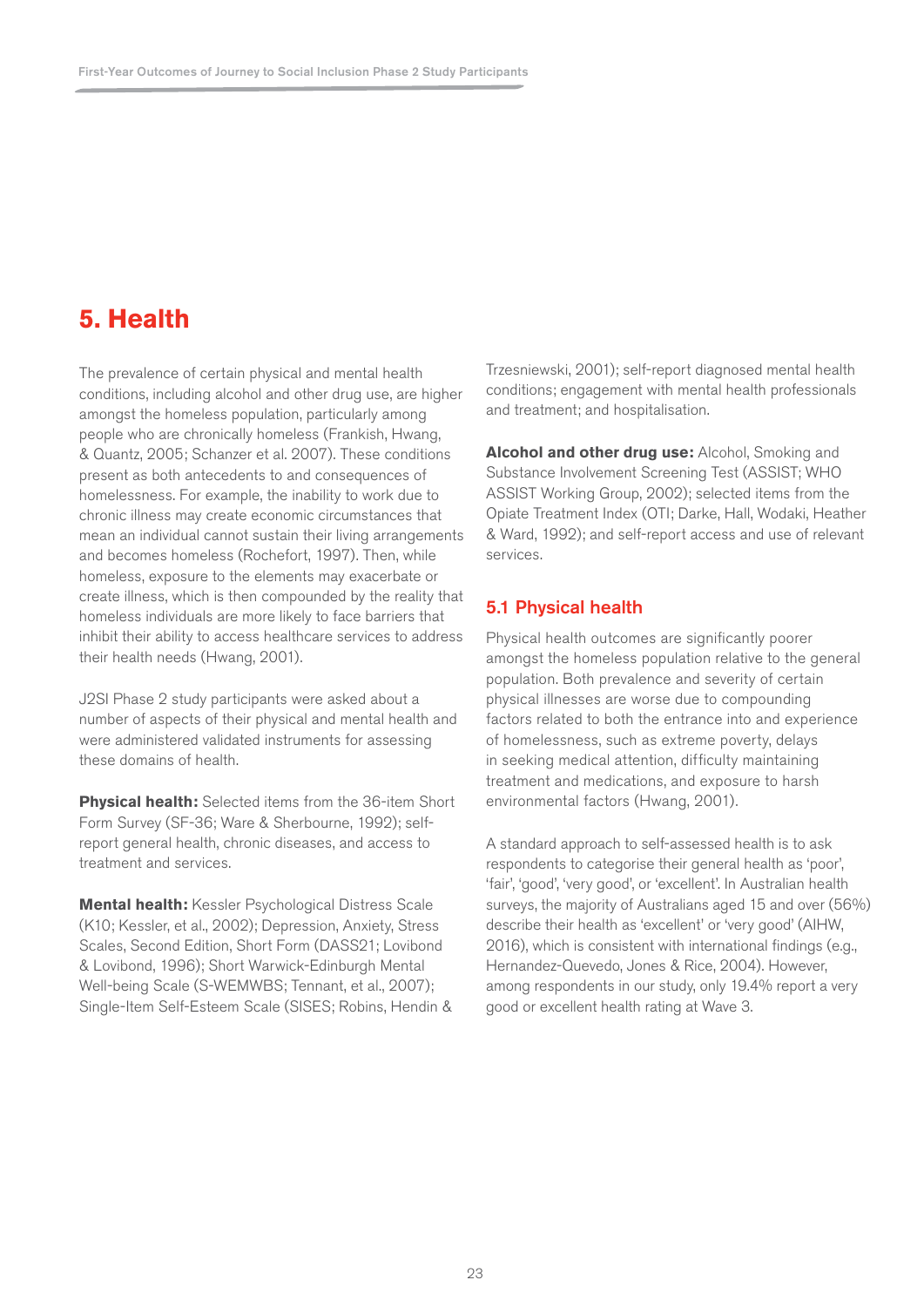## **5. Health**

The prevalence of certain physical and mental health conditions, including alcohol and other drug use, are higher amongst the homeless population, particularly among people who are chronically homeless (Frankish, Hwang, & Quantz, 2005; Schanzer et al. 2007). These conditions present as both antecedents to and consequences of homelessness. For example, the inability to work due to chronic illness may create economic circumstances that mean an individual cannot sustain their living arrangements and becomes homeless (Rochefort, 1997). Then, while homeless, exposure to the elements may exacerbate or create illness, which is then compounded by the reality that homeless individuals are more likely to face barriers that inhibit their ability to access healthcare services to address their health needs (Hwang, 2001).

J2SI Phase 2 study participants were asked about a number of aspects of their physical and mental health and were administered validated instruments for assessing these domains of health.

**Physical health:** Selected items from the 36-item Short Form Survey (SF-36; Ware & Sherbourne, 1992); selfreport general health, chronic diseases, and access to treatment and services.

**Mental health:** Kessler Psychological Distress Scale (K10; Kessler, et al., 2002); Depression, Anxiety, Stress Scales, Second Edition, Short Form (DASS21; Lovibond & Lovibond, 1996); Short Warwick-Edinburgh Mental Well-being Scale (S-WEMWBS; Tennant, et al., 2007); Single-Item Self-Esteem Scale (SISES; Robins, Hendin & Trzesniewski, 2001); self-report diagnosed mental health conditions; engagement with mental health professionals and treatment; and hospitalisation.

**Alcohol and other drug use:** Alcohol, Smoking and Substance Involvement Screening Test (ASSIST; WHO ASSIST Working Group, 2002); selected items from the Opiate Treatment Index (OTI; Darke, Hall, Wodaki, Heather & Ward, 1992); and self-report access and use of relevant services.

#### 5.1 Physical health

Physical health outcomes are significantly poorer amongst the homeless population relative to the general population. Both prevalence and severity of certain physical illnesses are worse due to compounding factors related to both the entrance into and experience of homelessness, such as extreme poverty, delays in seeking medical attention, difficulty maintaining treatment and medications, and exposure to harsh environmental factors (Hwang, 2001).

A standard approach to self-assessed health is to ask respondents to categorise their general health as 'poor', 'fair', 'good', 'very good', or 'excellent'. In Australian health surveys, the majority of Australians aged 15 and over (56%) describe their health as 'excellent' or 'very good' (AIHW, 2016), which is consistent with international findings (e.g., Hernandez-Quevedo, Jones & Rice, 2004). However, among respondents in our study, only 19.4% report a very good or excellent health rating at Wave 3.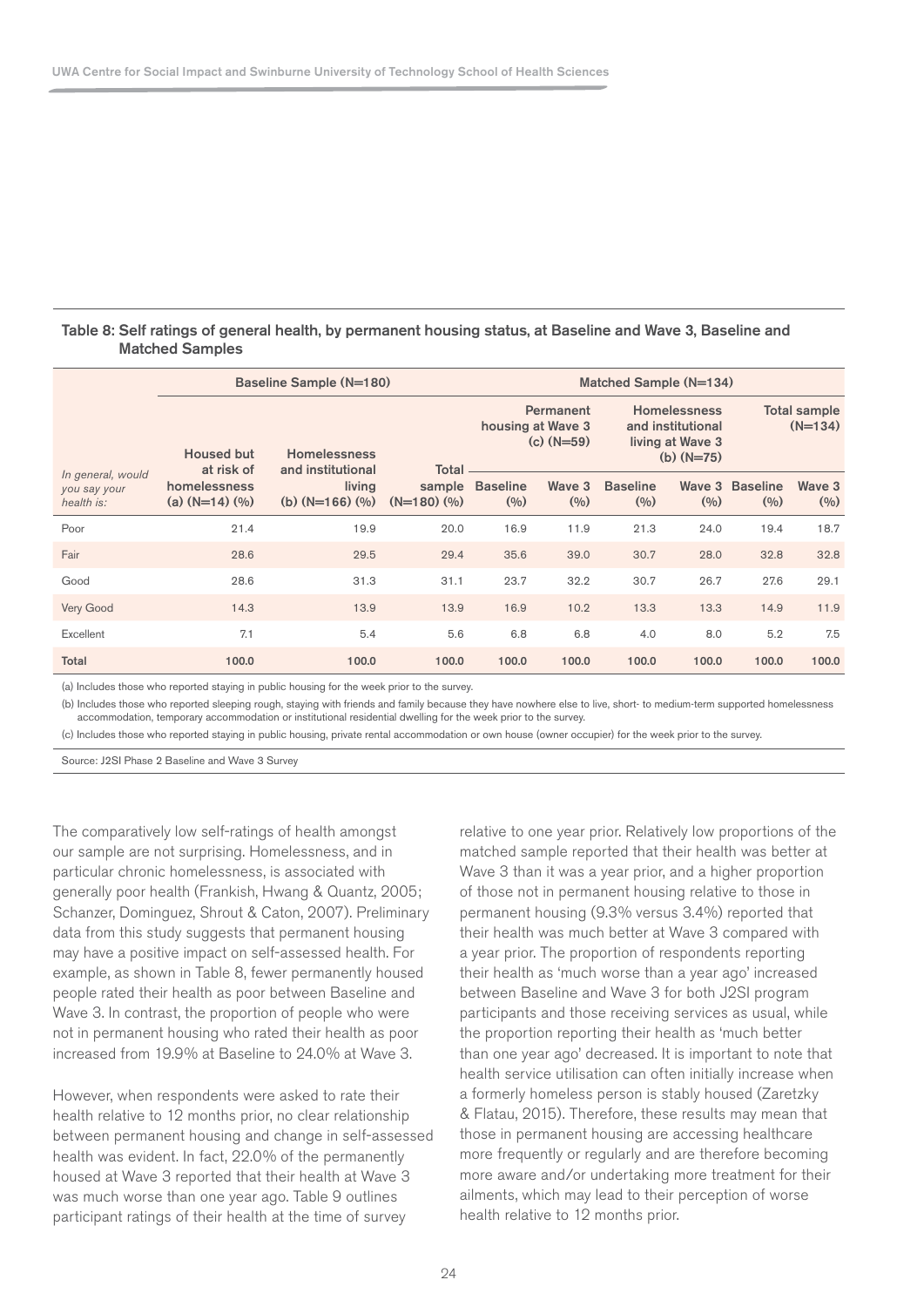#### Table 8: Self ratings of general health, by permanent housing status, at Baseline and Wave 3, Baseline and Matched Samples

|                                                 |                                                                               | Baseline Sample (N=180)       |                                                | Matched Sample (N=134)   |                                                                              |                          |                                  |                          |                 |  |
|-------------------------------------------------|-------------------------------------------------------------------------------|-------------------------------|------------------------------------------------|--------------------------|------------------------------------------------------------------------------|--------------------------|----------------------------------|--------------------------|-----------------|--|
|                                                 | Housed but<br><b>Homelessness</b><br>at risk of<br>Total<br>and institutional |                               | Permanent<br>housing at Wave 3<br>$(c)$ (N=59) |                          | <b>Homelessness</b><br>and institutional<br>living at Wave 3<br>$(b)$ (N=75) |                          | <b>Total sample</b><br>$(N=134)$ |                          |                 |  |
| In general, would<br>you say your<br>health is: | homelessness<br>(a) $(N=14)$ $(%$                                             | living<br>(b) $(N=166)$ $(%)$ | $(N=180)(\%)$                                  | sample Baseline<br>(0/0) | Wave 3<br>(0/0)                                                              | <b>Baseline</b><br>(9/0) | Wave 3<br>(0/0)                  | <b>Baseline</b><br>(9/0) | Wave 3<br>(0/0) |  |
| Poor                                            | 21.4                                                                          | 19.9                          | 20.0                                           | 16.9                     | 11.9                                                                         | 21.3                     | 24.0                             | 19.4                     | 18.7            |  |
| Fair                                            | 28.6                                                                          | 29.5                          | 29.4                                           | 35.6                     | 39.0                                                                         | 30.7                     | 28.0                             | 32.8                     | 32.8            |  |
| Good                                            | 28.6                                                                          | 31.3                          | 31.1                                           | 23.7                     | 32.2                                                                         | 30.7                     | 26.7                             | 27.6                     | 29.1            |  |
| Very Good                                       | 14.3                                                                          | 13.9                          | 13.9                                           | 16.9                     | 10.2                                                                         | 13.3                     | 13.3                             | 14.9                     | 11.9            |  |
| Excellent                                       | 7.1                                                                           | 5.4                           | 5.6                                            | 6.8                      | 6.8                                                                          | 4.0                      | 8.0                              | 5.2                      | 7.5             |  |
| <b>Total</b>                                    | 100.0                                                                         | 100.0                         | 100.0                                          | 100.0                    | 100.0                                                                        | 100.0                    | 100.0                            | 100.0                    | 100.0           |  |

(a) Includes those who reported staying in public housing for the week prior to the survey.

(b) Includes those who reported sleeping rough, staying with friends and family because they have nowhere else to live, short- to medium-term supported homelessness accommodation, temporary accommodation or institutional residential dwelling for the week prior to the survey.

(c) Includes those who reported staying in public housing, private rental accommodation or own house (owner occupier) for the week prior to the survey.

Source: J2SI Phase 2 Baseline and Wave 3 Survey

The comparatively low self-ratings of health amongst our sample are not surprising. Homelessness, and in particular chronic homelessness, is associated with generally poor health (Frankish, Hwang & Quantz, 2005; Schanzer, Dominguez, Shrout & Caton, 2007). Preliminary data from this study suggests that permanent housing may have a positive impact on self-assessed health. For example, as shown in Table 8, fewer permanently housed people rated their health as poor between Baseline and Wave 3. In contrast, the proportion of people who were not in permanent housing who rated their health as poor increased from 19.9% at Baseline to 24.0% at Wave 3.

However, when respondents were asked to rate their health relative to 12 months prior, no clear relationship between permanent housing and change in self-assessed health was evident. In fact, 22.0% of the permanently housed at Wave 3 reported that their health at Wave 3 was much worse than one year ago. Table 9 outlines participant ratings of their health at the time of survey

relative to one year prior. Relatively low proportions of the matched sample reported that their health was better at Wave 3 than it was a year prior, and a higher proportion of those not in permanent housing relative to those in permanent housing (9.3% versus 3.4%) reported that their health was much better at Wave 3 compared with a year prior. The proportion of respondents reporting their health as 'much worse than a year ago' increased between Baseline and Wave 3 for both J2SI program participants and those receiving services as usual, while the proportion reporting their health as 'much better than one year ago' decreased. It is important to note that health service utilisation can often initially increase when a formerly homeless person is stably housed (Zaretzky & Flatau, 2015). Therefore, these results may mean that those in permanent housing are accessing healthcare more frequently or regularly and are therefore becoming more aware and/or undertaking more treatment for their ailments, which may lead to their perception of worse health relative to 12 months prior.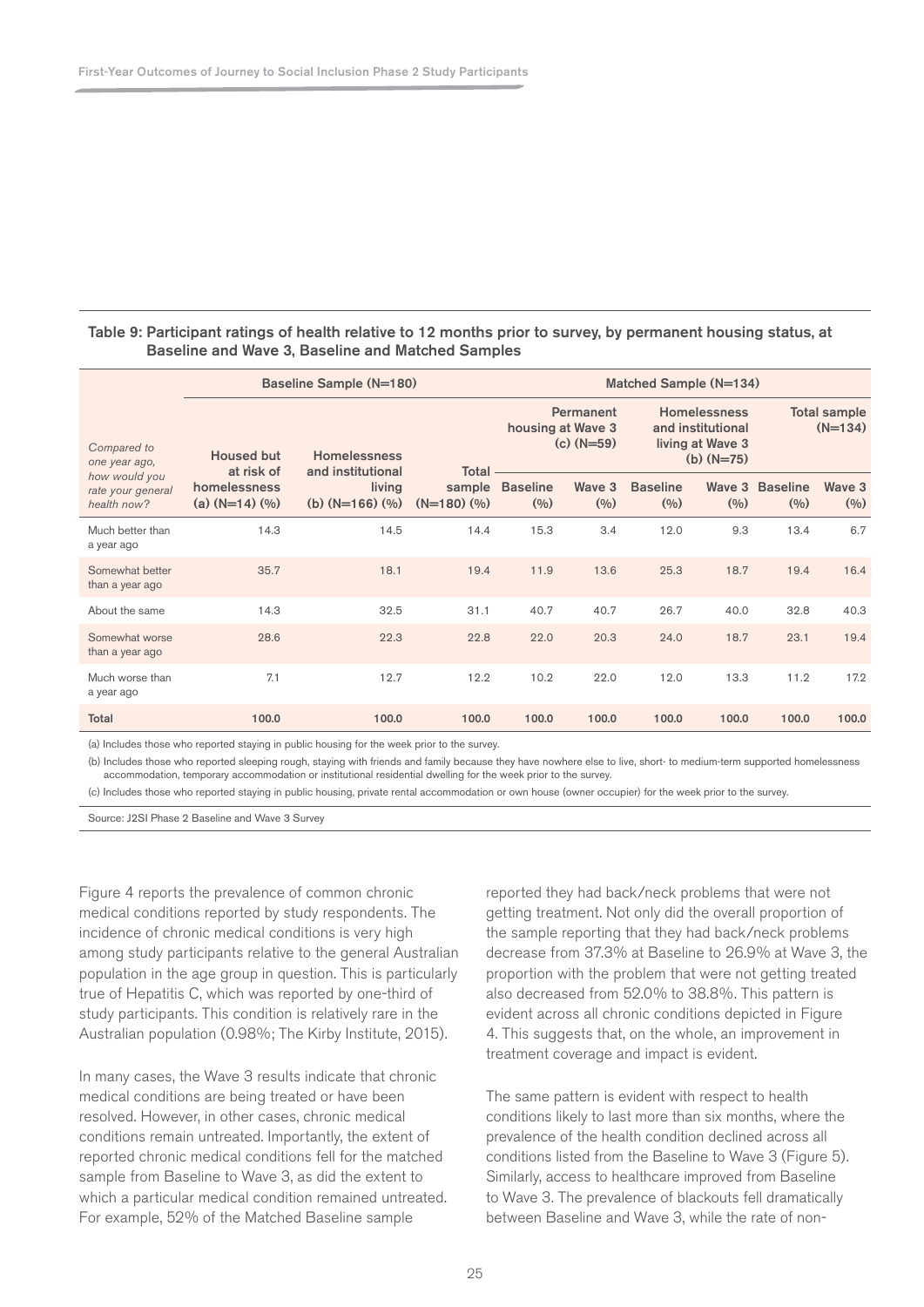#### Table 9: Participant ratings of health relative to 12 months prior to survey, by permanent housing status, at Baseline and Wave 3, Baseline and Matched Samples

|                                                   |                                     | Baseline Sample (N=180)                  |                         |                                                |                 | Matched Sample (N=134)                                                       |                 |                                  |                 |  |  |  |
|---------------------------------------------------|-------------------------------------|------------------------------------------|-------------------------|------------------------------------------------|-----------------|------------------------------------------------------------------------------|-----------------|----------------------------------|-----------------|--|--|--|
| Compared to<br>one year ago,                      | <b>Housed but</b><br>at risk of     | <b>Homelessness</b><br>and institutional | Total                   | Permanent<br>housing at Wave 3<br>$(c)$ (N=59) |                 | <b>Homelessness</b><br>and institutional<br>living at Wave 3<br>(b) $(N=75)$ |                 | <b>Total sample</b><br>$(N=134)$ |                 |  |  |  |
| how would you<br>rate your general<br>health now? | homelessness<br>(a) $(N=14)$ $(\%)$ | living<br>(b) $(N=166)$ $(%$ )           | sample<br>$(N=180)(\%)$ | <b>Baseline</b><br>(0/0)                       | Wave 3<br>(0/0) | <b>Baseline</b><br>(0/0)                                                     | Wave 3<br>(0/0) | <b>Baseline</b><br>(0/0)         | Wave 3<br>(0/0) |  |  |  |
| Much better than<br>a year ago                    | 14.3                                | 14.5                                     | 14.4                    | 15.3                                           | 3.4             | 12.0                                                                         | 9.3             | 13.4                             | 6.7             |  |  |  |
| Somewhat better<br>than a year ago                | 35.7                                | 18.1                                     | 19.4                    | 11.9                                           | 13.6            | 25.3                                                                         | 18.7            | 19.4                             | 16.4            |  |  |  |
| About the same                                    | 14.3                                | 32.5                                     | 31.1                    | 40.7                                           | 40.7            | 26.7                                                                         | 40.0            | 32.8                             | 40.3            |  |  |  |
| Somewhat worse<br>than a year ago                 | 28.6                                | 22.3                                     | 22.8                    | 22.0                                           | 20.3            | 24.0                                                                         | 18.7            | 23.1                             | 19.4            |  |  |  |
| Much worse than<br>a year ago                     | 7.1                                 | 12.7                                     | 12.2                    | 10.2                                           | 22.0            | 12.0                                                                         | 13.3            | 11.2                             | 17.2            |  |  |  |
| Total                                             | 100.0                               | 100.0                                    | 100.0                   | 100.0                                          | 100.0           | 100.0                                                                        | 100.0           | 100.0                            | 100.0           |  |  |  |

(a) Includes those who reported staying in public housing for the week prior to the survey.

(b) Includes those who reported sleeping rough, staying with friends and family because they have nowhere else to live, short- to medium-term supported homelessness accommodation, temporary accommodation or institutional residential dwelling for the week prior to the survey.

(c) Includes those who reported staying in public housing, private rental accommodation or own house (owner occupier) for the week prior to the survey.

Source: J2SI Phase 2 Baseline and Wave 3 Survey

Figure 4 reports the prevalence of common chronic medical conditions reported by study respondents. The incidence of chronic medical conditions is very high among study participants relative to the general Australian population in the age group in question. This is particularly true of Hepatitis C, which was reported by one-third of study participants. This condition is relatively rare in the Australian population (0.98%; The Kirby Institute, 2015).

In many cases, the Wave 3 results indicate that chronic medical conditions are being treated or have been resolved. However, in other cases, chronic medical conditions remain untreated. Importantly, the extent of reported chronic medical conditions fell for the matched sample from Baseline to Wave 3, as did the extent to which a particular medical condition remained untreated. For example, 52% of the Matched Baseline sample

reported they had back/neck problems that were not getting treatment. Not only did the overall proportion of the sample reporting that they had back/neck problems decrease from 37.3% at Baseline to 26.9% at Wave 3, the proportion with the problem that were not getting treated also decreased from 52.0% to 38.8%. This pattern is evident across all chronic conditions depicted in Figure 4. This suggests that, on the whole, an improvement in treatment coverage and impact is evident.

The same pattern is evident with respect to health conditions likely to last more than six months, where the prevalence of the health condition declined across all conditions listed from the Baseline to Wave 3 (Figure 5). Similarly, access to healthcare improved from Baseline to Wave 3. The prevalence of blackouts fell dramatically between Baseline and Wave 3, while the rate of non-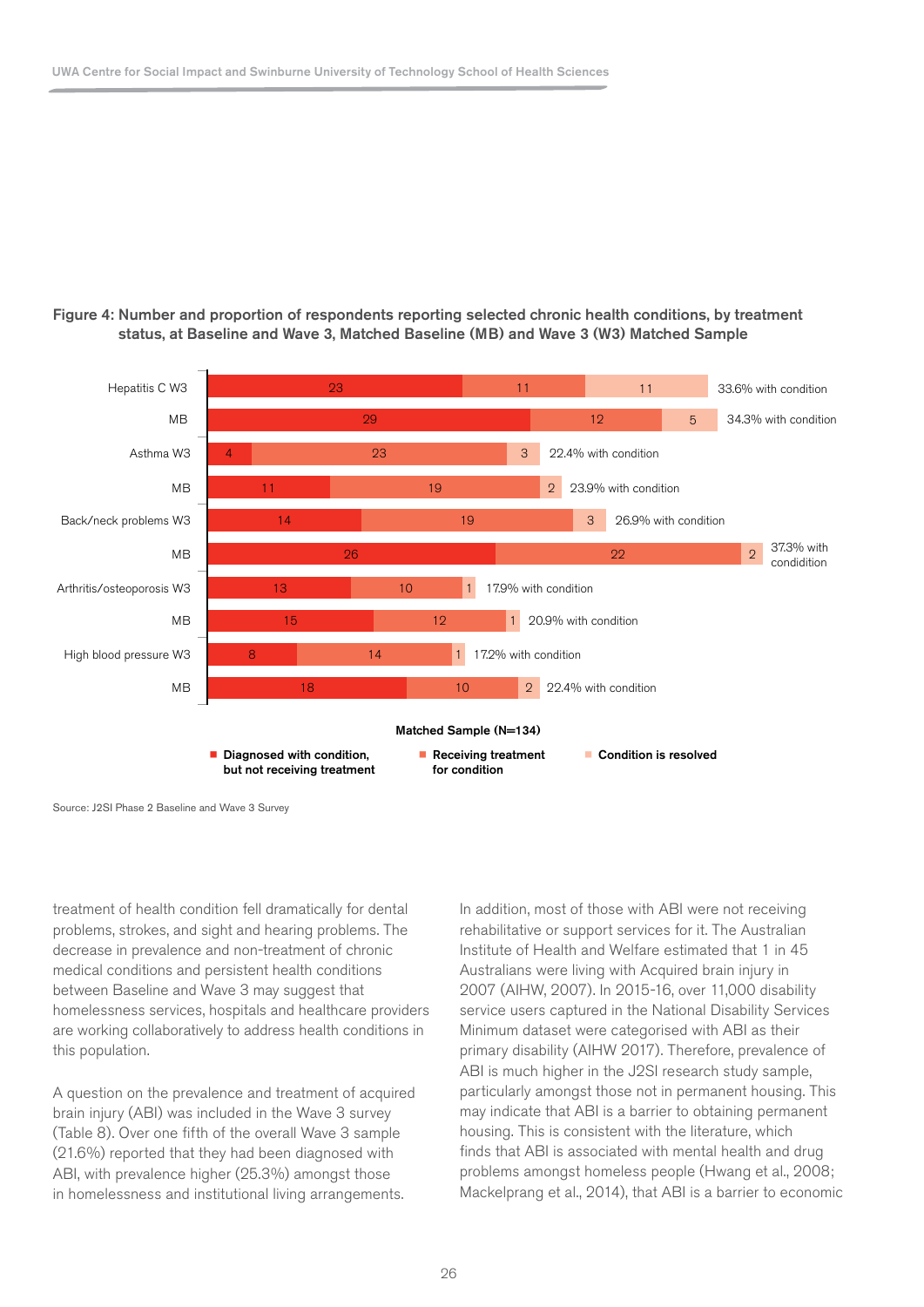

#### Figure 4: Number and proportion of respondents reporting selected chronic health conditions, by treatment status, at Baseline and Wave 3, Matched Baseline (MB) and Wave 3 (W3) Matched Sample

Source: J2SI Phase 2 Baseline and Wave 3 Survey

treatment of health condition fell dramatically for dental problems, strokes, and sight and hearing problems. The decrease in prevalence and non-treatment of chronic medical conditions and persistent health conditions between Baseline and Wave 3 may suggest that homelessness services, hospitals and healthcare providers are working collaboratively to address health conditions in this population.

A question on the prevalence and treatment of acquired brain injury (ABI) was included in the Wave 3 survey (Table 8). Over one fifth of the overall Wave 3 sample (21.6%) reported that they had been diagnosed with ABI, with prevalence higher (25.3%) amongst those in homelessness and institutional living arrangements.

In addition, most of those with ABI were not receiving rehabilitative or support services for it. The Australian Institute of Health and Welfare estimated that 1 in 45 Australians were living with Acquired brain injury in 2007 (AIHW, 2007). In 2015-16, over 11,000 disability service users captured in the National Disability Services Minimum dataset were categorised with ABI as their primary disability (AIHW 2017). Therefore, prevalence of ABI is much higher in the J2SI research study sample, particularly amongst those not in permanent housing. This may indicate that ABI is a barrier to obtaining permanent housing. This is consistent with the literature, which finds that ABI is associated with mental health and drug problems amongst homeless people (Hwang et al., 2008; Mackelprang et al., 2014), that ABI is a barrier to economic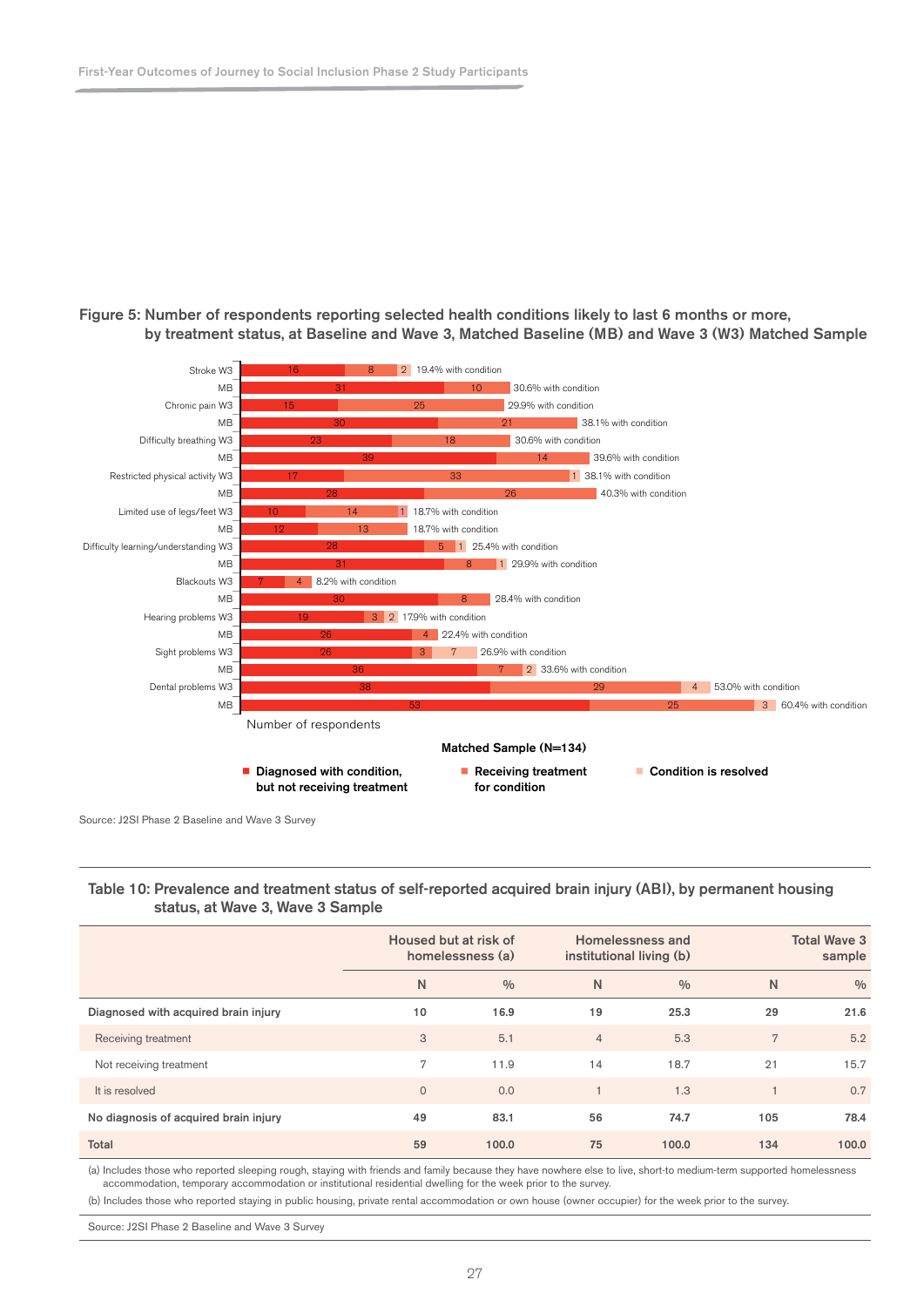

#### Figure 5: Number of respondents reporting selected health conditions likely to last 6 months or more, by treatment status, at Baseline and Wave 3, Matched Baseline (MB) and Wave 3 (W3) Matched Sample

Source: J2SI Phase 2 Baseline and Wave 3 Survey

#### Table 10: Prevalence and treatment status of self-reported acquired brain injury (ABI), by permanent housing status, at Wave 3, Wave 3 Sample

|                                       | Housed but at risk of<br>homelessness (a) |       |                | Homelessness and<br>institutional living (b) | <b>Total Wave 3</b><br>sample |               |  |
|---------------------------------------|-------------------------------------------|-------|----------------|----------------------------------------------|-------------------------------|---------------|--|
|                                       | N<br>0/0                                  |       | N              | $\frac{0}{0}$                                | N                             | $\frac{0}{0}$ |  |
|                                       |                                           |       |                |                                              |                               |               |  |
| Diagnosed with acquired brain injury  | 10                                        | 16.9  | 19             | 25.3                                         | 29                            | 21.6          |  |
| Receiving treatment                   | 3                                         | 5.1   | $\overline{4}$ | 5.3                                          | 7                             | 5.2           |  |
| Not receiving treatment               | 7                                         | 11.9  | 14             | 18.7                                         | 21                            | 15.7          |  |
| It is resolved                        | $\mathbf{O}$                              | 0.0   | $\mathbf{1}$   | 1.3                                          |                               | 0.7           |  |
| No diagnosis of acquired brain injury | 49                                        | 83.1  | 56             | 74.7                                         | 105                           | 78.4          |  |
| Total                                 | 59                                        | 100.0 | 75             | 100.0                                        | 134                           | 100.0         |  |

(a) Includes those who reported sleeping rough, staying with friends and family because they have nowhere else to live, short-to medium-term supported homelessness accommodation, temporary accommodation or institutional residential dwelling for the week prior to the survey.

(b) Includes those who reported staying in public housing, private rental accommodation or own house (owner occupier) for the week prior to the survey.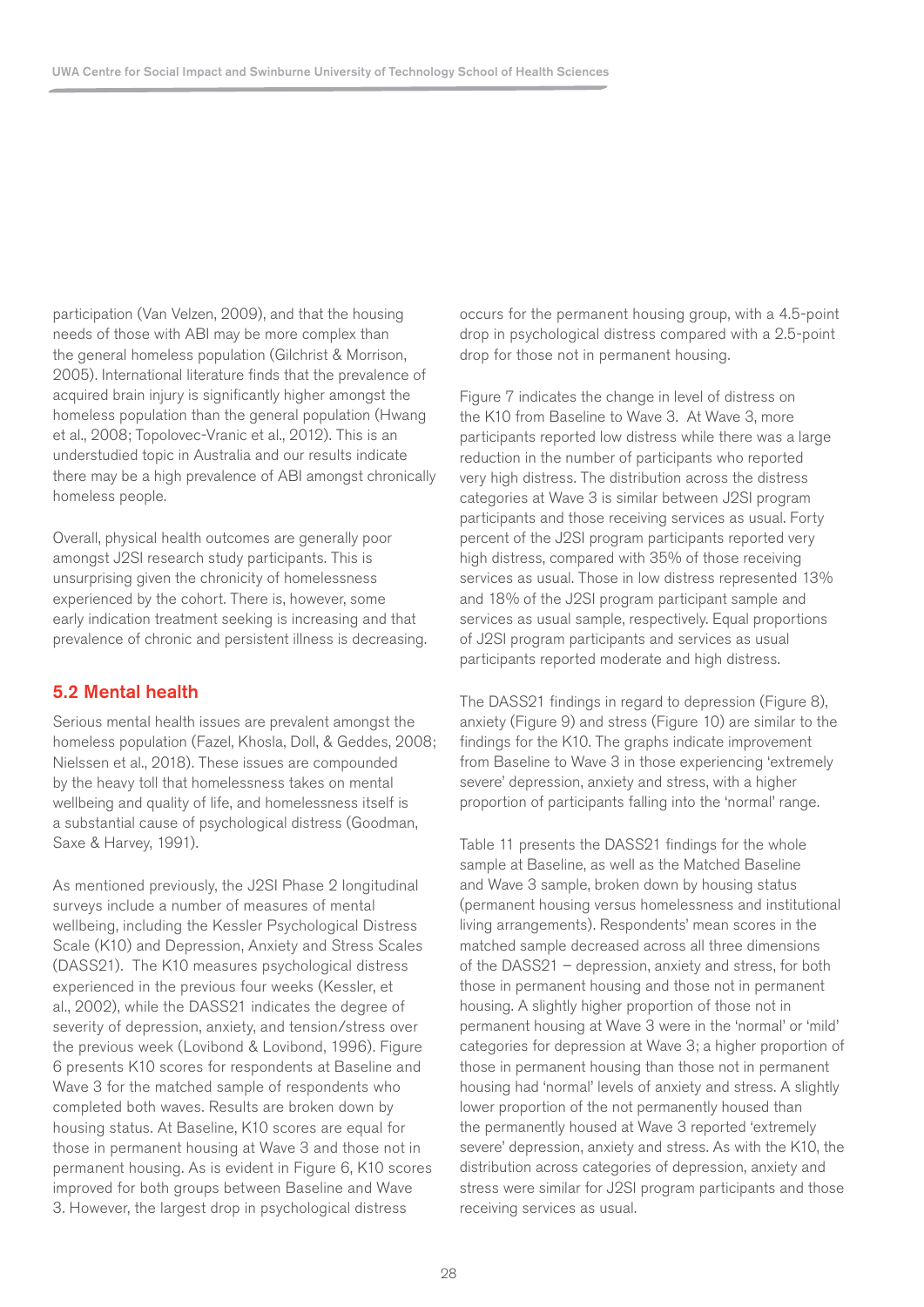participation (Van Velzen, 2009), and that the housing needs of those with ABI may be more complex than the general homeless population (Gilchrist & Morrison, 2005). International literature finds that the prevalence of acquired brain injury is significantly higher amongst the homeless population than the general population (Hwang et al., 2008; Topolovec-Vranic et al., 2012). This is an understudied topic in Australia and our results indicate there may be a high prevalence of ABI amongst chronically homeless people.

Overall, physical health outcomes are generally poor amongst J2SI research study participants. This is unsurprising given the chronicity of homelessness experienced by the cohort. There is, however, some early indication treatment seeking is increasing and that prevalence of chronic and persistent illness is decreasing.

#### 5.2 Mental health

Serious mental health issues are prevalent amongst the homeless population (Fazel, Khosla, Doll, & Geddes, 2008; Nielssen et al., 2018). These issues are compounded by the heavy toll that homelessness takes on mental wellbeing and quality of life, and homelessness itself is a substantial cause of psychological distress (Goodman, Saxe & Harvey, 1991).

As mentioned previously, the J2SI Phase 2 longitudinal surveys include a number of measures of mental wellbeing, including the Kessler Psychological Distress Scale (K10) and Depression, Anxiety and Stress Scales (DASS21). The K10 measures psychological distress experienced in the previous four weeks (Kessler, et al., 2002), while the DASS21 indicates the degree of severity of depression, anxiety, and tension/stress over the previous week (Lovibond & Lovibond, 1996). Figure 6 presents K10 scores for respondents at Baseline and Wave 3 for the matched sample of respondents who completed both waves. Results are broken down by housing status. At Baseline, K10 scores are equal for those in permanent housing at Wave 3 and those not in permanent housing. As is evident in Figure 6, K10 scores improved for both groups between Baseline and Wave 3. However, the largest drop in psychological distress

occurs for the permanent housing group, with a 4.5-point drop in psychological distress compared with a 2.5-point drop for those not in permanent housing.

Figure 7 indicates the change in level of distress on the K10 from Baseline to Wave 3. At Wave 3, more participants reported low distress while there was a large reduction in the number of participants who reported very high distress. The distribution across the distress categories at Wave 3 is similar between J2SI program participants and those receiving services as usual. Forty percent of the J2SI program participants reported very high distress, compared with 35% of those receiving services as usual. Those in low distress represented 13% and 18% of the J2SI program participant sample and services as usual sample, respectively. Equal proportions of J2SI program participants and services as usual participants reported moderate and high distress.

The DASS21 findings in regard to depression (Figure 8), anxiety (Figure 9) and stress (Figure 10) are similar to the findings for the K10. The graphs indicate improvement from Baseline to Wave 3 in those experiencing 'extremely severe' depression, anxiety and stress, with a higher proportion of participants falling into the 'normal' range.

Table 11 presents the DASS21 findings for the whole sample at Baseline, as well as the Matched Baseline and Wave 3 sample, broken down by housing status (permanent housing versus homelessness and institutional living arrangements). Respondents' mean scores in the matched sample decreased across all three dimensions of the DASS21 – depression, anxiety and stress, for both those in permanent housing and those not in permanent housing. A slightly higher proportion of those not in permanent housing at Wave 3 were in the 'normal' or 'mild' categories for depression at Wave 3; a higher proportion of those in permanent housing than those not in permanent housing had 'normal' levels of anxiety and stress. A slightly lower proportion of the not permanently housed than the permanently housed at Wave 3 reported 'extremely severe' depression, anxiety and stress. As with the K10, the distribution across categories of depression, anxiety and stress were similar for J2SI program participants and those receiving services as usual.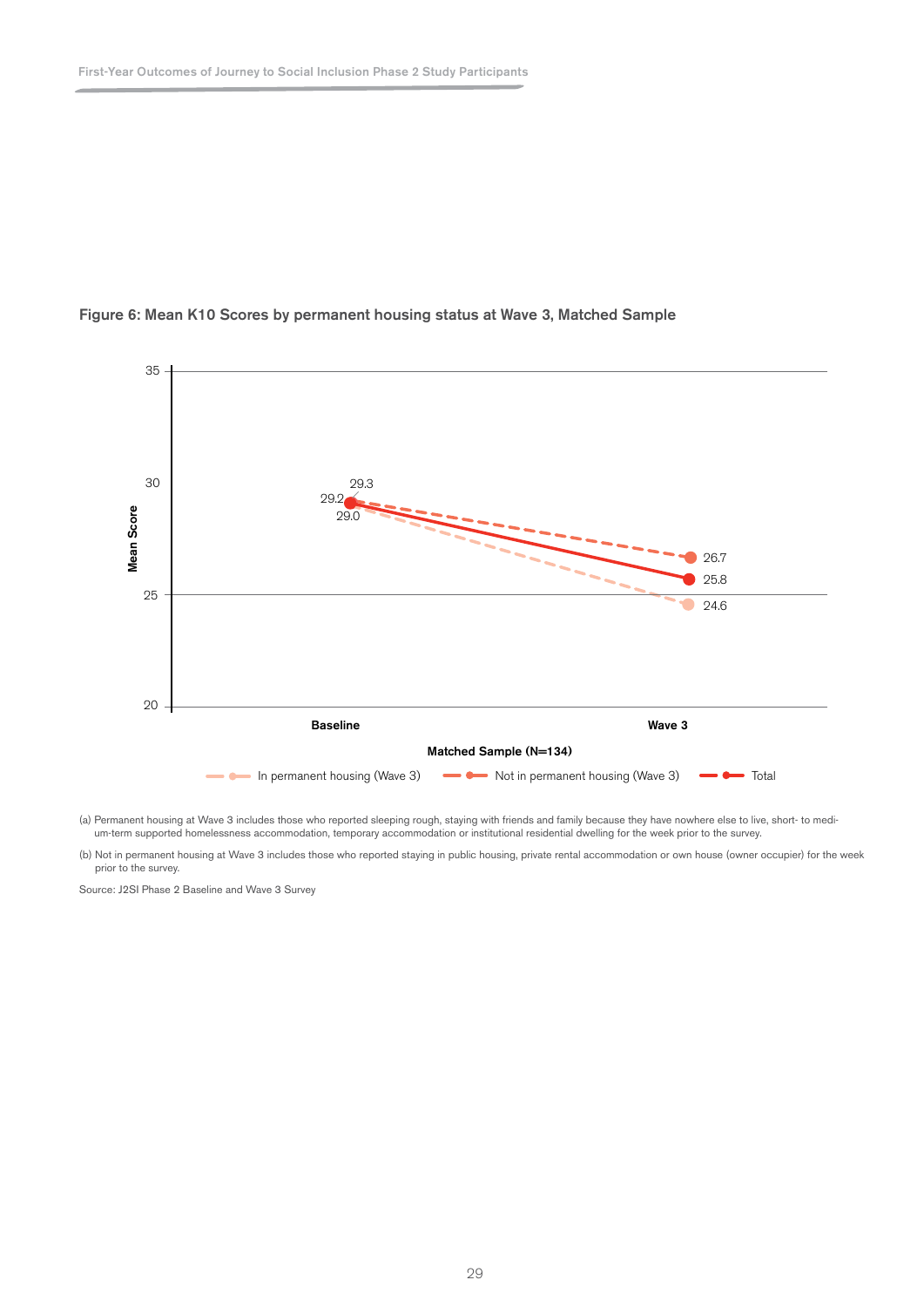

#### Figure 6: Mean K10 Scores by permanent housing status at Wave 3, Matched Sample

(a) Permanent housing at Wave 3 includes those who reported sleeping rough, staying with friends and family because they have nowhere else to live, short- to medium-term supported homelessness accommodation, temporary accommodation or institutional residential dwelling for the week prior to the survey.

(b) Not in permanent housing at Wave 3 includes those who reported staying in public housing, private rental accommodation or own house (owner occupier) for the week prior to the survey.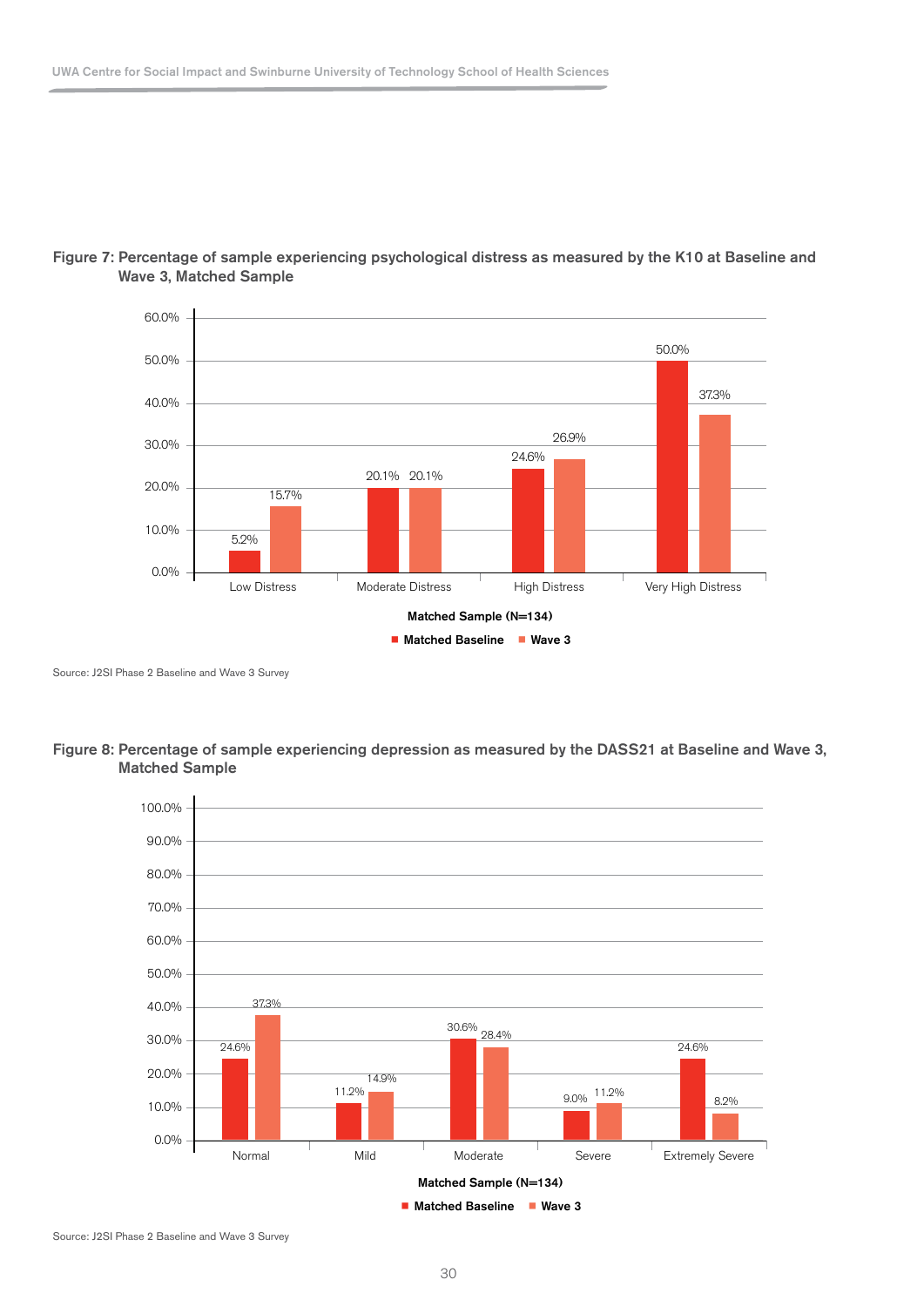

#### Figure 7: Percentage of sample experiencing psychological distress as measured by the K10 at Baseline and Wave 3, Matched Sample

Source: J2SI Phase 2 Baseline and Wave 3 Survey

#### Figure 8: Percentage of sample experiencing depression as measured by the DASS21 at Baseline and Wave 3, Matched Sample

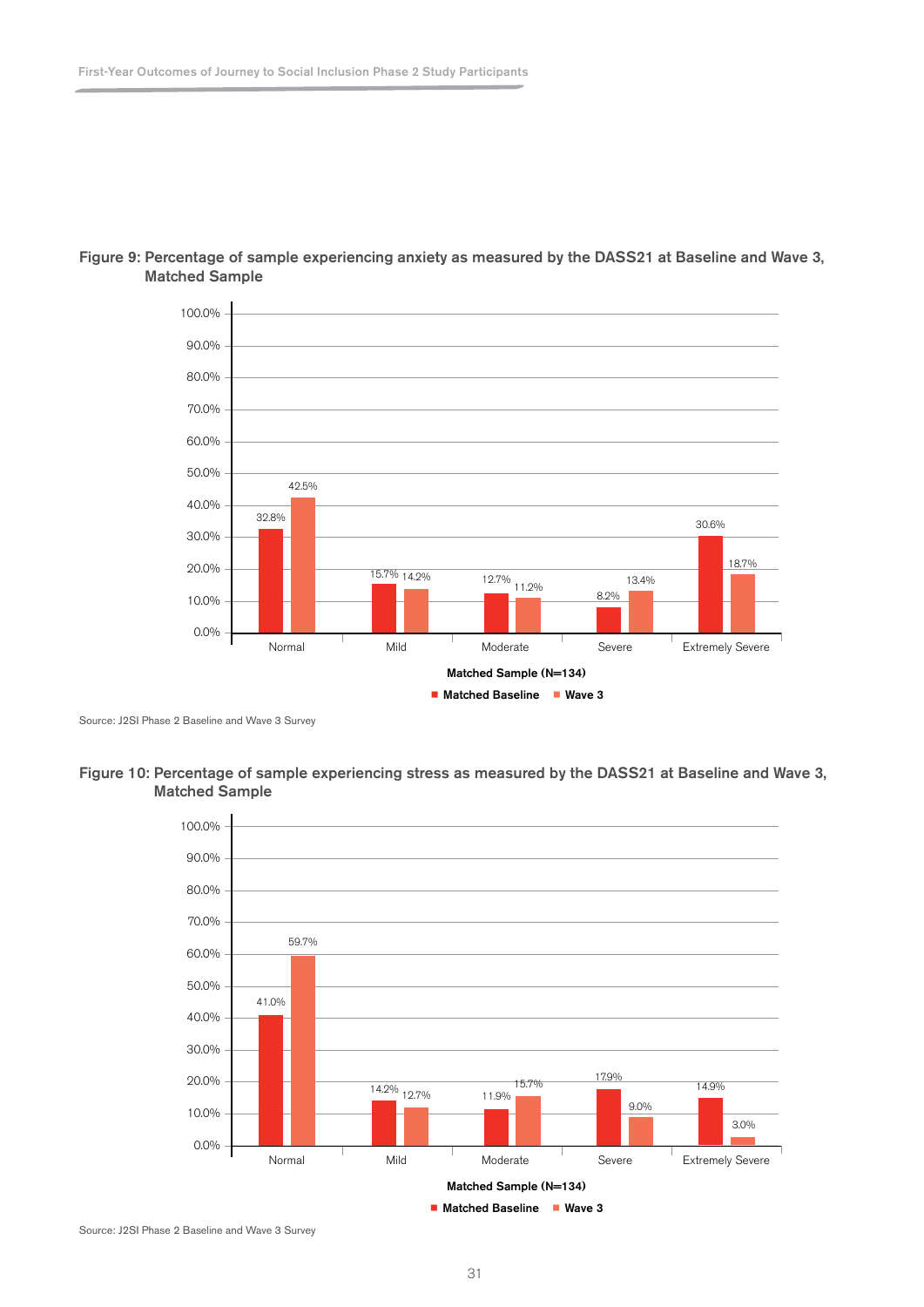

#### Figure 9: Percentage of sample experiencing anxiety as measured by the DASS21 at Baseline and Wave 3, Matched Sample

#### Figure 10: Percentage of sample experiencing stress as measured by the DASS21 at Baseline and Wave 3, Matched Sample



Source: J2SI Phase 2 Baseline and Wave 3 Survey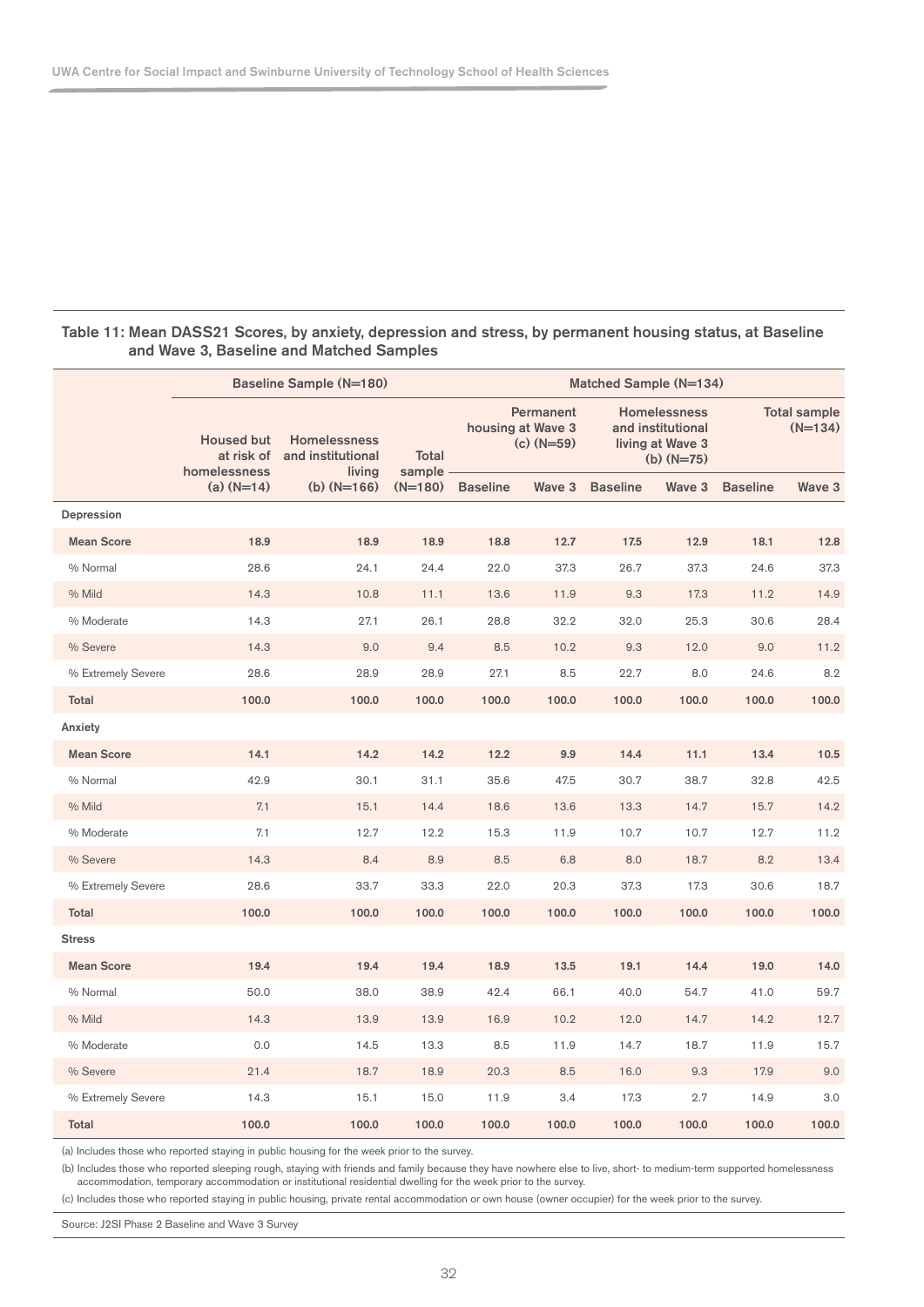#### Table 11: Mean DASS21 Scores, by anxiety, depression and stress, by permanent housing status, at Baseline and Wave 3, Baseline and Matched Samples

|                    | Baseline Sample (N=180)                         |                                                    | Matched Sample (N=134) |                 |                                                |                 |                                                                              |                 |                                  |
|--------------------|-------------------------------------------------|----------------------------------------------------|------------------------|-----------------|------------------------------------------------|-----------------|------------------------------------------------------------------------------|-----------------|----------------------------------|
|                    | <b>Housed but</b><br>at risk of<br>homelessness | <b>Homelessness</b><br>and institutional<br>living | <b>Total</b><br>sample |                 | Permanent<br>housing at Wave 3<br>$(c)$ (N=59) |                 | <b>Homelessness</b><br>and institutional<br>living at Wave 3<br>$(b)$ (N=75) |                 | <b>Total sample</b><br>$(N=134)$ |
|                    | $(a)$ (N=14)                                    | $(b)$ (N=166)                                      | $(N=180)$              | <b>Baseline</b> | <b>Wave 3</b>                                  | <b>Baseline</b> | Wave 3                                                                       | <b>Baseline</b> | Wave 3                           |
| Depression         |                                                 |                                                    |                        |                 |                                                |                 |                                                                              |                 |                                  |
| <b>Mean Score</b>  | 18.9                                            | 18.9                                               | 18.9                   | 18.8            | 12.7                                           | 17.5            | 12.9                                                                         | 18.1            | 12.8                             |
| % Normal           | 28.6                                            | 24.1                                               | 24.4                   | 22.0            | 37.3                                           | 26.7            | 37.3                                                                         | 24.6            | 37.3                             |
| % Mild             | 14.3                                            | 10.8                                               | 11.1                   | 13.6            | 11.9                                           | 9.3             | 17.3                                                                         | 11.2            | 14.9                             |
| % Moderate         | 14.3                                            | 27.1                                               | 26.1                   | 28.8            | 32.2                                           | 32.0            | 25.3                                                                         | 30.6            | 28.4                             |
| % Severe           | 14.3                                            | 9.0                                                | 9.4                    | 8.5             | 10.2                                           | 9.3             | 12.0                                                                         | 9.0             | 11.2                             |
| % Extremely Severe | 28.6                                            | 28.9                                               | 28.9                   | 27.1            | 8.5                                            | 22.7            | 8.0                                                                          | 24.6            | 8.2                              |
| Total              | 100.0                                           | 100.0                                              | 100.0                  | 100.0           | 100.0                                          | 100.0           | 100.0                                                                        | 100.0           | 100.0                            |
| Anxiety            |                                                 |                                                    |                        |                 |                                                |                 |                                                                              |                 |                                  |
| <b>Mean Score</b>  | 14.1                                            | 14.2                                               | 14.2                   | 12.2            | 9.9                                            | 14.4            | 11.1                                                                         | 13.4            | 10.5                             |
| % Normal           | 42.9                                            | 30.1                                               | 31.1                   | 35.6            | 47.5                                           | 30.7            | 38.7                                                                         | 32.8            | 42.5                             |
| % Mild             | 7.1                                             | 15.1                                               | 14.4                   | 18.6            | 13.6                                           | 13.3            | 14.7                                                                         | 15.7            | 14.2                             |
| % Moderate         | 7.1                                             | 12.7                                               | 12.2                   | 15.3            | 11.9                                           | 10.7            | 10.7                                                                         | 12.7            | 11.2                             |
| % Severe           | 14.3                                            | 8.4                                                | 8.9                    | 8.5             | 6.8                                            | 8.0             | 18.7                                                                         | 8.2             | 13.4                             |
| % Extremely Severe | 28.6                                            | 33.7                                               | 33.3                   | 22.0            | 20.3                                           | 37.3            | 17.3                                                                         | 30.6            | 18.7                             |
| Total              | 100.0                                           | 100.0                                              | 100.0                  | 100.0           | 100.0                                          | 100.0           | 100.0                                                                        | 100.0           | 100.0                            |
| <b>Stress</b>      |                                                 |                                                    |                        |                 |                                                |                 |                                                                              |                 |                                  |
| <b>Mean Score</b>  | 19.4                                            | 19.4                                               | 19.4                   | 18.9            | 13.5                                           | 19.1            | 14.4                                                                         | 19.0            | 14.0                             |
| % Normal           | 50.0                                            | 38.0                                               | 38.9                   | 42.4            | 66.1                                           | 40.0            | 54.7                                                                         | 41.0            | 59.7                             |
| % Mild             | 14.3                                            | 13.9                                               | 13.9                   | 16.9            | 10.2                                           | 12.0            | 14.7                                                                         | 14.2            | 12.7                             |
| % Moderate         | 0.0                                             | 14.5                                               | 13.3                   | 8.5             | 11.9                                           | 14.7            | 18.7                                                                         | 11.9            | 15.7                             |
| % Severe           | 21.4                                            | 18.7                                               | 18.9                   | 20.3            | 8.5                                            | 16.0            | 9.3                                                                          | 17.9            | 9.0                              |
| % Extremely Severe | 14.3                                            | 15.1                                               | 15.0                   | 11.9            | 3.4                                            | 17.3            | 2.7                                                                          | 14.9            | 3.0                              |
| Total              | 100.0                                           | 100.0                                              | 100.0                  | 100.0           | 100.0                                          | 100.0           | 100.0                                                                        | 100.0           | 100.0                            |

(a) Includes those who reported staying in public housing for the week prior to the survey.

(b) Includes those who reported sleeping rough, staying with friends and family because they have nowhere else to live, short- to medium-term supported homelessness accommodation, temporary accommodation or institutional residential dwelling for the week prior to the survey.

(c) Includes those who reported staying in public housing, private rental accommodation or own house (owner occupier) for the week prior to the survey.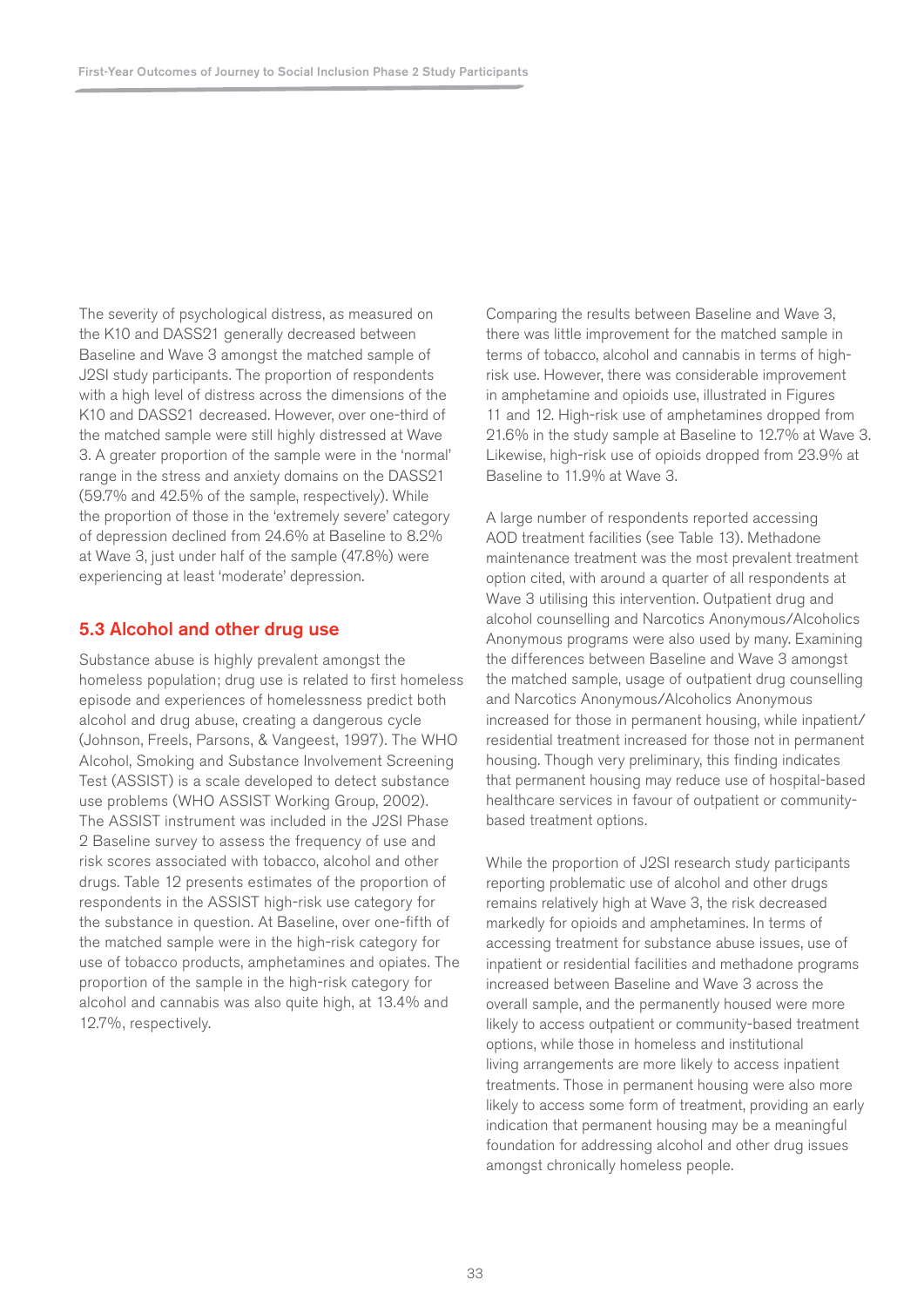The severity of psychological distress, as measured on the K10 and DASS21 generally decreased between Baseline and Wave 3 amongst the matched sample of J2SI study participants. The proportion of respondents with a high level of distress across the dimensions of the K10 and DASS21 decreased. However, over one-third of the matched sample were still highly distressed at Wave 3. A greater proportion of the sample were in the 'normal' range in the stress and anxiety domains on the DASS21 (59.7% and 42.5% of the sample, respectively). While the proportion of those in the 'extremely severe' category of depression declined from 24.6% at Baseline to 8.2% at Wave 3, just under half of the sample (47.8%) were experiencing at least 'moderate' depression.

#### 5.3 Alcohol and other drug use

Substance abuse is highly prevalent amongst the homeless population; drug use is related to first homeless episode and experiences of homelessness predict both alcohol and drug abuse, creating a dangerous cycle (Johnson, Freels, Parsons, & Vangeest, 1997). The WHO Alcohol, Smoking and Substance Involvement Screening Test (ASSIST) is a scale developed to detect substance use problems (WHO ASSIST Working Group, 2002). The ASSIST instrument was included in the J2SI Phase 2 Baseline survey to assess the frequency of use and risk scores associated with tobacco, alcohol and other drugs. Table 12 presents estimates of the proportion of respondents in the ASSIST high-risk use category for the substance in question. At Baseline, over one-fifth of the matched sample were in the high-risk category for use of tobacco products, amphetamines and opiates. The proportion of the sample in the high-risk category for alcohol and cannabis was also quite high, at 13.4% and 12.7%, respectively.

Comparing the results between Baseline and Wave 3, there was little improvement for the matched sample in terms of tobacco, alcohol and cannabis in terms of highrisk use. However, there was considerable improvement in amphetamine and opioids use, illustrated in Figures 11 and 12. High-risk use of amphetamines dropped from 21.6% in the study sample at Baseline to 12.7% at Wave 3. Likewise, high-risk use of opioids dropped from 23.9% at Baseline to 11.9% at Wave 3.

A large number of respondents reported accessing AOD treatment facilities (see Table 13). Methadone maintenance treatment was the most prevalent treatment option cited, with around a quarter of all respondents at Wave 3 utilising this intervention. Outpatient drug and alcohol counselling and Narcotics Anonymous/Alcoholics Anonymous programs were also used by many. Examining the differences between Baseline and Wave 3 amongst the matched sample, usage of outpatient drug counselling and Narcotics Anonymous/Alcoholics Anonymous increased for those in permanent housing, while inpatient/ residential treatment increased for those not in permanent housing. Though very preliminary, this finding indicates that permanent housing may reduce use of hospital-based healthcare services in favour of outpatient or communitybased treatment options.

While the proportion of J2SI research study participants reporting problematic use of alcohol and other drugs remains relatively high at Wave 3, the risk decreased markedly for opioids and amphetamines. In terms of accessing treatment for substance abuse issues, use of inpatient or residential facilities and methadone programs increased between Baseline and Wave 3 across the overall sample, and the permanently housed were more likely to access outpatient or community-based treatment options, while those in homeless and institutional living arrangements are more likely to access inpatient treatments. Those in permanent housing were also more likely to access some form of treatment, providing an early indication that permanent housing may be a meaningful foundation for addressing alcohol and other drug issues amongst chronically homeless people.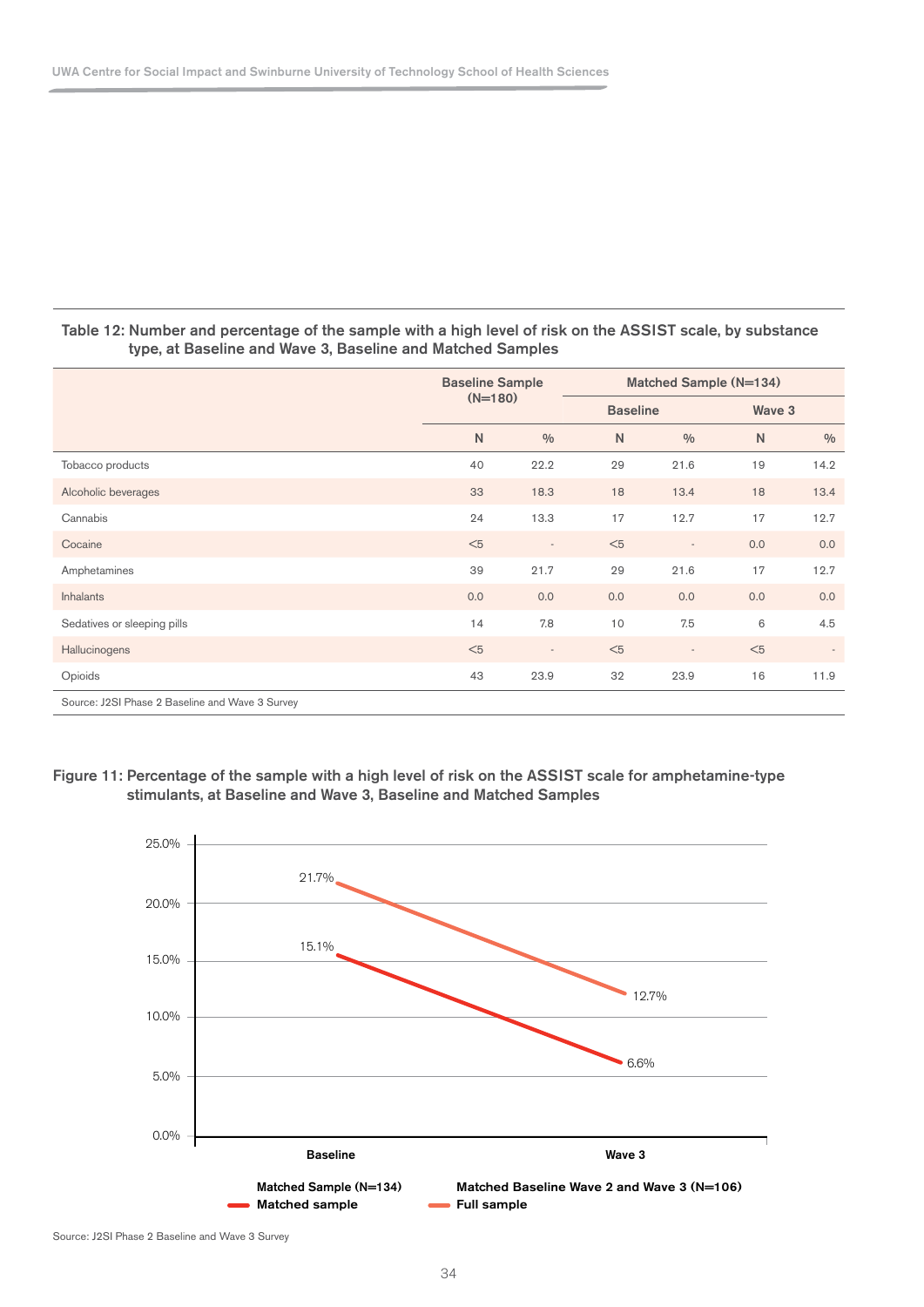#### Table 12: Number and percentage of the sample with a high level of risk on the ASSIST scale, by substance type, at Baseline and Wave 3, Baseline and Matched Samples

|                                                 | <b>Baseline Sample</b> |        | Matched Sample (N=134) |                          |        |               |
|-------------------------------------------------|------------------------|--------|------------------------|--------------------------|--------|---------------|
|                                                 | $(N=180)$              |        | <b>Baseline</b>        |                          | Wave 3 |               |
|                                                 | N                      | 0/0    | N                      | $\frac{0}{0}$            | N      | $\frac{0}{0}$ |
| Tobacco products                                | 40                     | 22.2   | 29                     | 21.6                     | 19     | 14.2          |
| Alcoholic beverages                             | 33                     | 18.3   | 18                     | 13.4                     | 18     | 13.4          |
| Cannabis                                        | 24                     | 13.3   | 17                     | 12.7                     | 17     | 12.7          |
| Cocaine                                         | $<$ 5                  | $\sim$ | $<$ 5                  | $\sim$                   | 0.0    | 0.0           |
| Amphetamines                                    | 39                     | 21.7   | 29                     | 21.6                     | 17     | 12.7          |
| Inhalants                                       | 0.0                    | 0.0    | 0.0                    | 0.0                      | 0.0    | 0.0           |
| Sedatives or sleeping pills                     | 14                     | 7.8    | 10                     | 7.5                      | 6      | 4.5           |
| Hallucinogens                                   | $<$ 5                  | $\sim$ | $<$ 5                  | $\overline{\phantom{a}}$ | $<$ 5  | $\sim$        |
| Opioids                                         | 43                     | 23.9   | 32                     | 23.9                     | 16     | 11.9          |
| Source: J2SI Phase 2 Baseline and Wave 3 Survey |                        |        |                        |                          |        |               |

#### Figure 11: Percentage of the sample with a high level of risk on the ASSIST scale for amphetamine-type stimulants, at Baseline and Wave 3, Baseline and Matched Samples

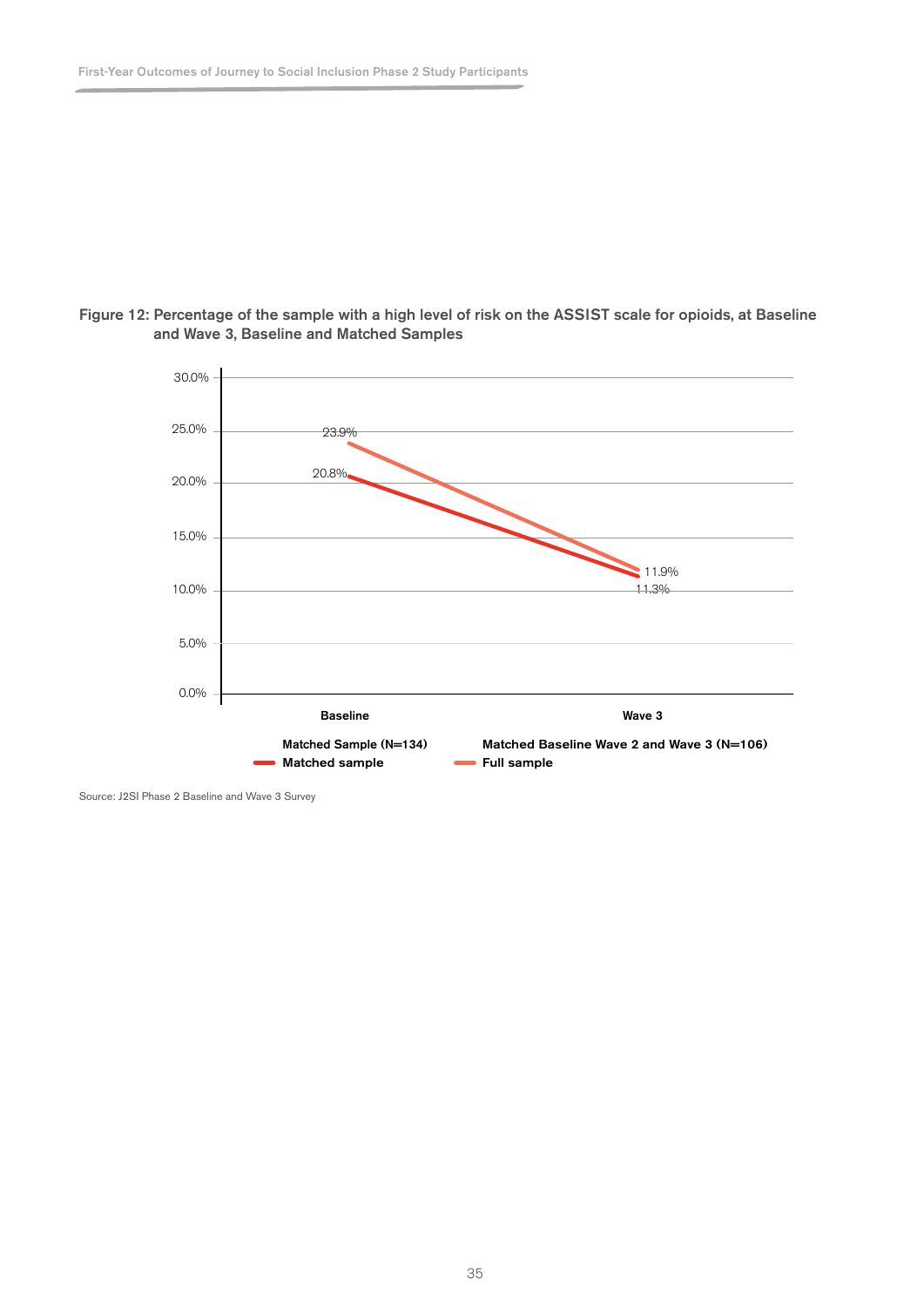

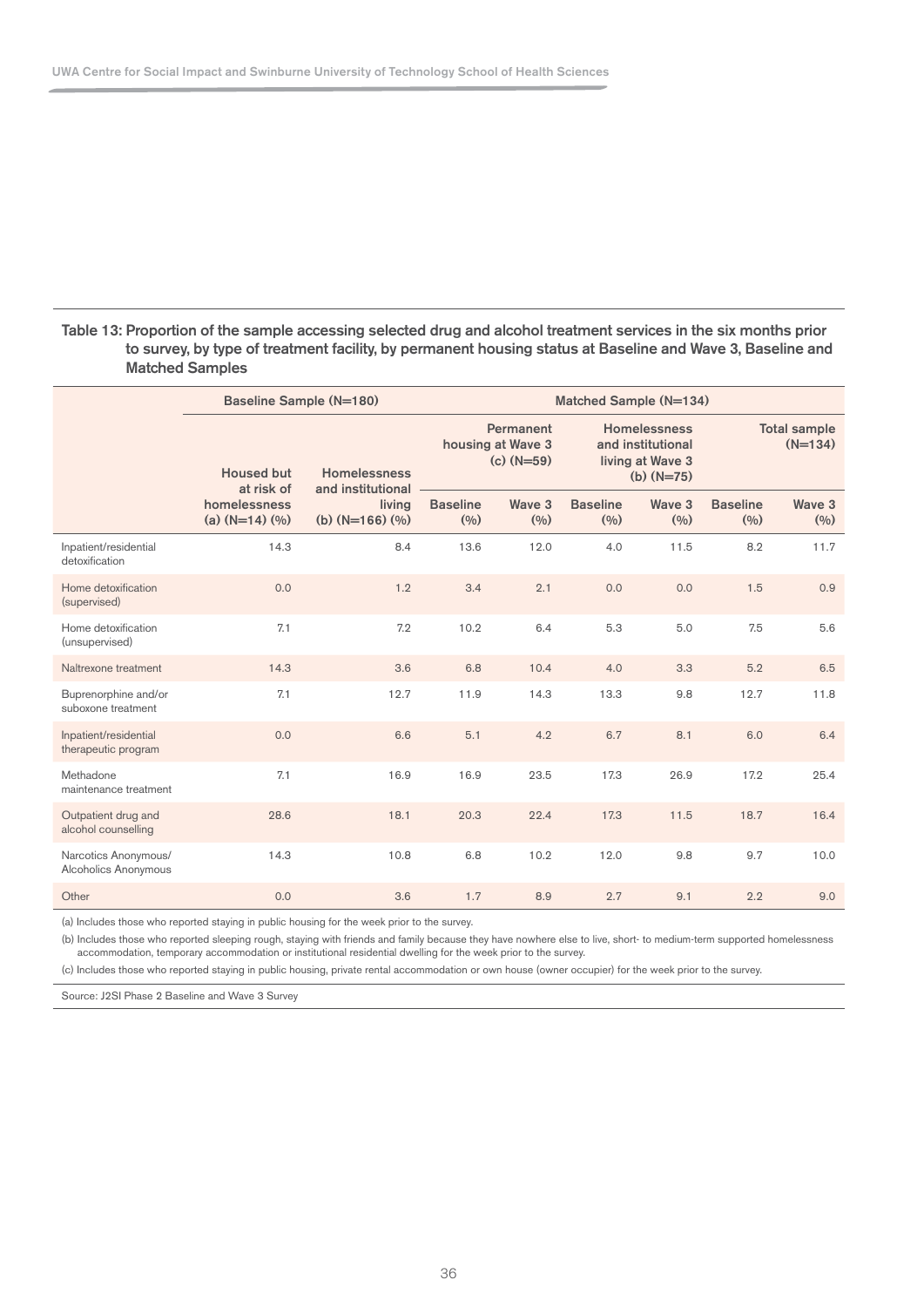#### Table 13: Proportion of the sample accessing selected drug and alcohol treatment services in the six months prior to survey, by type of treatment facility, by permanent housing status at Baseline and Wave 3, Baseline and Matched Samples

|                                              | Baseline Sample (N=180)             |                                          | Matched Sample (N=134)   |                                                |                          |                                                                              |                                  |                 |  |  |
|----------------------------------------------|-------------------------------------|------------------------------------------|--------------------------|------------------------------------------------|--------------------------|------------------------------------------------------------------------------|----------------------------------|-----------------|--|--|
|                                              | <b>Housed but</b><br>at risk of     | <b>Homelessness</b><br>and institutional |                          | Permanent<br>housing at Wave 3<br>$(c)$ (N=59) |                          | <b>Homelessness</b><br>and institutional<br>living at Wave 3<br>$(b)$ (N=75) | <b>Total sample</b><br>$(N=134)$ |                 |  |  |
|                                              | homelessness<br>(a) $(N=14)$ $(\%)$ | living<br>(b) $(N=166)$ $(\%)$           | <b>Baseline</b><br>(0/0) | Wave 3<br>(0/0)                                | <b>Baseline</b><br>(0/0) | Wave 3<br>(0/0)                                                              | <b>Baseline</b><br>(0/0)         | Wave 3<br>(0/0) |  |  |
| Inpatient/residential<br>detoxification      | 14.3                                | 8.4                                      | 13.6                     | 12.0                                           | 4.0                      | 11.5                                                                         | 8.2                              | 11.7            |  |  |
| Home detoxification<br>(supervised)          | 0.0                                 | 1.2                                      | 3.4                      | 2.1                                            | 0.0                      | 0.0                                                                          | 1.5                              | 0.9             |  |  |
| Home detoxification<br>(unsupervised)        | 7.1                                 | 7.2                                      | 10.2                     | 6.4                                            | 5.3                      | 5.0                                                                          | 7.5                              | 5.6             |  |  |
| Naltrexone treatment                         | 14.3                                | 3.6                                      | 6.8                      | 10.4                                           | 4.0                      | 3.3                                                                          | 5.2                              | 6.5             |  |  |
| Buprenorphine and/or<br>suboxone treatment   | 7.1                                 | 12.7                                     | 11.9                     | 14.3                                           | 13.3                     | 9.8                                                                          | 12.7                             | 11.8            |  |  |
| Inpatient/residential<br>therapeutic program | 0.0                                 | 6.6                                      | 5.1                      | 4.2                                            | 6.7                      | 8.1                                                                          | 6.0                              | 6.4             |  |  |
| Methadone<br>maintenance treatment           | 7.1                                 | 16.9                                     | 16.9                     | 23.5                                           | 17.3                     | 26.9                                                                         | 17.2                             | 25.4            |  |  |
| Outpatient drug and<br>alcohol counselling   | 28.6                                | 18.1                                     | 20.3                     | 22.4                                           | 17.3                     | 11.5                                                                         | 18.7                             | 16.4            |  |  |
| Narcotics Anonymous/<br>Alcoholics Anonymous | 14.3                                | 10.8                                     | 6.8                      | 10.2                                           | 12.0                     | 9.8                                                                          | 9.7                              | 10.0            |  |  |
| Other                                        | 0.0                                 | 3.6                                      | 1.7                      | 8.9                                            | 2.7                      | 9.1                                                                          | 2.2                              | 9.0             |  |  |

(a) Includes those who reported staying in public housing for the week prior to the survey.

(b) Includes those who reported sleeping rough, staying with friends and family because they have nowhere else to live, short- to medium-term supported homelessness accommodation, temporary accommodation or institutional residential dwelling for the week prior to the survey.

(c) Includes those who reported staying in public housing, private rental accommodation or own house (owner occupier) for the week prior to the survey.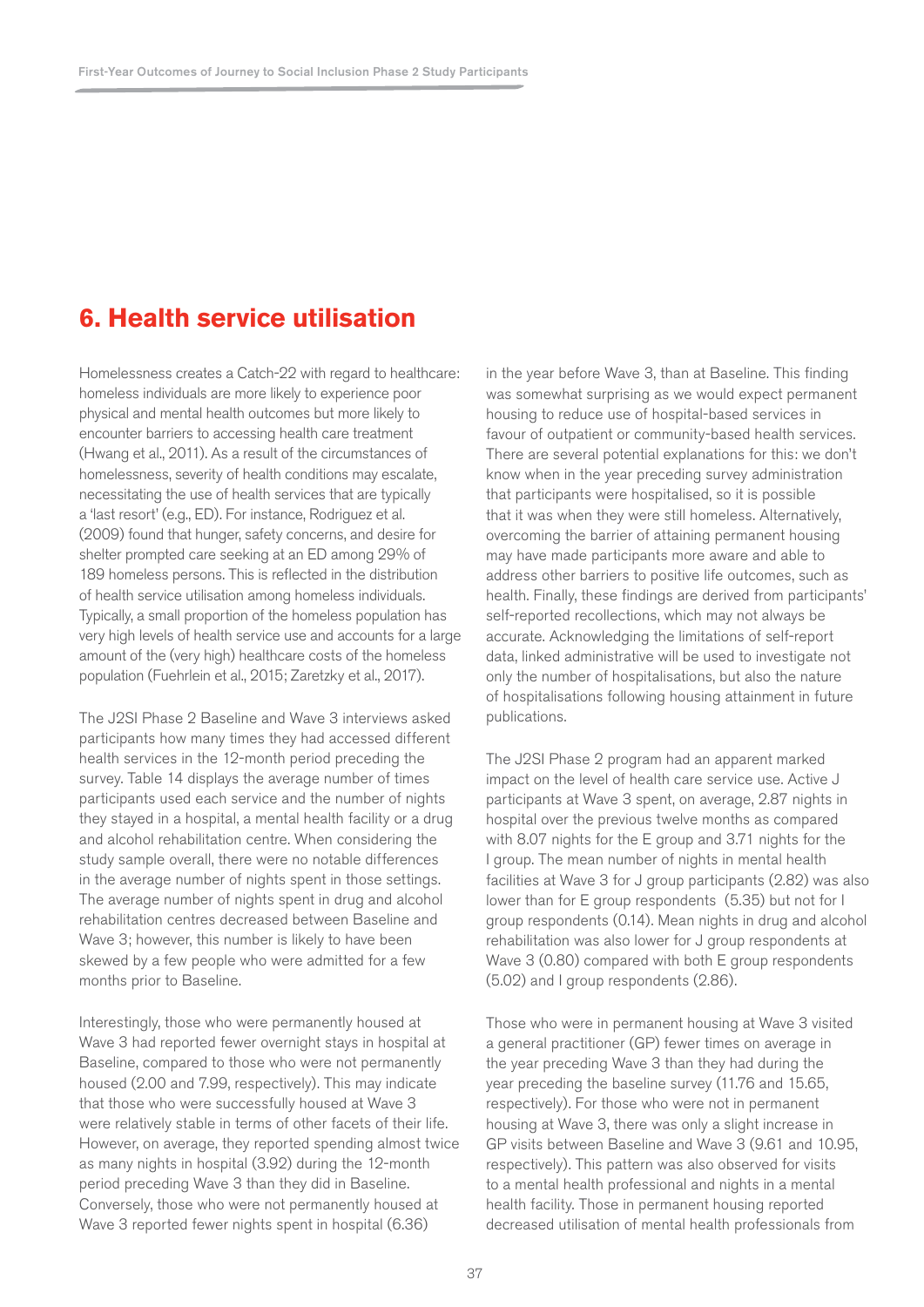## **6. Health service utilisation**

Homelessness creates a Catch-22 with regard to healthcare: homeless individuals are more likely to experience poor physical and mental health outcomes but more likely to encounter barriers to accessing health care treatment (Hwang et al., 2011). As a result of the circumstances of homelessness, severity of health conditions may escalate, necessitating the use of health services that are typically a 'last resort' (e.g., ED). For instance, Rodriguez et al. (2009) found that hunger, safety concerns, and desire for shelter prompted care seeking at an ED among 29% of 189 homeless persons. This is reflected in the distribution of health service utilisation among homeless individuals. Typically, a small proportion of the homeless population has very high levels of health service use and accounts for a large amount of the (very high) healthcare costs of the homeless population (Fuehrlein et al., 2015; Zaretzky et al., 2017).

The J2SI Phase 2 Baseline and Wave 3 interviews asked participants how many times they had accessed different health services in the 12-month period preceding the survey. Table 14 displays the average number of times participants used each service and the number of nights they stayed in a hospital, a mental health facility or a drug and alcohol rehabilitation centre. When considering the study sample overall, there were no notable differences in the average number of nights spent in those settings. The average number of nights spent in drug and alcohol rehabilitation centres decreased between Baseline and Wave 3; however, this number is likely to have been skewed by a few people who were admitted for a few months prior to Baseline.

Interestingly, those who were permanently housed at Wave 3 had reported fewer overnight stays in hospital at Baseline, compared to those who were not permanently housed (2.00 and 7.99, respectively). This may indicate that those who were successfully housed at Wave 3 were relatively stable in terms of other facets of their life. However, on average, they reported spending almost twice as many nights in hospital (3.92) during the 12-month period preceding Wave 3 than they did in Baseline. Conversely, those who were not permanently housed at Wave 3 reported fewer nights spent in hospital (6.36)

in the year before Wave 3, than at Baseline. This finding was somewhat surprising as we would expect permanent housing to reduce use of hospital-based services in favour of outpatient or community-based health services. There are several potential explanations for this: we don't know when in the year preceding survey administration that participants were hospitalised, so it is possible that it was when they were still homeless. Alternatively, overcoming the barrier of attaining permanent housing may have made participants more aware and able to address other barriers to positive life outcomes, such as health. Finally, these findings are derived from participants' self-reported recollections, which may not always be accurate. Acknowledging the limitations of self-report data, linked administrative will be used to investigate not only the number of hospitalisations, but also the nature of hospitalisations following housing attainment in future publications.

The J2SI Phase 2 program had an apparent marked impact on the level of health care service use. Active J participants at Wave 3 spent, on average, 2.87 nights in hospital over the previous twelve months as compared with 8.07 nights for the E group and 3.71 nights for the I group. The mean number of nights in mental health facilities at Wave 3 for J group participants (2.82) was also lower than for E group respondents (5.35) but not for I group respondents (0.14). Mean nights in drug and alcohol rehabilitation was also lower for J group respondents at Wave 3 (0.80) compared with both E group respondents (5.02) and I group respondents (2.86).

Those who were in permanent housing at Wave 3 visited a general practitioner (GP) fewer times on average in the year preceding Wave 3 than they had during the year preceding the baseline survey (11.76 and 15.65, respectively). For those who were not in permanent housing at Wave 3, there was only a slight increase in GP visits between Baseline and Wave 3 (9.61 and 10.95, respectively). This pattern was also observed for visits to a mental health professional and nights in a mental health facility. Those in permanent housing reported decreased utilisation of mental health professionals from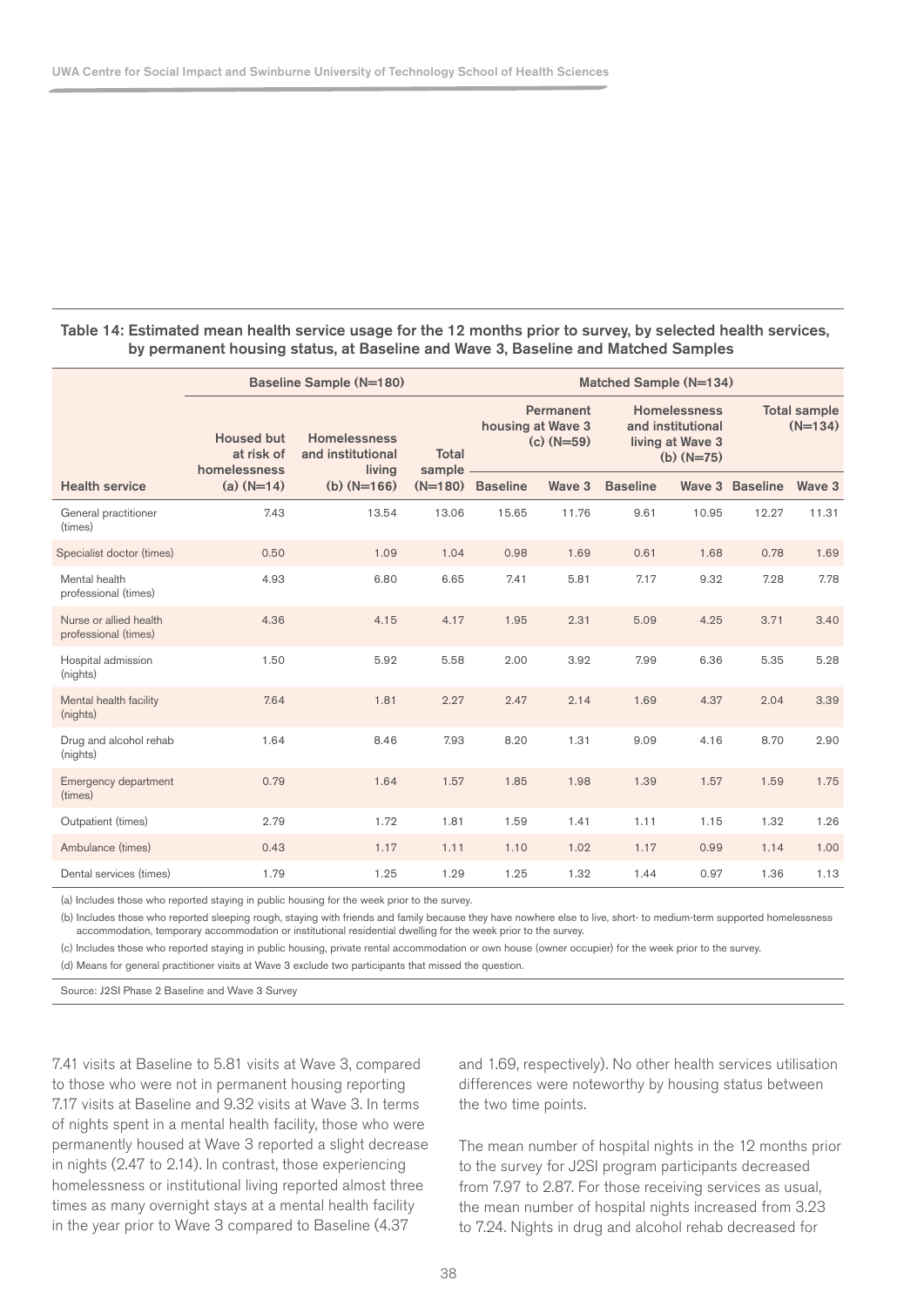#### Table 14: Estimated mean health service usage for the 12 months prior to survey, by selected health services, by permanent housing status, at Baseline and Wave 3, Baseline and Matched Samples

|                                                | Baseline Sample (N=180)                         | Matched Sample (N=134)                             |                        |                                                |        |                                                                              |        |                 |                                  |
|------------------------------------------------|-------------------------------------------------|----------------------------------------------------|------------------------|------------------------------------------------|--------|------------------------------------------------------------------------------|--------|-----------------|----------------------------------|
|                                                | <b>Housed but</b><br>at risk of<br>homelessness | <b>Homelessness</b><br>and institutional<br>living | <b>Total</b><br>sample | Permanent<br>housing at Wave 3<br>$(c)$ (N=59) |        | <b>Homelessness</b><br>and institutional<br>living at Wave 3<br>$(b)$ (N=75) |        |                 | <b>Total sample</b><br>$(N=134)$ |
| <b>Health service</b>                          | $(a)$ (N=14)                                    | (b) $(N=166)$                                      | $(N=180)$              | <b>Baseline</b>                                | Wave 3 | <b>Baseline</b>                                                              | Wave 3 | <b>Baseline</b> | Wave 3                           |
| General practitioner<br>(times)                | 7.43                                            | 13.54                                              | 13.06                  | 15.65                                          | 11.76  | 9.61                                                                         | 10.95  | 12.27           | 11.31                            |
| Specialist doctor (times)                      | 0.50                                            | 1.09                                               | 1.04                   | 0.98                                           | 1.69   | 0.61                                                                         | 1.68   | 0.78            | 1.69                             |
| Mental health<br>professional (times)          | 4.93                                            | 6.80                                               | 6.65                   | 7.41                                           | 5.81   | 7.17                                                                         | 9.32   | 7.28            | 7.78                             |
| Nurse or allied health<br>professional (times) | 4.36                                            | 4.15                                               | 4.17                   | 1.95                                           | 2.31   | 5.09                                                                         | 4.25   | 3.71            | 3.40                             |
| Hospital admission<br>(nights)                 | 1.50                                            | 5.92                                               | 5.58                   | 2.00                                           | 3.92   | 7.99                                                                         | 6.36   | 5.35            | 5.28                             |
| Mental health facility<br>(nights)             | 7.64                                            | 1.81                                               | 2.27                   | 2.47                                           | 2.14   | 1.69                                                                         | 4.37   | 2.04            | 3.39                             |
| Drug and alcohol rehab<br>(nights)             | 1.64                                            | 8.46                                               | 7.93                   | 8.20                                           | 1.31   | 9.09                                                                         | 4.16   | 8.70            | 2.90                             |
| Emergency department<br>(times)                | 0.79                                            | 1.64                                               | 1.57                   | 1.85                                           | 1.98   | 1.39                                                                         | 1.57   | 1.59            | 1.75                             |
| Outpatient (times)                             | 2.79                                            | 1.72                                               | 1.81                   | 1.59                                           | 1.41   | 1.11                                                                         | 1.15   | 1.32            | 1.26                             |
| Ambulance (times)                              | 0.43                                            | 1.17                                               | 1.11                   | 1.10                                           | 1.02   | 1.17                                                                         | 0.99   | 1.14            | 1.00                             |
| Dental services (times)                        | 1.79                                            | 1.25                                               | 1.29                   | 1.25                                           | 1.32   | 1.44                                                                         | 0.97   | 1.36            | 1.13                             |

(a) Includes those who reported staying in public housing for the week prior to the survey.

(b) Includes those who reported sleeping rough, staying with friends and family because they have nowhere else to live, short- to medium-term supported homelessness accommodation, temporary accommodation or institutional residential dwelling for the week prior to the survey.

(c) Includes those who reported staying in public housing, private rental accommodation or own house (owner occupier) for the week prior to the survey.

(d) Means for general practitioner visits at Wave 3 exclude two participants that missed the question.

Source: J2SI Phase 2 Baseline and Wave 3 Survey

7.41 visits at Baseline to 5.81 visits at Wave 3, compared to those who were not in permanent housing reporting 7.17 visits at Baseline and 9.32 visits at Wave 3. In terms of nights spent in a mental health facility, those who were permanently housed at Wave 3 reported a slight decrease in nights (2.47 to 2.14). In contrast, those experiencing homelessness or institutional living reported almost three times as many overnight stays at a mental health facility in the year prior to Wave 3 compared to Baseline (4.37

and 1.69, respectively). No other health services utilisation differences were noteworthy by housing status between the two time points.

The mean number of hospital nights in the 12 months prior to the survey for J2SI program participants decreased from 7.97 to 2.87. For those receiving services as usual, the mean number of hospital nights increased from 3.23 to 7.24. Nights in drug and alcohol rehab decreased for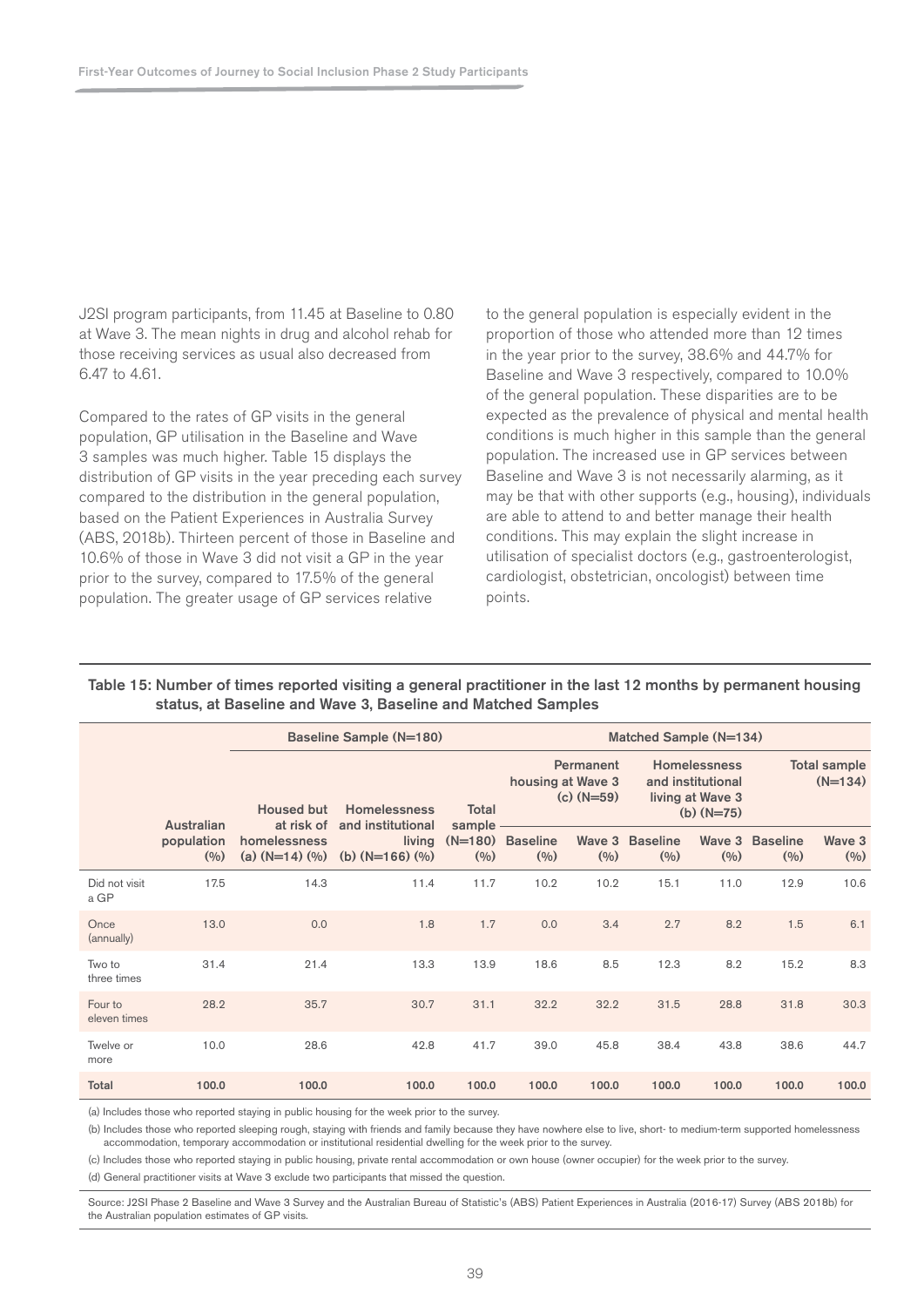J2SI program participants, from 11.45 at Baseline to 0.80 at Wave 3. The mean nights in drug and alcohol rehab for those receiving services as usual also decreased from 6.47 to 4.61.

Compared to the rates of GP visits in the general population, GP utilisation in the Baseline and Wave 3 samples was much higher. Table 15 displays the distribution of GP visits in the year preceding each survey compared to the distribution in the general population, based on the Patient Experiences in Australia Survey (ABS, 2018b). Thirteen percent of those in Baseline and 10.6% of those in Wave 3 did not visit a GP in the year prior to the survey, compared to 17.5% of the general population. The greater usage of GP services relative

to the general population is especially evident in the proportion of those who attended more than 12 times in the year prior to the survey, 38.6% and 44.7% for Baseline and Wave 3 respectively, compared to 10.0% of the general population. These disparities are to be expected as the prevalence of physical and mental health conditions is much higher in this sample than the general population. The increased use in GP services between Baseline and Wave 3 is not necessarily alarming, as it may be that with other supports (e.g., housing), individuals are able to attend to and better manage their health conditions. This may explain the slight increase in utilisation of specialist doctors (e.g., gastroenterologist, cardiologist, obstetrician, oncologist) between time points.

#### Table 15: Number of times reported visiting a general practitioner in the last 12 months by permanent housing status, at Baseline and Wave 3, Baseline and Matched Samples

|                         |                     |                                     | Baseline Sample (N=180)                  | Matched Sample (N=134) |                                                |                 |                                                                              |                 |                           |                 |
|-------------------------|---------------------|-------------------------------------|------------------------------------------|------------------------|------------------------------------------------|-----------------|------------------------------------------------------------------------------|-----------------|---------------------------|-----------------|
| Australian              |                     | <b>Housed but</b><br>at risk of     | <b>Homelessness</b><br>and institutional | <b>Total</b><br>sample | Permanent<br>housing at Wave 3<br>$(c)$ (N=59) |                 | <b>Homelessness</b><br>and institutional<br>living at Wave 3<br>$(b)$ (N=75) |                 | Total sample<br>$(N=134)$ |                 |
|                         | population<br>(9/0) | homelessness<br>(a) $(N=14)$ $(\%)$ | living<br>(b) $(N=166)$ $(\%)$           | (9/0)                  | (N=180) Baseline<br>(0/0)                      | Wave 3<br>(9/0) | <b>Baseline</b><br>(0/0)                                                     | Wave 3<br>(0/0) | <b>Baseline</b><br>(0/0)  | Wave 3<br>(0/0) |
| Did not visit<br>a GP   | 17.5                | 14.3                                | 11.4                                     | 11.7                   | 10.2                                           | 10.2            | 15.1                                                                         | 11.0            | 12.9                      | 10.6            |
| Once<br>(annually)      | 13.0                | 0.0                                 | 1.8                                      | 1.7                    | 0.0                                            | 3.4             | 2.7                                                                          | 8.2             | 1.5                       | 6.1             |
| Two to<br>three times   | 31.4                | 21.4                                | 13.3                                     | 13.9                   | 18.6                                           | 8.5             | 12.3                                                                         | 8.2             | 15.2                      | 8.3             |
| Four to<br>eleven times | 28.2                | 35.7                                | 30.7                                     | 31.1                   | 32.2                                           | 32.2            | 31.5                                                                         | 28.8            | 31.8                      | 30.3            |
| Twelve or<br>more       | 10.0                | 28.6                                | 42.8                                     | 41.7                   | 39.0                                           | 45.8            | 38.4                                                                         | 43.8            | 38.6                      | 44.7            |
| <b>Total</b>            | 100.0               | 100.0                               | 100.0                                    | 100.0                  | 100.0                                          | 100.0           | 100.0                                                                        | 100.0           | 100.0                     | 100.0           |

(a) Includes those who reported staying in public housing for the week prior to the survey.

(b) Includes those who reported sleeping rough, staying with friends and family because they have nowhere else to live, short- to medium-term supported homelessness accommodation, temporary accommodation or institutional residential dwelling for the week prior to the survey.

(c) Includes those who reported staying in public housing, private rental accommodation or own house (owner occupier) for the week prior to the survey.

(d) General practitioner visits at Wave 3 exclude two participants that missed the question.

Source: J2SI Phase 2 Baseline and Wave 3 Survey and the Australian Bureau of Statistic's (ABS) Patient Experiences in Australia (2016-17) Survey (ABS 2018b) for the Australian population estimates of GP visits.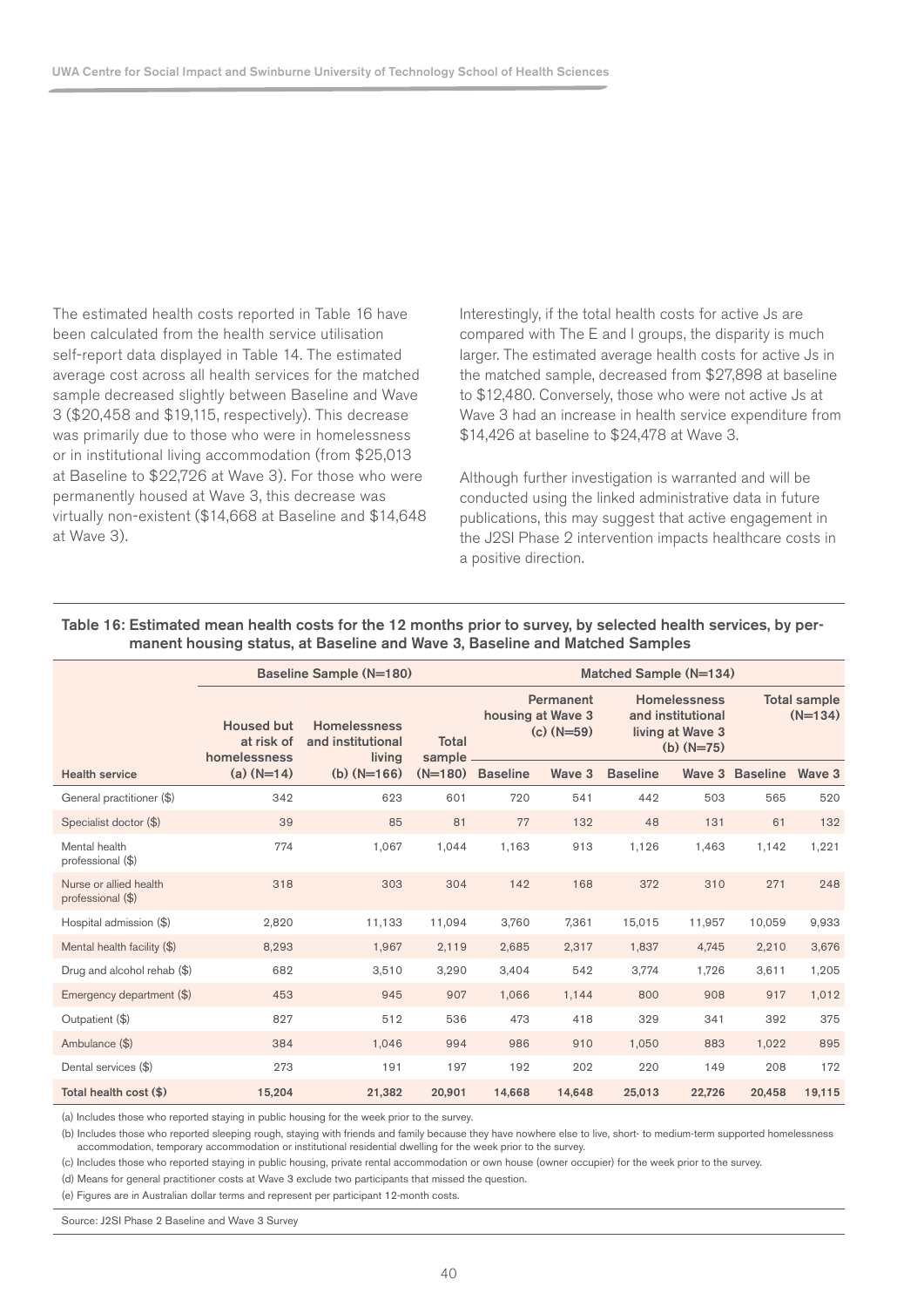The estimated health costs reported in Table 16 have been calculated from the health service utilisation self-report data displayed in Table 14. The estimated average cost across all health services for the matched sample decreased slightly between Baseline and Wave 3 (\$20,458 and \$19,115, respectively). This decrease was primarily due to those who were in homelessness or in institutional living accommodation (from \$25,013 at Baseline to \$22,726 at Wave 3). For those who were permanently housed at Wave 3, this decrease was virtually non-existent (\$14,668 at Baseline and \$14,648 at Wave 3).

Interestingly, if the total health costs for active Js are compared with The E and I groups, the disparity is much larger. The estimated average health costs for active Js in the matched sample, decreased from \$27,898 at baseline to \$12,480. Conversely, those who were not active Js at Wave 3 had an increase in health service expenditure from \$14,426 at baseline to \$24,478 at Wave 3.

Although further investigation is warranted and will be conducted using the linked administrative data in future publications, this may suggest that active engagement in the J2SI Phase 2 intervention impacts healthcare costs in a positive direction.

|                                             |                                                 | <b>Baseline Sample (N=180)</b>                     |                        | Matched Sample (N=134) |                                                |                 |                                                                              |                 |                                  |
|---------------------------------------------|-------------------------------------------------|----------------------------------------------------|------------------------|------------------------|------------------------------------------------|-----------------|------------------------------------------------------------------------------|-----------------|----------------------------------|
|                                             | <b>Housed but</b><br>at risk of<br>homelessness | <b>Homelessness</b><br>and institutional<br>living | <b>Total</b><br>sample |                        | Permanent<br>housing at Wave 3<br>$(c)$ (N=59) |                 | <b>Homelessness</b><br>and institutional<br>living at Wave 3<br>$(b)$ (N=75) |                 | <b>Total sample</b><br>$(N=134)$ |
| <b>Health service</b>                       | $(a)$ (N=14)                                    | $(b)$ (N=166)                                      | $(N=180)$              | <b>Baseline</b>        | Wave 3                                         | <b>Baseline</b> | Wave 3                                                                       | <b>Baseline</b> | Wave 3                           |
| General practitioner (\$)                   | 342                                             | 623                                                | 601                    | 720                    | 541                                            | 442             | 503                                                                          | 565             | 520                              |
| Specialist doctor (\$)                      | 39                                              | 85                                                 | 81                     | 77                     | 132                                            | 48              | 131                                                                          | 61              | 132                              |
| Mental health<br>professional (\$)          | 774                                             | 1,067                                              | 1,044                  | 1.163                  | 913                                            | 1,126           | 1.463                                                                        | 1,142           | 1,221                            |
| Nurse or allied health<br>professional (\$) | 318                                             | 303                                                | 304                    | 142                    | 168                                            | 372             | 310                                                                          | 271             | 248                              |
| Hospital admission (\$)                     | 2,820                                           | 11,133                                             | 11,094                 | 3,760                  | 7,361                                          | 15,015          | 11,957                                                                       | 10,059          | 9,933                            |
| Mental health facility (\$)                 | 8,293                                           | 1,967                                              | 2,119                  | 2,685                  | 2,317                                          | 1,837           | 4,745                                                                        | 2,210           | 3,676                            |
| Drug and alcohol rehab (\$)                 | 682                                             | 3,510                                              | 3,290                  | 3,404                  | 542                                            | 3,774           | 1,726                                                                        | 3,611           | 1,205                            |
| Emergency department (\$)                   | 453                                             | 945                                                | 907                    | 1,066                  | 1,144                                          | 800             | 908                                                                          | 917             | 1,012                            |
| Outpatient (\$)                             | 827                                             | 512                                                | 536                    | 473                    | 418                                            | 329             | 341                                                                          | 392             | 375                              |
| Ambulance (\$)                              | 384                                             | 1,046                                              | 994                    | 986                    | 910                                            | 1,050           | 883                                                                          | 1,022           | 895                              |
| Dental services (\$)                        | 273                                             | 191                                                | 197                    | 192                    | 202                                            | 220             | 149                                                                          | 208             | 172                              |
| Total health cost (\$)                      | 15,204                                          | 21,382                                             | 20,901                 | 14,668                 | 14.648                                         | 25,013          | 22.726                                                                       | 20,458          | 19,115                           |

#### Table 16: Estimated mean health costs for the 12 months prior to survey, by selected health services, by permanent housing status, at Baseline and Wave 3, Baseline and Matched Samples

(a) Includes those who reported staying in public housing for the week prior to the survey.

(b) Includes those who reported sleeping rough, staying with friends and family because they have nowhere else to live, short- to medium-term supported homelessness accommodation, temporary accommodation or institutional residential dwelling for the week prior to the survey.

(c) Includes those who reported staying in public housing, private rental accommodation or own house (owner occupier) for the week prior to the survey.

(d) Means for general practitioner costs at Wave 3 exclude two participants that missed the question.

(e) Figures are in Australian dollar terms and represent per participant 12-month costs.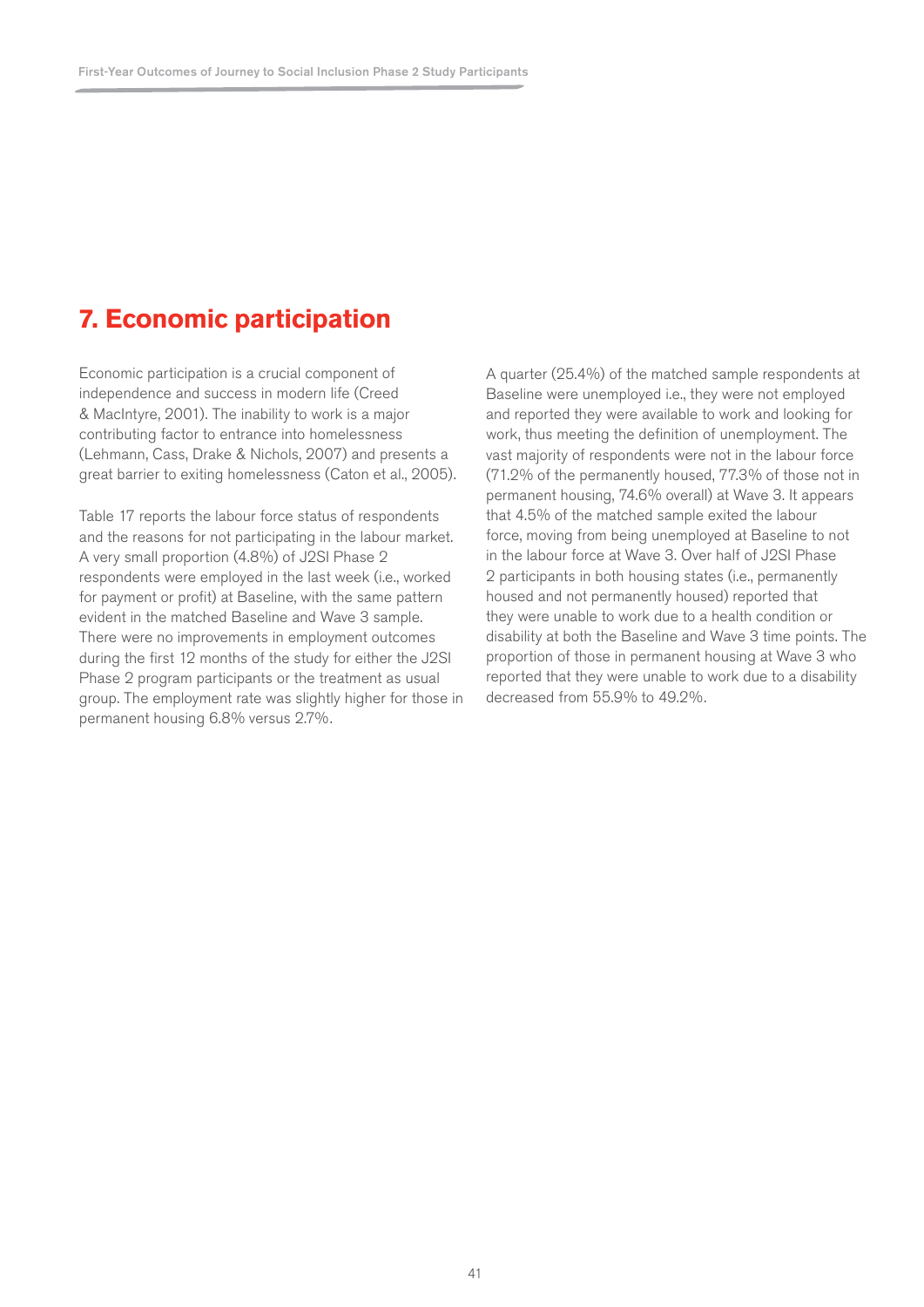## **7. Economic participation**

Economic participation is a crucial component of independence and success in modern life (Creed & MacIntyre, 2001). The inability to work is a major contributing factor to entrance into homelessness (Lehmann, Cass, Drake & Nichols, 2007) and presents a great barrier to exiting homelessness (Caton et al., 2005).

Table 17 reports the labour force status of respondents and the reasons for not participating in the labour market. A very small proportion (4.8%) of J2SI Phase 2 respondents were employed in the last week (i.e., worked for payment or profit) at Baseline, with the same pattern evident in the matched Baseline and Wave 3 sample. There were no improvements in employment outcomes during the first 12 months of the study for either the J2SI Phase 2 program participants or the treatment as usual group. The employment rate was slightly higher for those in permanent housing 6.8% versus 2.7%.

A quarter (25.4%) of the matched sample respondents at Baseline were unemployed i.e., they were not employed and reported they were available to work and looking for work, thus meeting the definition of unemployment. The vast majority of respondents were not in the labour force (71.2% of the permanently housed, 77.3% of those not in permanent housing, 74.6% overall) at Wave 3. It appears that 4.5% of the matched sample exited the labour force, moving from being unemployed at Baseline to not in the labour force at Wave 3. Over half of J2SI Phase 2 participants in both housing states (i.e., permanently housed and not permanently housed) reported that they were unable to work due to a health condition or disability at both the Baseline and Wave 3 time points. The proportion of those in permanent housing at Wave 3 who reported that they were unable to work due to a disability decreased from 55.9% to 49.2%.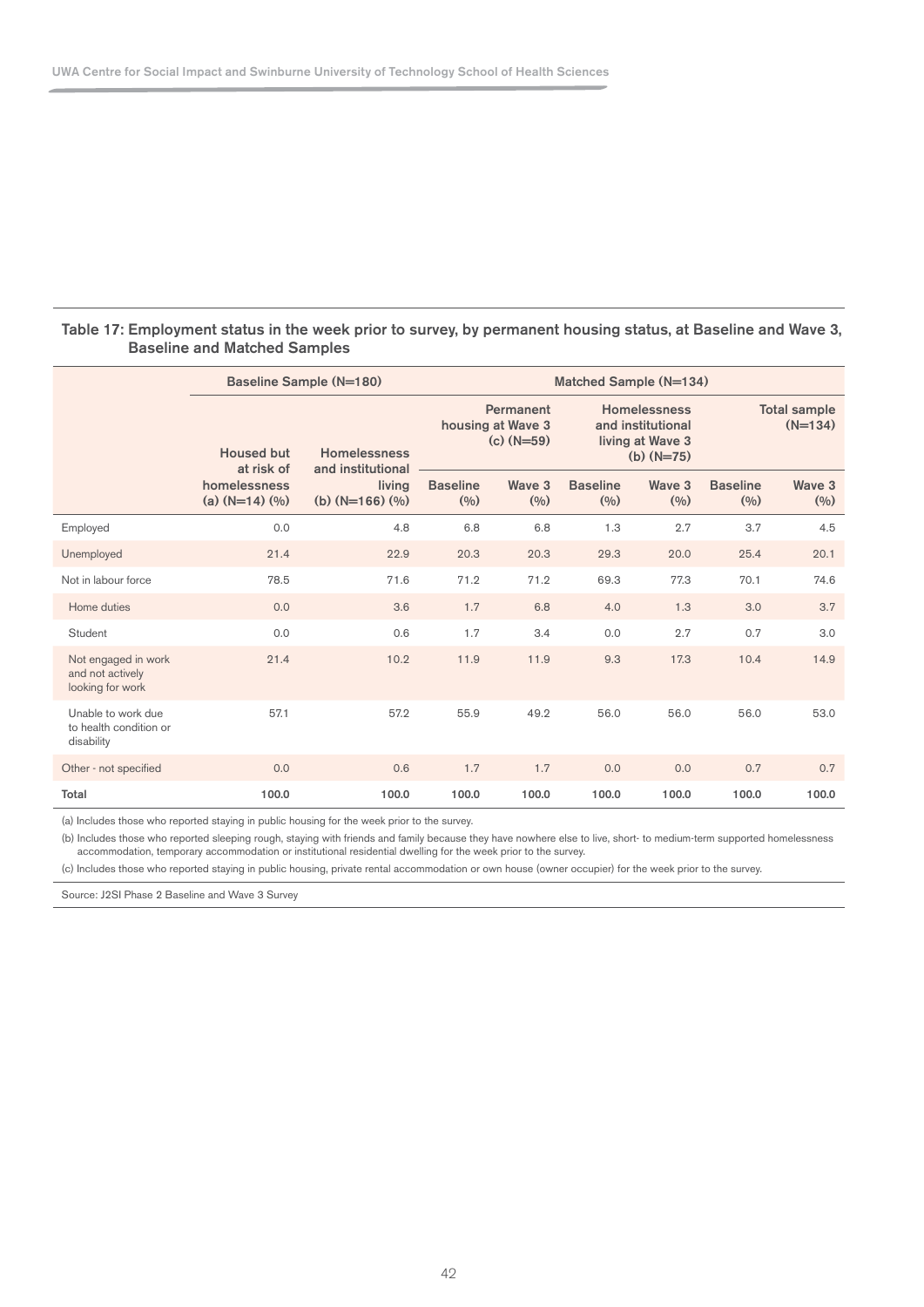#### Table 17: Employment status in the week prior to survey, by permanent housing status, at Baseline and Wave 3, Baseline and Matched Samples

|                                                             |                                     | <b>Baseline Sample (N=180)</b>           | Matched Sample (N=134)   |                                                |                          |                                                                              |                          |                                  |  |
|-------------------------------------------------------------|-------------------------------------|------------------------------------------|--------------------------|------------------------------------------------|--------------------------|------------------------------------------------------------------------------|--------------------------|----------------------------------|--|
|                                                             | <b>Housed but</b><br>at risk of     | <b>Homelessness</b><br>and institutional |                          | Permanent<br>housing at Wave 3<br>$(c)$ (N=59) |                          | <b>Homelessness</b><br>and institutional<br>living at Wave 3<br>$(b)$ (N=75) |                          | <b>Total sample</b><br>$(N=134)$ |  |
|                                                             | homelessness<br>(a) $(N=14)$ $(\%)$ | living<br>(b) $(N=166)$ $(\%)$           | <b>Baseline</b><br>(0/0) | Wave 3<br>(0/0)                                | <b>Baseline</b><br>(9/0) | Wave 3<br>(0/0)                                                              | <b>Baseline</b><br>(9/0) | Wave 3<br>(0/0)                  |  |
| Employed                                                    | 0.0                                 | 4.8                                      | 6.8                      | 6.8                                            | 1.3                      | 2.7                                                                          | 3.7                      | 4.5                              |  |
| Unemployed                                                  | 21.4                                | 22.9                                     | 20.3                     | 20.3                                           | 29.3                     | 20.0                                                                         | 25.4                     | 20.1                             |  |
| Not in labour force                                         | 78.5                                | 71.6                                     | 71.2                     | 71.2                                           | 69.3                     | 77.3                                                                         | 70.1                     | 74.6                             |  |
| Home duties                                                 | 0.0                                 | 3.6                                      | 1.7                      | 6.8                                            | 4.0                      | 1.3                                                                          | 3.0                      | 3.7                              |  |
| Student                                                     | 0.0                                 | 0.6                                      | 1.7                      | 3.4                                            | 0.0                      | 2.7                                                                          | 0.7                      | 3.0                              |  |
| Not engaged in work<br>and not actively<br>looking for work | 21.4                                | 10.2                                     | 11.9                     | 11.9                                           | 9.3                      | 17.3                                                                         | 10.4                     | 14.9                             |  |
| Unable to work due<br>to health condition or<br>disability  | 57.1                                | 57.2                                     | 55.9                     | 49.2                                           | 56.0                     | 56.0                                                                         | 56.0                     | 53.0                             |  |
| Other - not specified                                       | 0.0                                 | 0.6                                      | 1.7                      | 1.7                                            | 0.0                      | 0.0                                                                          | 0.7                      | 0.7                              |  |
| Total                                                       | 100.0                               | 100.0                                    | 100.0                    | 100.0                                          | 100.0                    | 100.0                                                                        | 100.0                    | 100.0                            |  |

(a) Includes those who reported staying in public housing for the week prior to the survey.

(b) Includes those who reported sleeping rough, staying with friends and family because they have nowhere else to live, short- to medium-term supported homelessness accommodation, temporary accommodation or institutional residential dwelling for the week prior to the survey.

(c) Includes those who reported staying in public housing, private rental accommodation or own house (owner occupier) for the week prior to the survey.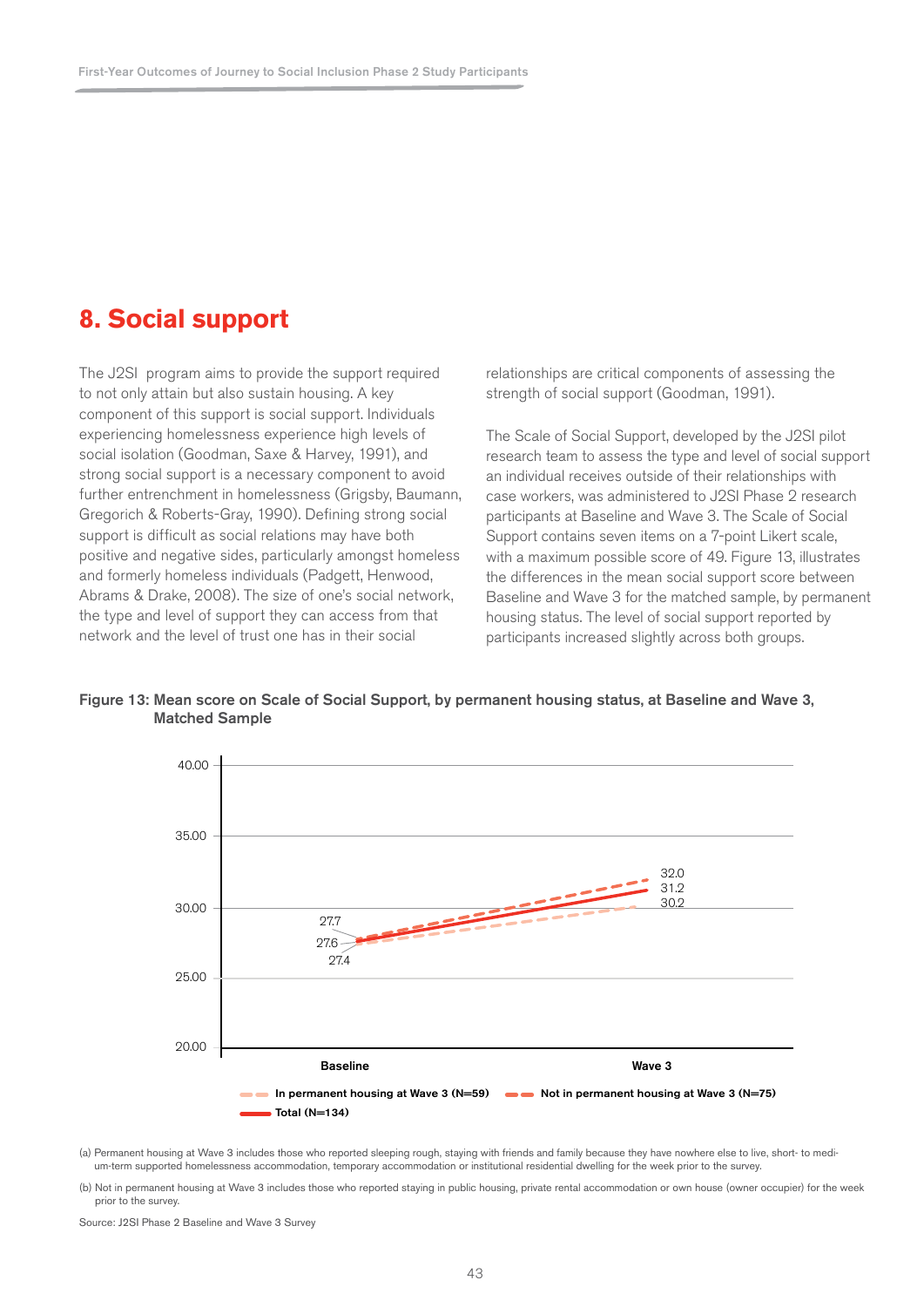## **8. Social support**

The J2SI program aims to provide the support required to not only attain but also sustain housing. A key component of this support is social support. Individuals experiencing homelessness experience high levels of social isolation (Goodman, Saxe & Harvey, 1991), and strong social support is a necessary component to avoid further entrenchment in homelessness (Grigsby, Baumann, Gregorich & Roberts-Gray, 1990). Defining strong social support is difficult as social relations may have both positive and negative sides, particularly amongst homeless and formerly homeless individuals (Padgett, Henwood, Abrams & Drake, 2008). The size of one's social network, the type and level of support they can access from that network and the level of trust one has in their social

relationships are critical components of assessing the strength of social support (Goodman, 1991).

The Scale of Social Support, developed by the J2SI pilot research team to assess the type and level of social support an individual receives outside of their relationships with case workers, was administered to J2SI Phase 2 research participants at Baseline and Wave 3. The Scale of Social Support contains seven items on a 7-point Likert scale, with a maximum possible score of 49. Figure 13, illustrates the differences in the mean social support score between Baseline and Wave 3 for the matched sample, by permanent housing status. The level of social support reported by participants increased slightly across both groups.

Figure 13: Mean score on Scale of Social Support, by permanent housing status, at Baseline and Wave 3, Matched Sample



(a) Permanent housing at Wave 3 includes those who reported sleeping rough, staying with friends and family because they have nowhere else to live, short- to medium-term supported homelessness accommodation, temporary accommodation or institutional residential dwelling for the week prior to the survey.

(b) Not in permanent housing at Wave 3 includes those who reported staying in public housing, private rental accommodation or own house (owner occupier) for the week prior to the survey.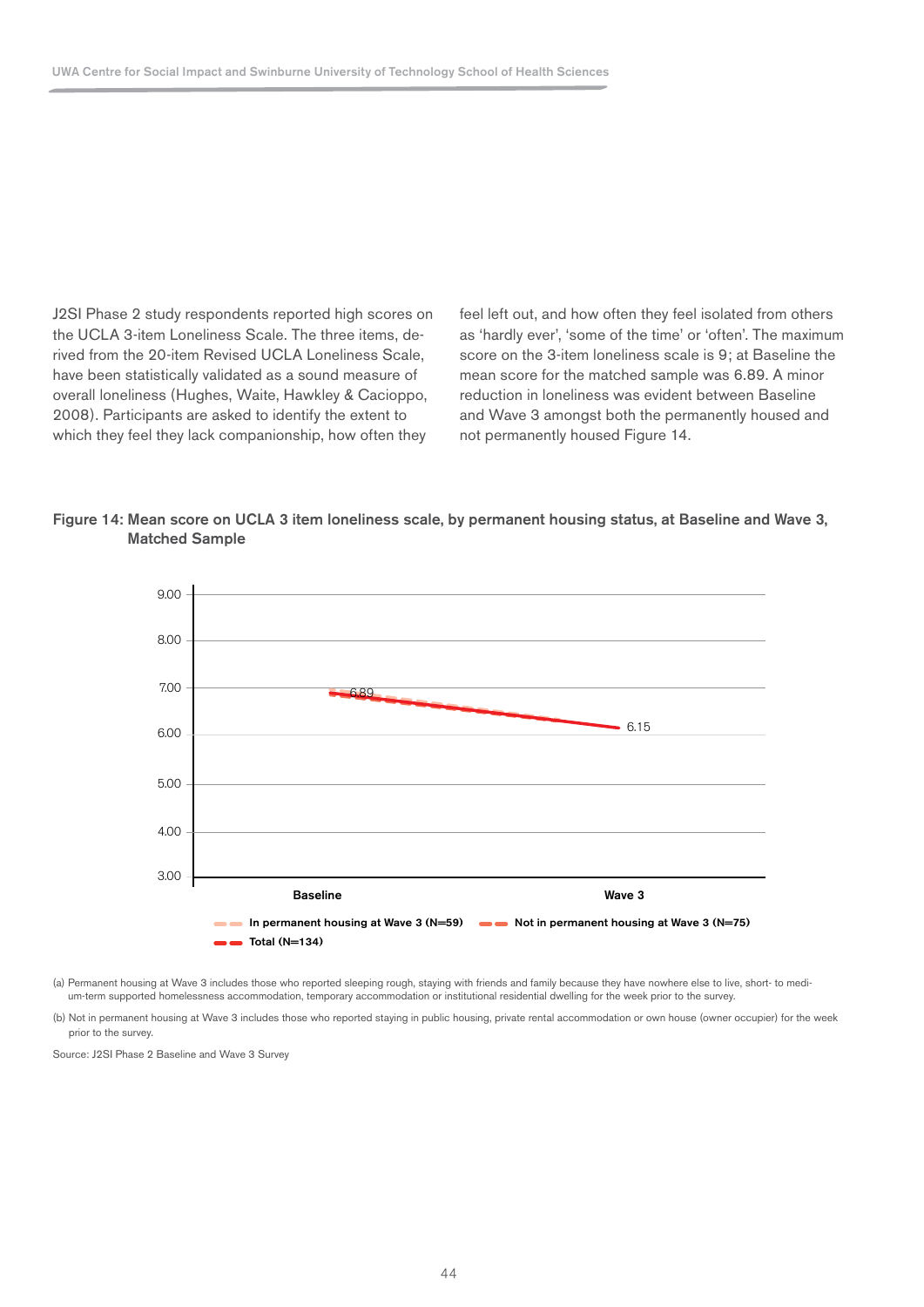J2SI Phase 2 study respondents reported high scores on the UCLA 3-item Loneliness Scale. The three items, derived from the 20-item Revised UCLA Loneliness Scale, have been statistically validated as a sound measure of overall loneliness (Hughes, Waite, Hawkley & Cacioppo, 2008). Participants are asked to identify the extent to which they feel they lack companionship, how often they

feel left out, and how often they feel isolated from others as 'hardly ever', 'some of the time' or 'often'. The maximum score on the 3-item loneliness scale is 9; at Baseline the mean score for the matched sample was 6.89. A minor reduction in loneliness was evident between Baseline and Wave 3 amongst both the permanently housed and not permanently housed Figure 14.

Figure 14: Mean score on UCLA 3 item loneliness scale, by permanent housing status, at Baseline and Wave 3, Matched Sample



(a) Permanent housing at Wave 3 includes those who reported sleeping rough, staying with friends and family because they have nowhere else to live, short- to medium-term supported homelessness accommodation, temporary accommodation or institutional residential dwelling for the week prior to the survey.

(b) Not in permanent housing at Wave 3 includes those who reported staying in public housing, private rental accommodation or own house (owner occupier) for the week prior to the survey.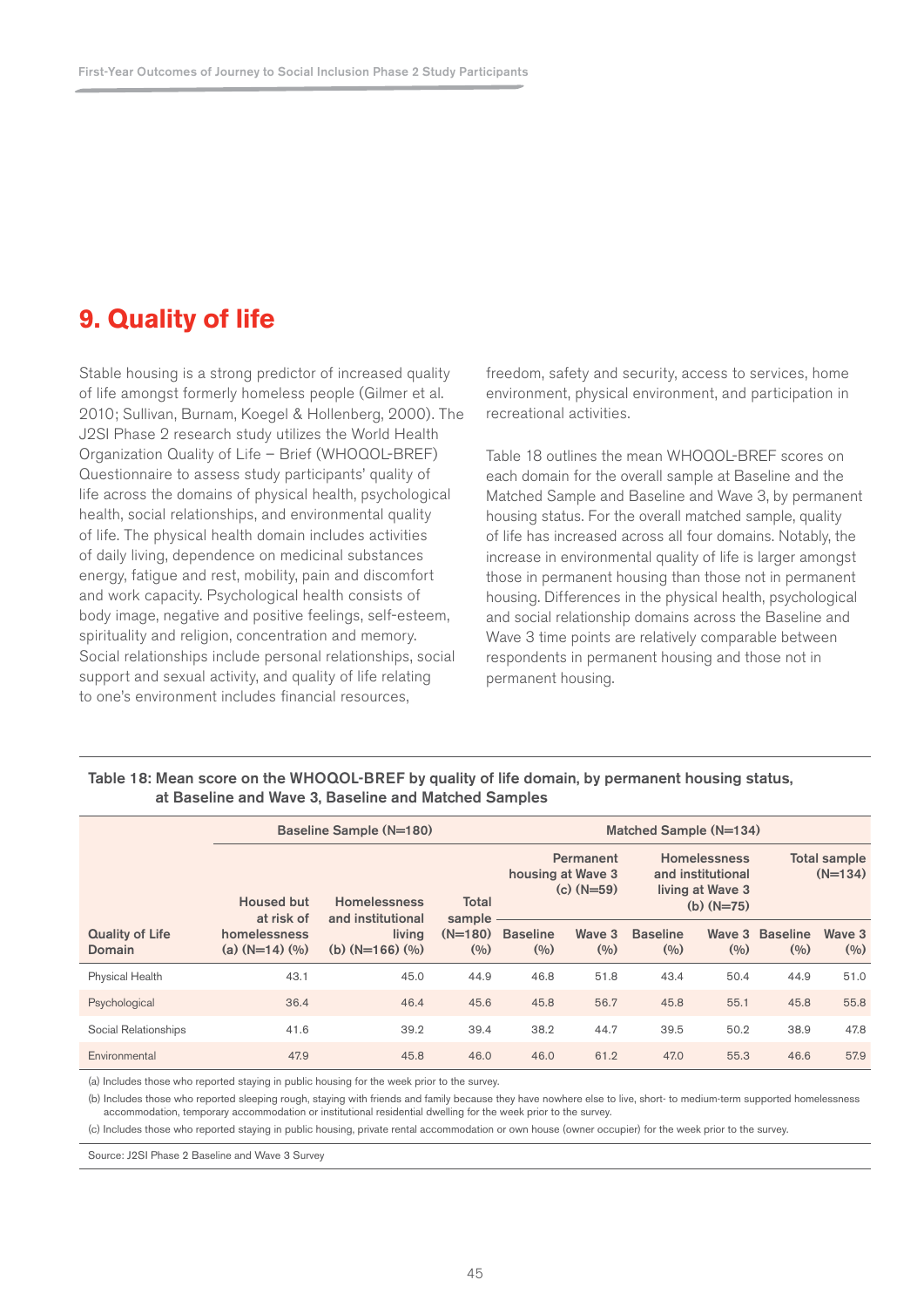## **9. Quality of life**

Stable housing is a strong predictor of increased quality of life amongst formerly homeless people (Gilmer et al. 2010; Sullivan, Burnam, Koegel & Hollenberg, 2000). The J2SI Phase 2 research study utilizes the World Health Organization Quality of Life – Brief (WHOQOL-BREF) Questionnaire to assess study participants' quality of life across the domains of physical health, psychological health, social relationships, and environmental quality of life. The physical health domain includes activities of daily living, dependence on medicinal substances energy, fatigue and rest, mobility, pain and discomfort and work capacity. Psychological health consists of body image, negative and positive feelings, self-esteem, spirituality and religion, concentration and memory. Social relationships include personal relationships, social support and sexual activity, and quality of life relating to one's environment includes financial resources,

freedom, safety and security, access to services, home environment, physical environment, and participation in recreational activities.

Table 18 outlines the mean WHOQOL-BRFF scores on each domain for the overall sample at Baseline and the Matched Sample and Baseline and Wave 3, by permanent housing status. For the overall matched sample, quality of life has increased across all four domains. Notably, the increase in environmental quality of life is larger amongst those in permanent housing than those not in permanent housing. Differences in the physical health, psychological and social relationship domains across the Baseline and Wave 3 time points are relatively comparable between respondents in permanent housing and those not in permanent housing.

#### Table 18: Mean score on the WHOQOL-BREF by quality of life domain, by permanent housing status, at Baseline and Wave 3, Baseline and Matched Samples

|                                  |                                     | Baseline Sample (N=180)                  |                    | Matched Sample (N=134)                         |                 |                                                                              |       |                           |                 |  |
|----------------------------------|-------------------------------------|------------------------------------------|--------------------|------------------------------------------------|-----------------|------------------------------------------------------------------------------|-------|---------------------------|-----------------|--|
|                                  | <b>Housed but</b><br>at risk of     | <b>Homelessness</b><br>and institutional | Total<br>sample    | Permanent<br>housing at Wave 3<br>$(c)$ (N=59) |                 | <b>Homelessness</b><br>and institutional<br>living at Wave 3<br>$(b)$ (N=75) |       | Total sample<br>$(N=134)$ |                 |  |
| <b>Quality of Life</b><br>Domain | homelessness<br>(a) $(N=14)$ $(\%)$ | living<br>(b) $(N=166)$ $(%)$            | $(N=180)$<br>(0/0) | <b>Baseline</b><br>(9/0)                       | Wave 3<br>(0/0) | <b>Baseline</b><br>(9/0)                                                     | (0/0) | Wave 3 Baseline<br>(0/0)  | Wave 3<br>(9/0) |  |
| <b>Physical Health</b>           | 43.1                                | 45.0                                     | 44.9               | 46.8                                           | 51.8            | 43.4                                                                         | 50.4  | 44.9                      | 51.0            |  |
| Psychological                    | 36.4                                | 46.4                                     | 45.6               | 45.8                                           | 56.7            | 45.8                                                                         | 55.1  | 45.8                      | 55.8            |  |
| Social Relationships             | 41.6                                | 39.2                                     | 39.4               | 38.2                                           | 44.7            | 39.5                                                                         | 50.2  | 38.9                      | 47.8            |  |
| Environmental                    | 47.9                                | 45.8                                     | 46.0               | 46.0                                           | 61.2            | 47.0                                                                         | 55.3  | 46.6                      | 57.9            |  |

(a) Includes those who reported staying in public housing for the week prior to the survey.

(b) Includes those who reported sleeping rough, staying with friends and family because they have nowhere else to live, short- to medium-term supported homelessness accommodation, temporary accommodation or institutional residential dwelling for the week prior to the survey.

(c) Includes those who reported staying in public housing, private rental accommodation or own house (owner occupier) for the week prior to the survey.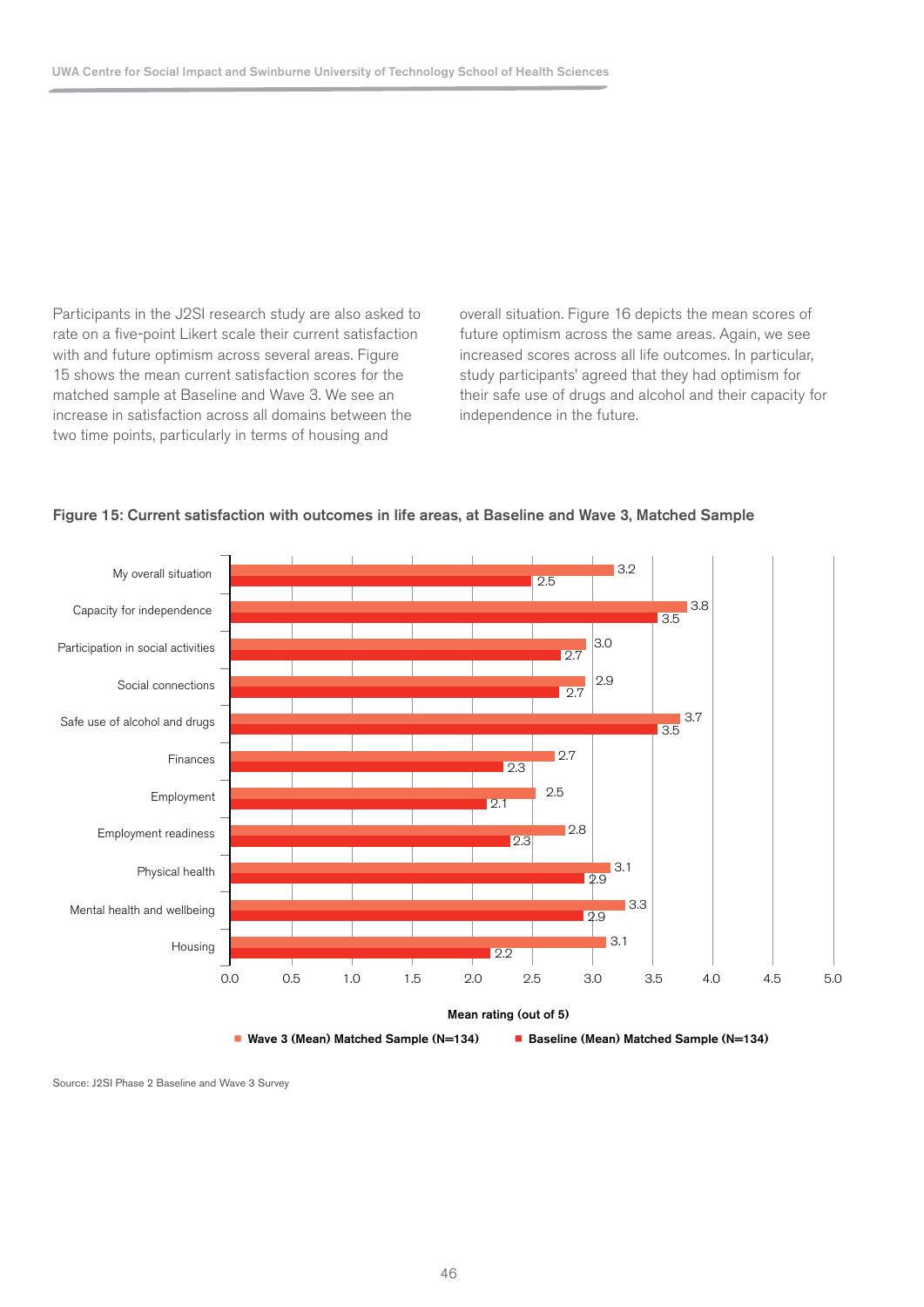Participants in the J2SI research study are also asked to rate on a five-point Likert scale their current satisfaction with and future optimism across several areas. Figure 15 shows the mean current satisfaction scores for the matched sample at Baseline and Wave 3. We see an increase in satisfaction across all domains between the two time points, particularly in terms of housing and

overall situation. Figure 16 depicts the mean scores of future optimism across the same areas. Again, we see increased scores across all life outcomes. In particular, study participants' agreed that they had optimism for their safe use of drugs and alcohol and their capacity for independence in the future.



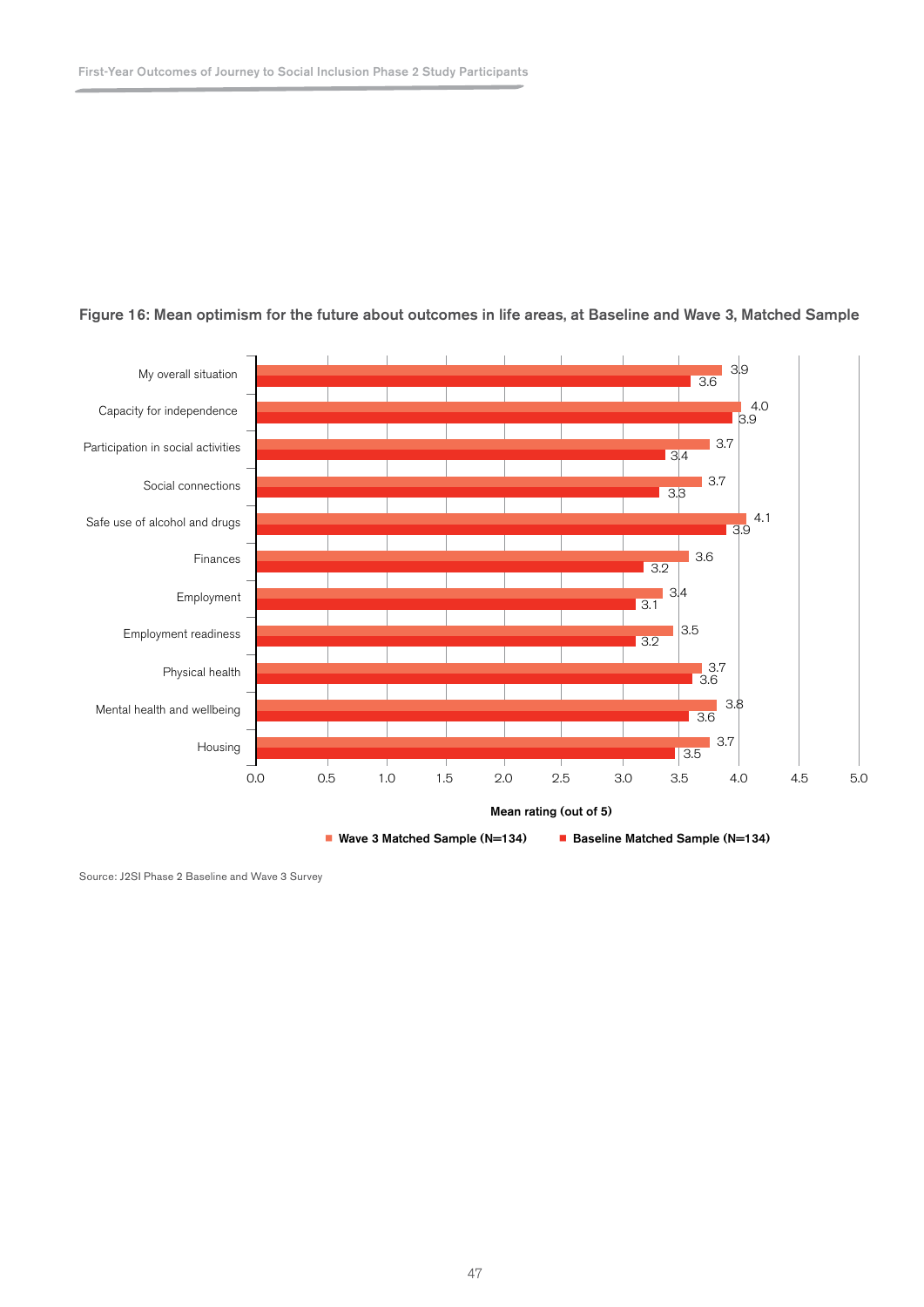

#### Figure 16: Mean optimism for the future about outcomes in life areas, at Baseline and Wave 3, Matched Sample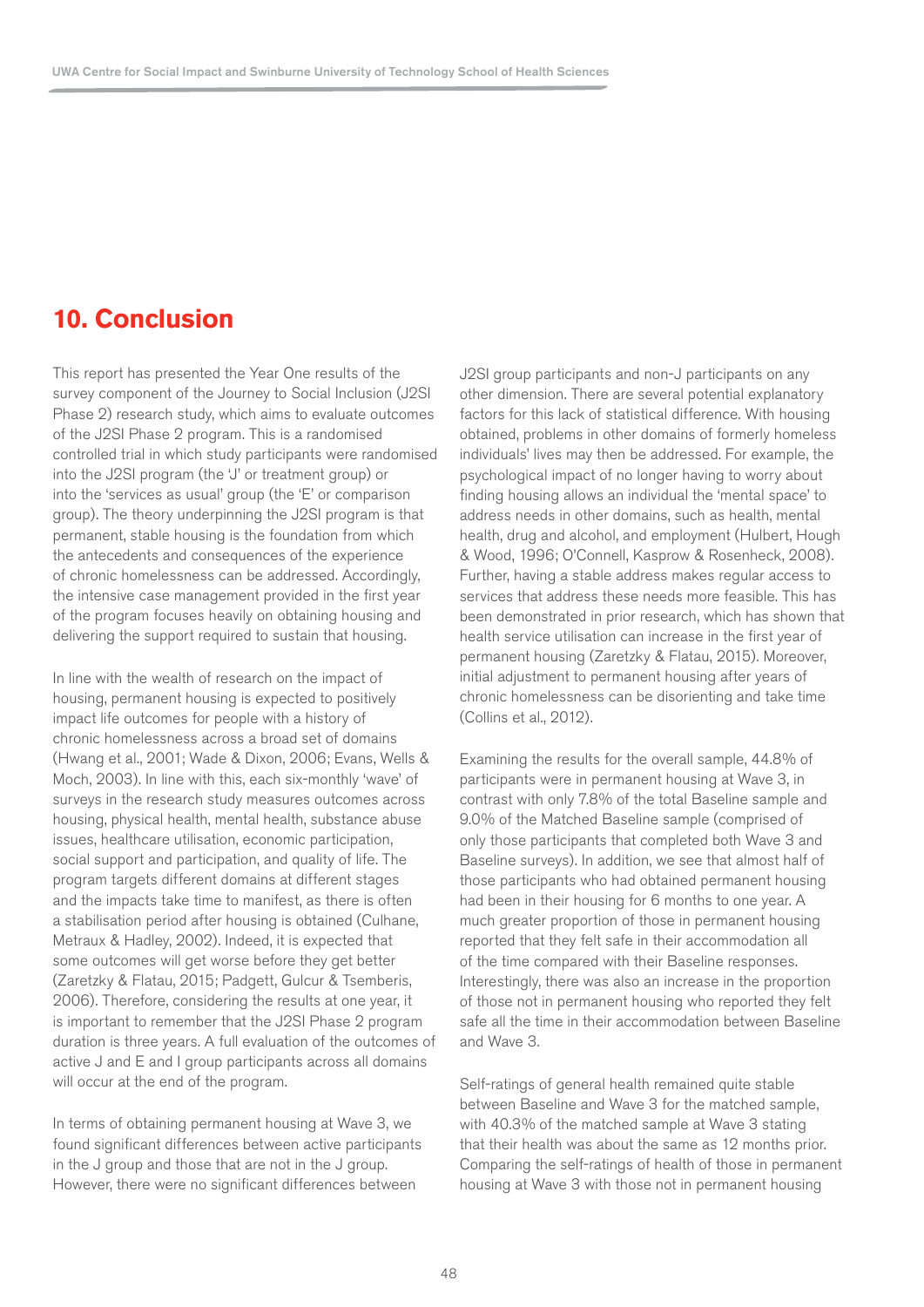## **10. Conclusion**

This report has presented the Year One results of the survey component of the Journey to Social Inclusion (J2SI Phase 2) research study, which aims to evaluate outcomes of the J2SI Phase 2 program. This is a randomised controlled trial in which study participants were randomised into the J2SI program (the 'J' or treatment group) or into the 'services as usual' group (the 'E' or comparison group). The theory underpinning the J2SI program is that permanent, stable housing is the foundation from which the antecedents and consequences of the experience of chronic homelessness can be addressed. Accordingly, the intensive case management provided in the first year of the program focuses heavily on obtaining housing and delivering the support required to sustain that housing.

In line with the wealth of research on the impact of housing, permanent housing is expected to positively impact life outcomes for people with a history of chronic homelessness across a broad set of domains (Hwang et al., 2001; Wade & Dixon, 2006; Evans, Wells & Moch, 2003). In line with this, each six-monthly 'wave' of surveys in the research study measures outcomes across housing, physical health, mental health, substance abuse issues, healthcare utilisation, economic participation, social support and participation, and quality of life. The program targets different domains at different stages and the impacts take time to manifest, as there is often a stabilisation period after housing is obtained (Culhane, Metraux & Hadley, 2002). Indeed, it is expected that some outcomes will get worse before they get better (Zaretzky & Flatau, 2015; Padgett, Gulcur & Tsemberis, 2006). Therefore, considering the results at one year, it is important to remember that the J2SI Phase 2 program duration is three years. A full evaluation of the outcomes of active J and E and I group participants across all domains will occur at the end of the program.

In terms of obtaining permanent housing at Wave 3, we found significant differences between active participants in the J group and those that are not in the J group. However, there were no significant differences between

J2SI group participants and non-J participants on any other dimension. There are several potential explanatory factors for this lack of statistical difference. With housing obtained, problems in other domains of formerly homeless individuals' lives may then be addressed. For example, the psychological impact of no longer having to worry about finding housing allows an individual the 'mental space' to address needs in other domains, such as health, mental health, drug and alcohol, and employment (Hulbert, Hough & Wood, 1996; O'Connell, Kasprow & Rosenheck, 2008). Further, having a stable address makes regular access to services that address these needs more feasible. This has been demonstrated in prior research, which has shown that health service utilisation can increase in the first year of permanent housing (Zaretzky & Flatau, 2015). Moreover, initial adjustment to permanent housing after years of chronic homelessness can be disorienting and take time (Collins et al., 2012).

Examining the results for the overall sample, 44.8% of participants were in permanent housing at Wave 3, in contrast with only 7.8% of the total Baseline sample and 9.0% of the Matched Baseline sample (comprised of only those participants that completed both Wave 3 and Baseline surveys). In addition, we see that almost half of those participants who had obtained permanent housing had been in their housing for 6 months to one year. A much greater proportion of those in permanent housing reported that they felt safe in their accommodation all of the time compared with their Baseline responses. Interestingly, there was also an increase in the proportion of those not in permanent housing who reported they felt safe all the time in their accommodation between Baseline and Wave 3.

Self-ratings of general health remained quite stable between Baseline and Wave 3 for the matched sample, with 40.3% of the matched sample at Wave 3 stating that their health was about the same as 12 months prior. Comparing the self-ratings of health of those in permanent housing at Wave 3 with those not in permanent housing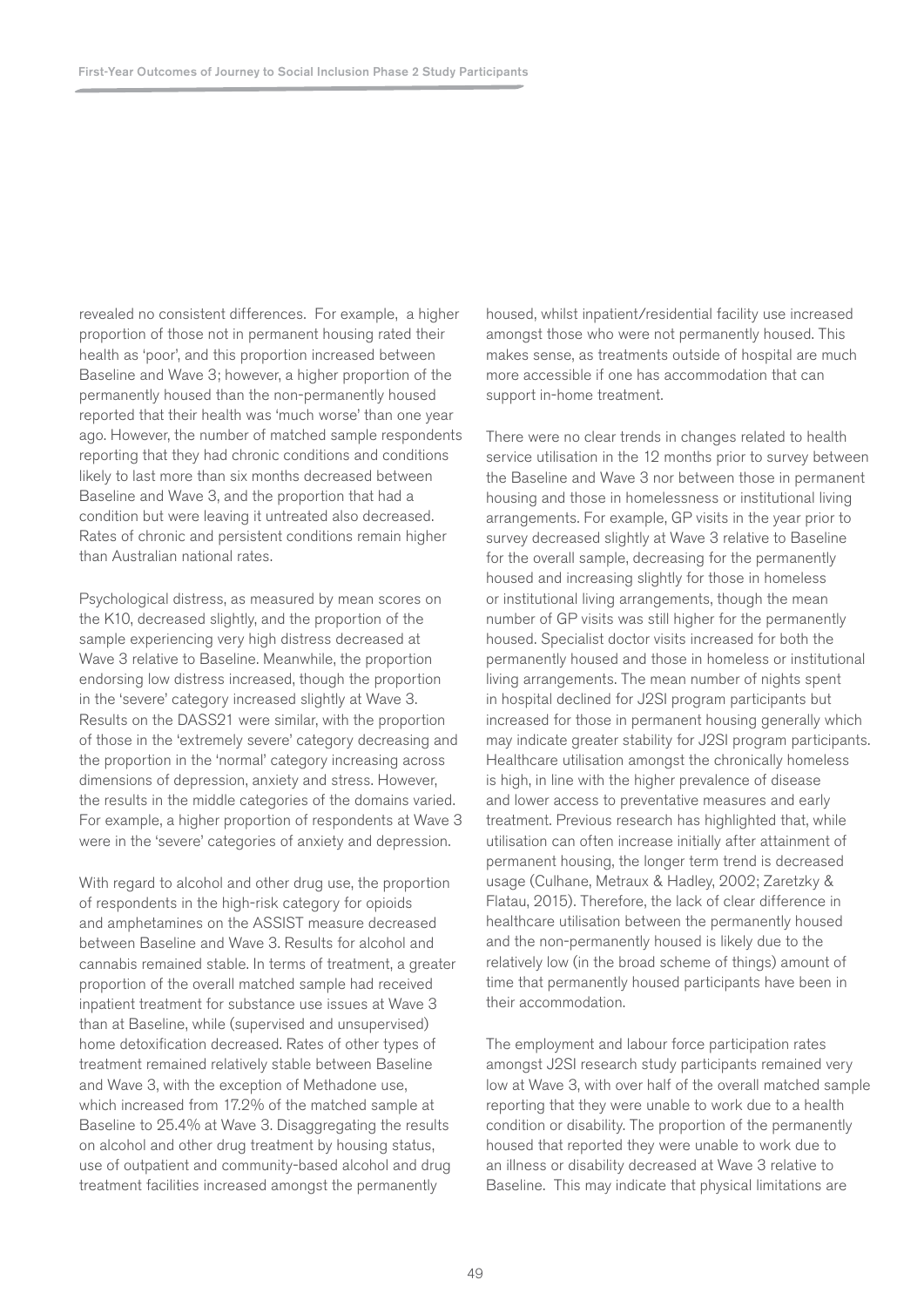revealed no consistent differences. For example, a higher proportion of those not in permanent housing rated their health as 'poor', and this proportion increased between Baseline and Wave 3; however, a higher proportion of the permanently housed than the non-permanently housed reported that their health was 'much worse' than one year ago. However, the number of matched sample respondents reporting that they had chronic conditions and conditions likely to last more than six months decreased between Baseline and Wave 3, and the proportion that had a condition but were leaving it untreated also decreased. Rates of chronic and persistent conditions remain higher than Australian national rates.

Psychological distress, as measured by mean scores on the K10, decreased slightly, and the proportion of the sample experiencing very high distress decreased at Wave 3 relative to Baseline. Meanwhile, the proportion endorsing low distress increased, though the proportion in the 'severe' category increased slightly at Wave 3. Results on the DASS21 were similar, with the proportion of those in the 'extremely severe' category decreasing and the proportion in the 'normal' category increasing across dimensions of depression, anxiety and stress. However, the results in the middle categories of the domains varied. For example, a higher proportion of respondents at Wave 3 were in the 'severe' categories of anxiety and depression.

With regard to alcohol and other drug use, the proportion of respondents in the high-risk category for opioids and amphetamines on the ASSIST measure decreased between Baseline and Wave 3. Results for alcohol and cannabis remained stable. In terms of treatment, a greater proportion of the overall matched sample had received inpatient treatment for substance use issues at Wave 3 than at Baseline, while (supervised and unsupervised) home detoxification decreased. Rates of other types of treatment remained relatively stable between Baseline and Wave 3, with the exception of Methadone use, which increased from 17.2% of the matched sample at Baseline to 25.4% at Wave 3. Disaggregating the results on alcohol and other drug treatment by housing status, use of outpatient and community-based alcohol and drug treatment facilities increased amongst the permanently

housed, whilst inpatient/residential facility use increased amongst those who were not permanently housed. This makes sense, as treatments outside of hospital are much more accessible if one has accommodation that can support in-home treatment.

There were no clear trends in changes related to health service utilisation in the 12 months prior to survey between the Baseline and Wave 3 nor between those in permanent housing and those in homelessness or institutional living arrangements. For example, GP visits in the year prior to survey decreased slightly at Wave 3 relative to Baseline for the overall sample, decreasing for the permanently housed and increasing slightly for those in homeless or institutional living arrangements, though the mean number of GP visits was still higher for the permanently housed. Specialist doctor visits increased for both the permanently housed and those in homeless or institutional living arrangements. The mean number of nights spent in hospital declined for J2SI program participants but increased for those in permanent housing generally which may indicate greater stability for J2SI program participants. Healthcare utilisation amongst the chronically homeless is high, in line with the higher prevalence of disease and lower access to preventative measures and early treatment. Previous research has highlighted that, while utilisation can often increase initially after attainment of permanent housing, the longer term trend is decreased usage (Culhane, Metraux & Hadley, 2002; Zaretzky & Flatau, 2015). Therefore, the lack of clear difference in healthcare utilisation between the permanently housed and the non-permanently housed is likely due to the relatively low (in the broad scheme of things) amount of time that permanently housed participants have been in their accommodation.

The employment and labour force participation rates amongst J2SI research study participants remained very low at Wave 3, with over half of the overall matched sample reporting that they were unable to work due to a health condition or disability. The proportion of the permanently housed that reported they were unable to work due to an illness or disability decreased at Wave 3 relative to Baseline. This may indicate that physical limitations are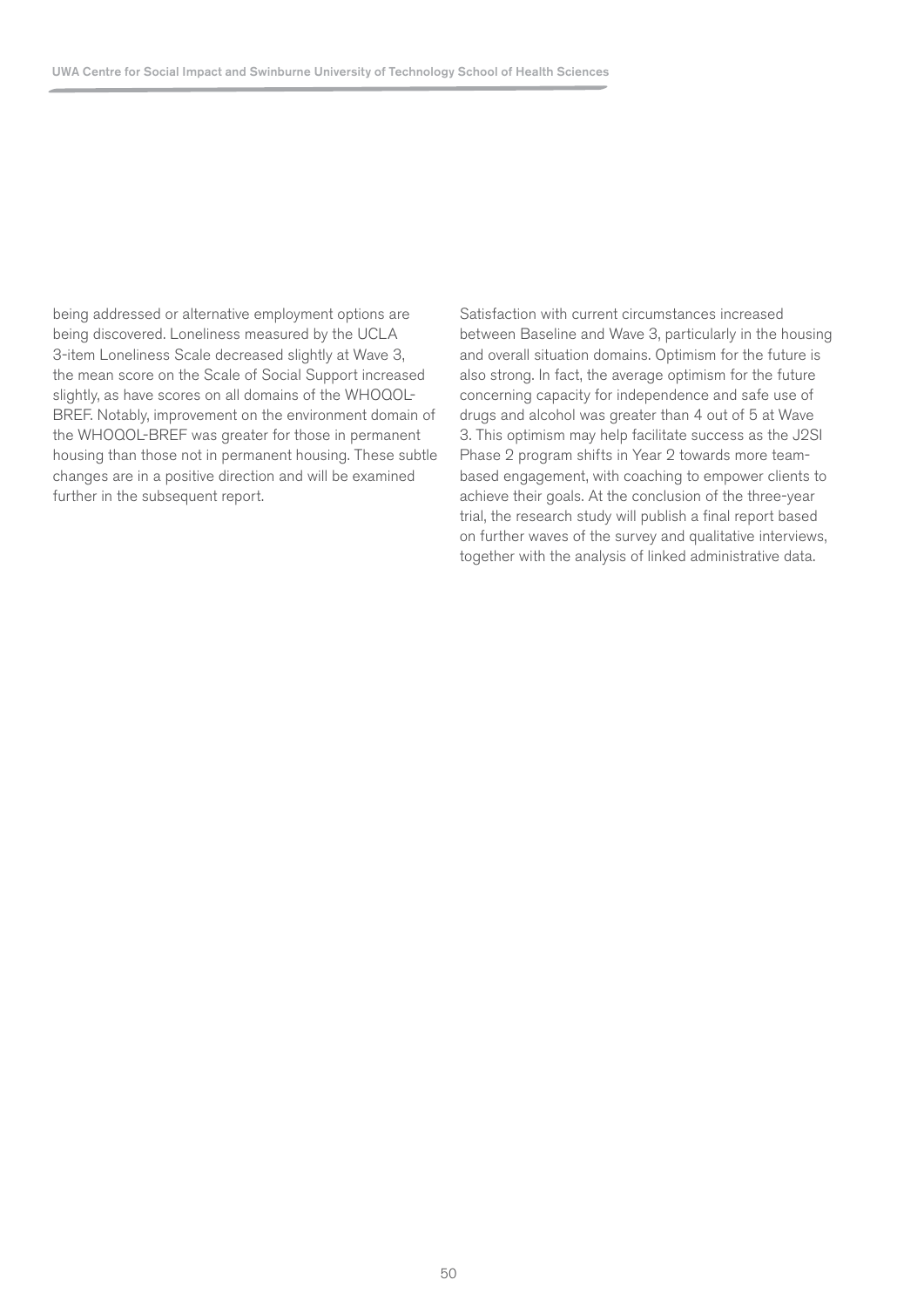being addressed or alternative employment options are being discovered. Loneliness measured by the UCLA 3-item Loneliness Scale decreased slightly at Wave 3, the mean score on the Scale of Social Support increased slightly, as have scores on all domains of the WHOQOL-BREF. Notably, improvement on the environment domain of the WHOQOL-BREF was greater for those in permanent housing than those not in permanent housing. These subtle changes are in a positive direction and will be examined further in the subsequent report.

Satisfaction with current circumstances increased between Baseline and Wave 3, particularly in the housing and overall situation domains. Optimism for the future is also strong. In fact, the average optimism for the future concerning capacity for independence and safe use of drugs and alcohol was greater than 4 out of 5 at Wave 3. This optimism may help facilitate success as the J2SI Phase 2 program shifts in Year 2 towards more teambased engagement, with coaching to empower clients to achieve their goals. At the conclusion of the three-year trial, the research study will publish a final report based on further waves of the survey and qualitative interviews, together with the analysis of linked administrative data.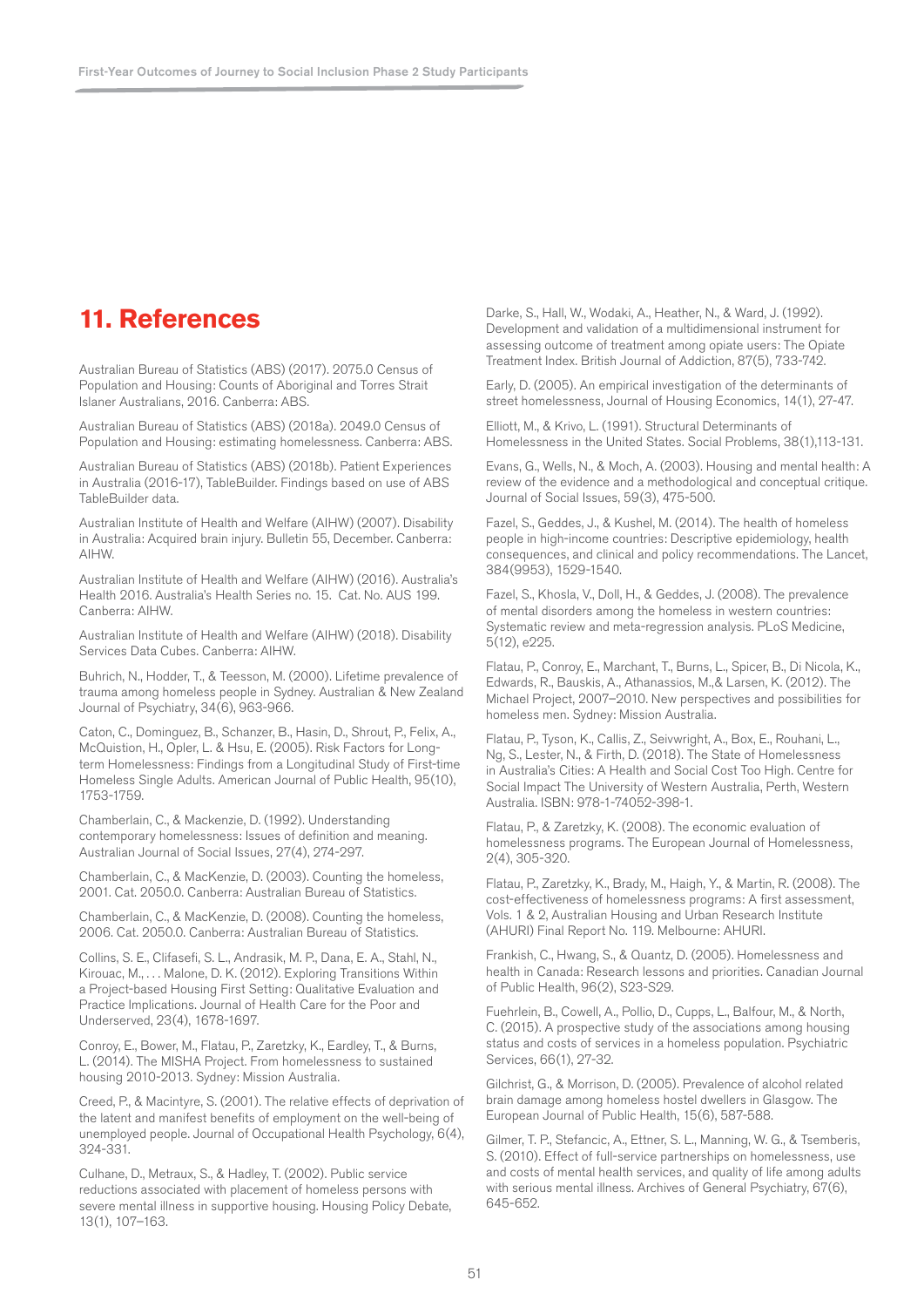### **11. References**

Australian Bureau of Statistics (ABS) (2017). 2075.0 Census of Population and Housing: Counts of Aboriginal and Torres Strait Islaner Australians, 2016. Canberra: ABS.

Australian Bureau of Statistics (ABS) (2018a). 2049.0 Census of Population and Housing: estimating homelessness. Canberra: ABS.

Australian Bureau of Statistics (ABS) (2018b). Patient Experiences in Australia (2016-17), TableBuilder. Findings based on use of ABS TableBuilder data.

Australian Institute of Health and Welfare (AIHW) (2007). Disability in Australia: Acquired brain injury. Bulletin 55, December. Canberra: AIHW.

Australian Institute of Health and Welfare (AIHW) (2016). Australia's Health 2016. Australia's Health Series no. 15. Cat. No. AUS 199. Canberra: AIHW.

Australian Institute of Health and Welfare (AIHW) (2018). Disability Services Data Cubes. Canberra: AIHW.

Buhrich, N., Hodder, T., & Teesson, M. (2000). Lifetime prevalence of trauma among homeless people in Sydney. Australian & New Zealand Journal of Psychiatry, 34(6), 963-966.

Caton, C., Dominguez, B., Schanzer, B., Hasin, D., Shrout, P., Felix, A., McQuistion, H., Opler, L. & Hsu, E. (2005). Risk Factors for Longterm Homelessness: Findings from a Longitudinal Study of First-time Homeless Single Adults. American Journal of Public Health, 95(10), 1753-1759.

Chamberlain, C., & Mackenzie, D. (1992). Understanding contemporary homelessness: Issues of definition and meaning. Australian Journal of Social Issues, 27(4), 274-297.

Chamberlain, C., & MacKenzie, D. (2003). Counting the homeless, 2001. Cat. 2050.0. Canberra: Australian Bureau of Statistics.

Chamberlain, C., & MacKenzie, D. (2008). Counting the homeless, 2006. Cat. 2050.0. Canberra: Australian Bureau of Statistics.

Collins, S. E., Clifasefi, S. L., Andrasik, M. P., Dana, E. A., Stahl, N., Kirouac, M., . . . Malone, D. K. (2012). Exploring Transitions Within a Project-based Housing First Setting: Qualitative Evaluation and Practice Implications. Journal of Health Care for the Poor and Underserved, 23(4), 1678-1697.

Conroy, E., Bower, M., Flatau, P., Zaretzky, K., Eardley, T., & Burns, L. (2014). The MISHA Project. From homelessness to sustained housing 2010-2013. Sydney: Mission Australia.

Creed, P., & Macintyre, S. (2001). The relative effects of deprivation of the latent and manifest benefits of employment on the well-being of unemployed people. Journal of Occupational Health Psychology, 6(4), 324-331.

Culhane, D., Metraux, S., & Hadley, T. (2002). Public service reductions associated with placement of homeless persons with severe mental illness in supportive housing. Housing Policy Debate, 13(1), 107–163.

Darke, S., Hall, W., Wodaki, A., Heather, N., & Ward, J. (1992). Development and validation of a multidimensional instrument for assessing outcome of treatment among opiate users: The Opiate Treatment Index. British Journal of Addiction, 87(5), 733-742.

Early, D. (2005). An empirical investigation of the determinants of street homelessness, Journal of Housing Economics, 14(1), 27-47.

Elliott, M., & Krivo, L. (1991). Structural Determinants of Homelessness in the United States. Social Problems, 38(1),113-131.

Evans, G., Wells, N., & Moch, A. (2003). Housing and mental health: A review of the evidence and a methodological and conceptual critique. Journal of Social Issues, 59(3), 475-500.

Fazel, S., Geddes, J., & Kushel, M. (2014). The health of homeless people in high-income countries: Descriptive epidemiology, health consequences, and clinical and policy recommendations. The Lancet, 384(9953), 1529-1540.

Fazel, S., Khosla, V., Doll, H., & Geddes, J. (2008). The prevalence of mental disorders among the homeless in western countries: Systematic review and meta-regression analysis. PLoS Medicine, 5(12), e225.

Flatau, P., Conroy, E., Marchant, T., Burns, L., Spicer, B., Di Nicola, K., Edwards, R., Bauskis, A., Athanassios, M.,& Larsen, K. (2012). The Michael Project, 2007–2010. New perspectives and possibilities for homeless men. Sydney: Mission Australia.

Flatau, P., Tyson, K., Callis, Z., Seivwright, A., Box, E., Rouhani, L., Ng, S., Lester, N., & Firth, D. (2018). The State of Homelessness in Australia's Cities: A Health and Social Cost Too High. Centre for Social Impact The University of Western Australia, Perth, Western Australia. ISBN: 978-1-74052-398-1.

Flatau, P., & Zaretzky, K. (2008). The economic evaluation of homelessness programs. The European Journal of Homelessness, 2(4), 305-320.

Flatau, P., Zaretzky, K., Brady, M., Haigh, Y., & Martin, R. (2008). The cost-effectiveness of homelessness programs: A first assessment, Vols. 1 & 2, Australian Housing and Urban Research Institute (AHURI) Final Report No. 119. Melbourne: AHURI.

Frankish, C., Hwang, S., & Quantz, D. (2005). Homelessness and health in Canada: Research lessons and priorities. Canadian Journal of Public Health, 96(2), S23-S29.

Fuehrlein, B., Cowell, A., Pollio, D., Cupps, L., Balfour, M., & North, C. (2015). A prospective study of the associations among housing status and costs of services in a homeless population. Psychiatric Services, 66(1), 27-32.

Gilchrist, G., & Morrison, D. (2005). Prevalence of alcohol related brain damage among homeless hostel dwellers in Glasgow. The European Journal of Public Health, 15(6), 587-588.

Gilmer, T. P., Stefancic, A., Ettner, S. L., Manning, W. G., & Tsemberis, S. (2010). Effect of full-service partnerships on homelessness, use and costs of mental health services, and quality of life among adults with serious mental illness. Archives of General Psychiatry, 67(6), 645-652.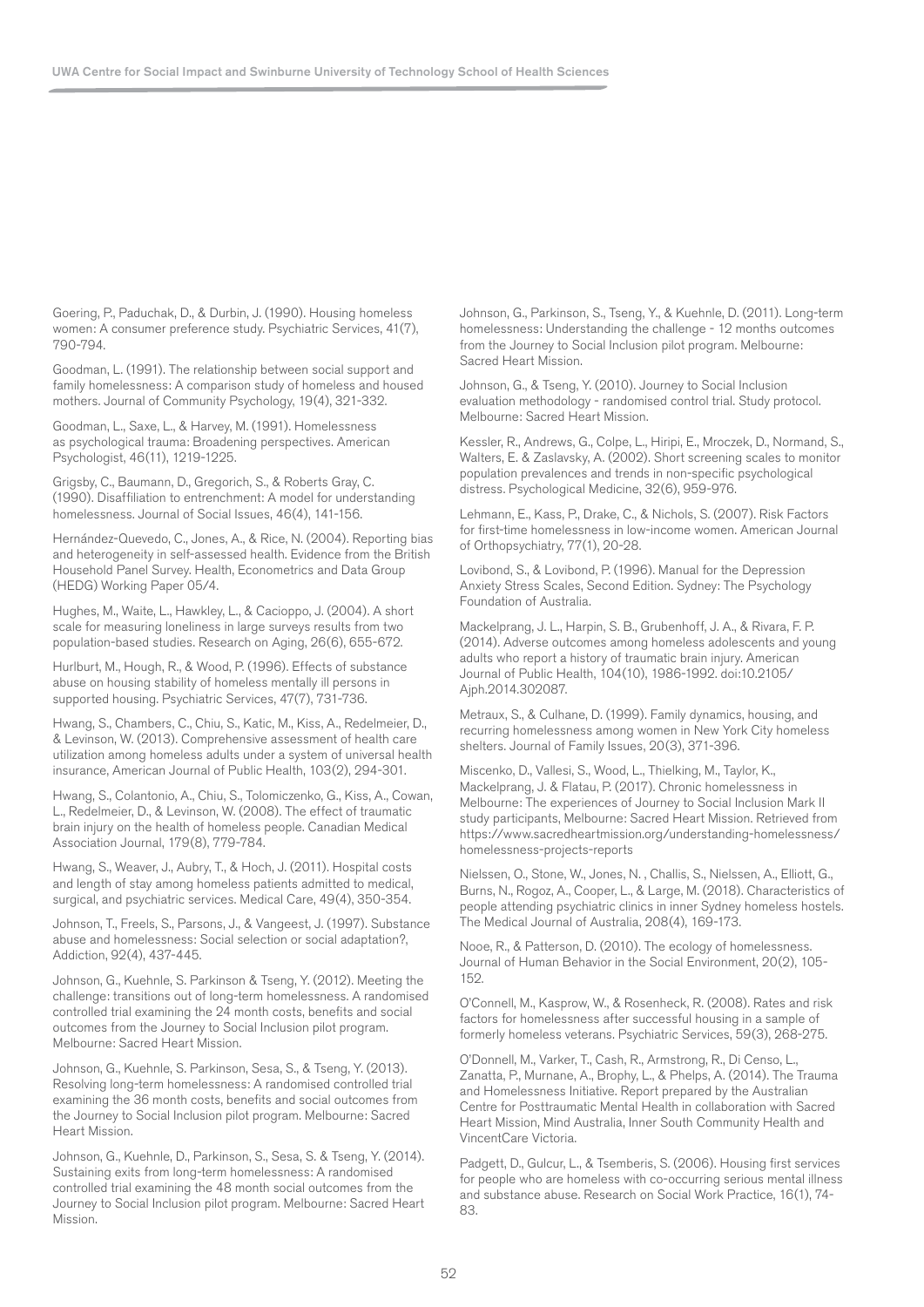Goering, P., Paduchak, D., & Durbin, J. (1990). Housing homeless women: A consumer preference study. Psychiatric Services, 41(7), 790-794.

Goodman, L. (1991). The relationship between social support and family homelessness: A comparison study of homeless and housed mothers. Journal of Community Psychology, 19(4), 321-332.

Goodman, L., Saxe, L., & Harvey, M. (1991). Homelessness as psychological trauma: Broadening perspectives. American Psychologist, 46(11), 1219-1225.

Grigsby, C., Baumann, D., Gregorich, S., & Roberts Gray, C. (1990). Disaffiliation to entrenchment: A model for understanding homelessness. Journal of Social Issues, 46(4), 141-156.

Hernández-Quevedo, C., Jones, A., & Rice, N. (2004). Reporting bias and heterogeneity in self-assessed health. Evidence from the British Household Panel Survey. Health, Econometrics and Data Group (HEDG) Working Paper 05/4.

Hughes, M., Waite, L., Hawkley, L., & Cacioppo, J. (2004). A short scale for measuring loneliness in large surveys results from two population-based studies. Research on Aging, 26(6), 655-672.

Hurlburt, M., Hough, R., & Wood, P. (1996). Effects of substance abuse on housing stability of homeless mentally ill persons in supported housing. Psychiatric Services, 47(7), 731-736.

Hwang, S., Chambers, C., Chiu, S., Katic, M., Kiss, A., Redelmeier, D., & Levinson, W. (2013). Comprehensive assessment of health care utilization among homeless adults under a system of universal health insurance, American Journal of Public Health, 103(2), 294-301.

Hwang, S., Colantonio, A., Chiu, S., Tolomiczenko, G., Kiss, A., Cowan, L., Redelmeier, D., & Levinson, W. (2008). The effect of traumatic brain injury on the health of homeless people. Canadian Medical Association Journal, 179(8), 779-784.

Hwang, S., Weaver, J., Aubry, T., & Hoch, J. (2011). Hospital costs and length of stay among homeless patients admitted to medical, surgical, and psychiatric services. Medical Care, 49(4), 350-354.

Johnson, T., Freels, S., Parsons, J., & Vangeest, J. (1997). Substance abuse and homelessness: Social selection or social adaptation?, Addiction, 92(4), 437-445.

Johnson, G., Kuehnle, S. Parkinson & Tseng, Y. (2012). Meeting the challenge: transitions out of long-term homelessness. A randomised controlled trial examining the 24 month costs, benefits and social outcomes from the Journey to Social Inclusion pilot program. Melbourne: Sacred Heart Mission.

Johnson, G., Kuehnle, S. Parkinson, Sesa, S., & Tseng, Y. (2013). Resolving long-term homelessness: A randomised controlled trial examining the 36 month costs, benefits and social outcomes from the Journey to Social Inclusion pilot program. Melbourne: Sacred Heart Mission.

Johnson, G., Kuehnle, D., Parkinson, S., Sesa, S. & Tseng, Y. (2014). Sustaining exits from long-term homelessness: A randomised controlled trial examining the 48 month social outcomes from the Journey to Social Inclusion pilot program. Melbourne: Sacred Heart Mission.

Johnson, G., Parkinson, S., Tseng, Y., & Kuehnle, D. (2011). Long-term homelessness: Understanding the challenge - 12 months outcomes from the Journey to Social Inclusion pilot program. Melbourne: Sacred Heart Mission.

Johnson, G., & Tseng, Y. (2010). Journey to Social Inclusion evaluation methodology - randomised control trial. Study protocol. Melbourne: Sacred Heart Mission.

Kessler, R., Andrews, G., Colpe, L., Hiripi, E., Mroczek, D., Normand, S., Walters, E. & Zaslavsky, A. (2002). Short screening scales to monitor population prevalences and trends in non-specific psychological distress. Psychological Medicine, 32(6), 959-976.

Lehmann, E., Kass, P., Drake, C., & Nichols, S. (2007). Risk Factors for first-time homelessness in low-income women. American Journal of Orthopsychiatry, 77(1), 20-28.

Lovibond, S., & Lovibond, P. (1996). Manual for the Depression Anxiety Stress Scales, Second Edition. Sydney: The Psychology Foundation of Australia.

Mackelprang, J. L., Harpin, S. B., Grubenhoff, J. A., & Rivara, F. P. (2014). Adverse outcomes among homeless adolescents and young adults who report a history of traumatic brain injury. American Journal of Public Health, 104(10), 1986-1992. doi:10.2105/ Ajph.2014.302087.

Metraux, S., & Culhane, D. (1999). Family dynamics, housing, and recurring homelessness among women in New York City homeless shelters. Journal of Family Issues, 20(3), 371-396.

Miscenko, D., Vallesi, S., Wood, L., Thielking, M., Taylor, K., Mackelprang, J. & Flatau, P. (2017). Chronic homelessness in Melbourne: The experiences of Journey to Social Inclusion Mark II study participants, Melbourne: Sacred Heart Mission. Retrieved from [https://www.sacredheartmission.org/understanding-homelessness/](https://www.sacredheartmission.org/understanding-homelessness/homelessness-projects-reports) [homelessness-projects-reports](https://www.sacredheartmission.org/understanding-homelessness/homelessness-projects-reports)

Nielssen, O., Stone, W., Jones, N. , Challis, S., Nielssen, A., Elliott, G., Burns, N., Rogoz, A., Cooper, L., & Large, M. (2018). Characteristics of people attending psychiatric clinics in inner Sydney homeless hostels. The Medical Journal of Australia, 208(4), 169-173.

Nooe, R., & Patterson, D. (2010). The ecology of homelessness. Journal of Human Behavior in the Social Environment, 20(2), 105- 152.

O'Connell, M., Kasprow, W., & Rosenheck, R. (2008). Rates and risk factors for homelessness after successful housing in a sample of formerly homeless veterans. Psychiatric Services, 59(3), 268-275.

O'Donnell, M., Varker, T., Cash, R., Armstrong, R., Di Censo, L., Zanatta, P., Murnane, A., Brophy, L., & Phelps, A. (2014). The Trauma and Homelessness Initiative. Report prepared by the Australian Centre for Posttraumatic Mental Health in collaboration with Sacred Heart Mission, Mind Australia, Inner South Community Health and VincentCare Victoria.

Padgett, D., Gulcur, L., & Tsemberis, S. (2006). Housing first services for people who are homeless with co-occurring serious mental illness and substance abuse. Research on Social Work Practice, 16(1), 74- 83.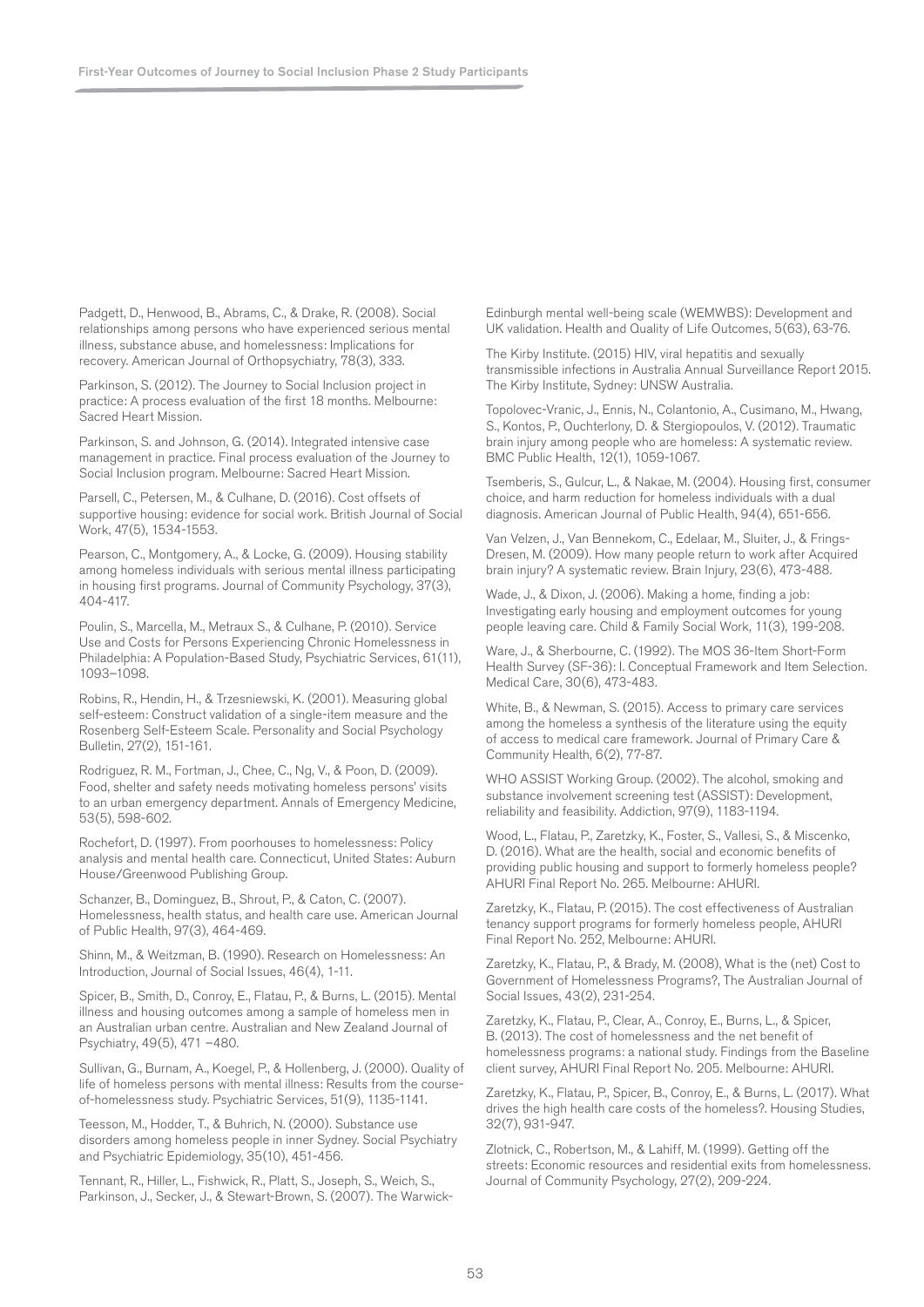Padgett, D., Henwood, B., Abrams, C., & Drake, R. (2008). Social relationships among persons who have experienced serious mental illness, substance abuse, and homelessness: Implications for recovery. American Journal of Orthopsychiatry, 78(3), 333.

Parkinson, S. (2012). The Journey to Social Inclusion project in practice: A process evaluation of the first 18 months. Melbourne: Sacred Heart Mission.

Parkinson, S. and Johnson, G. (2014). Integrated intensive case management in practice. Final process evaluation of the Journey to Social Inclusion program. Melbourne: Sacred Heart Mission.

Parsell, C., Petersen, M., & Culhane, D. (2016). Cost offsets of supportive housing: evidence for social work. British Journal of Social Work, 47(5), 1534-1553.

Pearson, C., Montgomery, A., & Locke, G. (2009). Housing stability among homeless individuals with serious mental illness participating in housing first programs. Journal of Community Psychology, 37(3), 404-417.

Poulin, S., Marcella, M., Metraux S., & Culhane, P. (2010). Service Use and Costs for Persons Experiencing Chronic Homelessness in Philadelphia: A Population-Based Study, Psychiatric Services, 61(11), 1093–1098.

Robins, R., Hendin, H., & Trzesniewski, K. (2001). Measuring global self-esteem: Construct validation of a single-item measure and the Rosenberg Self-Esteem Scale. Personality and Social Psychology Bulletin, 27(2), 151-161.

Rodriguez, R. M., Fortman, J., Chee, C., Ng, V., & Poon, D. (2009). Food, shelter and safety needs motivating homeless persons' visits to an urban emergency department. Annals of Emergency Medicine, 53(5), 598-602.

Rochefort, D. (1997). From poorhouses to homelessness: Policy analysis and mental health care. Connecticut, United States: Auburn House/Greenwood Publishing Group.

Schanzer, B., Dominguez, B., Shrout, P., & Caton, C. (2007). Homelessness, health status, and health care use. American Journal of Public Health, 97(3), 464-469.

Shinn, M., & Weitzman, B. (1990). Research on Homelessness: An Introduction, Journal of Social Issues, 46(4), 1-11.

Spicer, B., Smith, D., Conroy, E., Flatau, P., & Burns, L. (2015). Mental illness and housing outcomes among a sample of homeless men in an Australian urban centre. Australian and New Zealand Journal of Psychiatry, 49(5), 471 –480.

Sullivan, G., Burnam, A., Koegel, P., & Hollenberg, J. (2000). Quality of life of homeless persons with mental illness: Results from the courseof-homelessness study. Psychiatric Services, 51(9), 1135-1141.

Teesson, M., Hodder, T., & Buhrich, N. (2000). Substance use disorders among homeless people in inner Sydney. Social Psychiatry and Psychiatric Epidemiology, 35(10), 451-456.

Tennant, R., Hiller, L., Fishwick, R., Platt, S., Joseph, S., Weich, S., Parkinson, J., Secker, J., & Stewart-Brown, S. (2007). The WarwickEdinburgh mental well-being scale (WEMWBS): Development and UK validation. Health and Quality of Life Outcomes, 5(63), 63-76.

The Kirby Institute. (2015) HIV, viral hepatitis and sexually transmissible infections in Australia Annual Surveillance Report 2015. The Kirby Institute, Sydney: UNSW Australia.

Topolovec-Vranic, J., Ennis, N., Colantonio, A., Cusimano, M., Hwang, S., Kontos, P., Ouchterlony, D. & Stergiopoulos, V. (2012). Traumatic brain injury among people who are homeless: A systematic review. BMC Public Health, 12(1), 1059-1067.

Tsemberis, S., Gulcur, L., & Nakae, M. (2004). Housing first, consumer choice, and harm reduction for homeless individuals with a dual diagnosis. American Journal of Public Health, 94(4), 651-656.

Van Velzen, J., Van Bennekom, C., Edelaar, M., Sluiter, J., & Frings-Dresen, M. (2009). How many people return to work after Acquired brain injury? A systematic review. Brain Injury, 23(6), 473-488.

Wade, J., & Dixon, J. (2006). Making a home, finding a job: Investigating early housing and employment outcomes for young people leaving care. Child & Family Social Work, 11(3), 199-208.

Ware, J., & Sherbourne, C. (1992). The MOS 36-Item Short-Form Health Survey (SF-36): I. Conceptual Framework and Item Selection. Medical Care, 30(6), 473-483.

White, B., & Newman, S. (2015). Access to primary care services among the homeless a synthesis of the literature using the equity of access to medical care framework. Journal of Primary Care & Community Health, 6(2), 77-87.

WHO ASSIST Working Group. (2002). The alcohol, smoking and substance involvement screening test (ASSIST): Development, reliability and feasibility. Addiction, 97(9), 1183-1194.

Wood, L., Flatau, P., Zaretzky, K., Foster, S., Vallesi, S., & Miscenko, D. (2016). What are the health, social and economic benefits of providing public housing and support to formerly homeless people? AHURI Final Report No. 265. Melbourne: AHURI.

Zaretzky, K., Flatau, P. (2015). The cost effectiveness of Australian tenancy support programs for formerly homeless people, AHURI Final Report No. 252, Melbourne: AHURI.

Zaretzky, K., Flatau, P., & Brady, M. (2008), What is the (net) Cost to Government of Homelessness Programs?, The Australian Journal of Social Issues, 43(2), 231-254.

Zaretzky, K., Flatau, P., Clear, A., Conroy, E., Burns, L., & Spicer, B. (2013). The cost of homelessness and the net benefit of homelessness programs: a national study. Findings from the Baseline client survey, AHURI Final Report No. 205. Melbourne: AHURI.

Zaretzky, K., Flatau, P., Spicer, B., Conroy, E., & Burns, L. (2017). What drives the high health care costs of the homeless?. Housing Studies, 32(7), 931-947.

Zlotnick, C., Robertson, M., & Lahiff, M. (1999). Getting off the streets: Economic resources and residential exits from homelessness. Journal of Community Psychology, 27(2), 209-224.